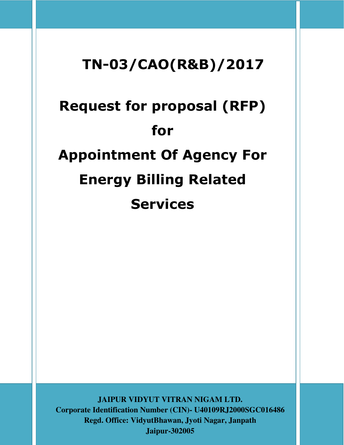# TN-03/CAO(R&B)/2017

# Request for proposal (RFP) for Appointment Of Agency For Energy Billing Related Services

**JAIPUR VIDYUT VITRAN NIGAM LTD. Corporate Identification Number (CIN)- U40109RJ2000SGC016486 Regd. Office: VidyutBhawan, Jyoti Nagar, Janpath Jaipur-302005**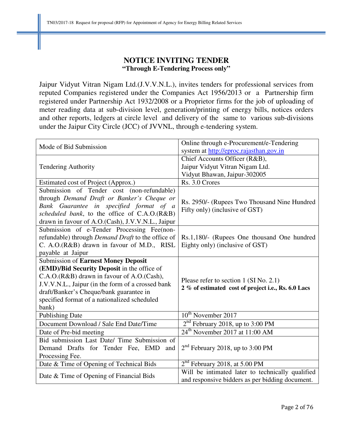# **NOTICE INVITING TENDER "Through E-Tendering Process only"**

Jaipur Vidyut Vitran Nigam Ltd.(J.V.V.N.L.), invites tenders for professional services from reputed Companies registered under the Companies Act 1956/2013 or a Partnership firm registered under Partnership Act 1932/2008 or a Proprietor firms for the job of uploading of meter reading data at sub-division level, generation/printing of energy bills, notices orders and other reports, ledgers at circle level and delivery of the same to various sub-divisions under the Jaipur City Circle (JCC) of JVVNL, through e-tendering system.

| Mode of Bid Submission                                   | Online through e-Procurement/e-Tendering            |  |  |
|----------------------------------------------------------|-----------------------------------------------------|--|--|
|                                                          | system at http://eproc.rajasthan.gov.in             |  |  |
|                                                          | Chief Accounts Officer (R&B),                       |  |  |
| <b>Tendering Authority</b>                               | Jaipur Vidyut Vitran Nigam Ltd.                     |  |  |
|                                                          | Vidyut Bhawan, Jaipur-302005                        |  |  |
| Estimated cost of Project (Approx.)                      | Rs. 3.0 Crores                                      |  |  |
| Submission of Tender cost (non-refundable)               |                                                     |  |  |
| through Demand Draft or Banker's Cheque or               | Rs. 2950/- (Rupees Two Thousand Nine Hundred)       |  |  |
| Bank Guarantee in specified format of a                  | Fifty only) (inclusive of GST)                      |  |  |
| scheduled bank, to the office of C.A.O.(R&B)             |                                                     |  |  |
| drawn in favour of A.O. (Cash), J.V.V.N.L., Jaipur       |                                                     |  |  |
| Submission of e-Tender Processing Fee(non-               |                                                     |  |  |
| refundable) through <i>Demand Draft</i> to the office of | Rs.1,180/- (Rupees One thousand One hundred         |  |  |
| C. A.O.(R&B) drawn in favour of M.D., RISL               | Eighty only) (inclusive of GST)                     |  |  |
| payable at Jaipur                                        |                                                     |  |  |
| <b>Submission of Earnest Money Deposit</b>               |                                                     |  |  |
| (EMD)/Bid Security Deposit in the office of              |                                                     |  |  |
| C.A.O.(R&B) drawn in favour of A.O.(Cash),               | Please refer to section 1 (SI No. 2.1)              |  |  |
| J.V.V.N.L., Jaipur (in the form of a crossed bank        | 2 % of estimated cost of project i.e., Rs. 6.0 Lacs |  |  |
| draft/Banker's Cheque/bank guarantee in                  |                                                     |  |  |
| specified format of a nationalized scheduled             |                                                     |  |  |
| bank)                                                    |                                                     |  |  |
| <b>Publishing Date</b>                                   | 10 <sup>th</sup> November 2017                      |  |  |
| Document Download / Sale End Date/Time                   | $2nd$ February 2018, up to 3:00 PM                  |  |  |
| Date of Pre-bid meeting                                  | $24th$ November 2017 at 11:00 AM                    |  |  |
| Bid submission Last Date/ Time Submission of             |                                                     |  |  |
| Demand Drafts for Tender Fee, EMD<br>and                 | $2nd$ February 2018, up to 3:00 PM                  |  |  |
| Processing Fee.                                          |                                                     |  |  |
| Date & Time of Opening of Technical Bids                 | $2nd$ February 2018, at 5.00 PM                     |  |  |
|                                                          | Will be intimated later to technically qualified    |  |  |
| Date & Time of Opening of Financial Bids                 | and responsive bidders as per bidding document.     |  |  |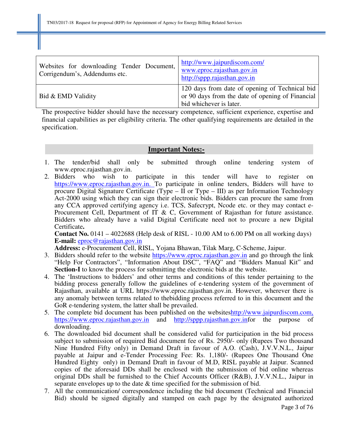| Websites for downloading Tender Document,<br>Corrigendum's, Addendums etc. | http://www.jaipurdiscom.com/<br>www.eproc.rajasthan.gov.in<br>http://sppp.rajasthan.gov.in                                    |
|----------------------------------------------------------------------------|-------------------------------------------------------------------------------------------------------------------------------|
| Bid & EMD Validity                                                         | 120 days from date of opening of Technical bid<br>or 90 days from the date of opening of Financial<br>bid whichever is later. |

The prospective bidder should have the necessary competence, sufficient experience, expertise and financial capabilities as per eligibility criteria. The other qualifying requirements are detailed in the specification.

#### **Important Notes:-**

- 1. The tender/bid shall only be submitted through online tendering system of www.eproc.rajasthan.gov.in.
- 2. Bidders who wish to participate in this tender will have to register on https://www.eproc.rajasthan.gov.in. To participate in online tenders, Bidders will have to procure Digital Signature Certificate (Type – II or Type – III) as per Information Technology Act-2000 using which they can sign their electronic bids. Bidders can procure the same from any CCA approved certifying agency i.e. TCS, Safecrypt, Ncode etc. or they may contact e-Procurement Cell, Department of IT & C, Government of Rajasthan for future assistance. Bidders who already have a valid Digital Certificate need not to procure a new Digital Certificate**.**

**Contact No.** 0141 – 4022688 (Help desk of RISL - 10.00 AM to 6.00 PM on all working days) **E-mail:** eproc@rajasthan.gov.in

**Address:** e-Procurement Cell, RISL, Yojana Bhawan, Tilak Marg, C-Scheme, Jaipur.

- 3. Bidders should refer to the website https://www.eproc.rajasthan.gov.in and go through the link "Help For Contractors", "Information About DSC", "FAQ" and "Bidders Manual Kit" and **Section-I** to know the process for submitting the electronic bids at the website.
- 4. The 'Instructions to bidders' and other terms and conditions of this tender pertaining to the bidding process generally follow the guidelines of e-tendering system of the government of Rajasthan, available at URL https://www.eproc.rajasthan.gov.in. However, wherever there is any anomaly between terms related to thebidding process referred to in this document and the GoR e-tendering system, the latter shall be prevailed.
- 5. The complete bid document has been published on the websiteshttp://www.jaipurdiscom.com, https://www.eproc.rajasthan.gov.in and http://sppp.rajasthan.gov.infor the purpose of downloading.
- 6. The downloaded bid document shall be considered valid for participation in the bid process subject to submission of required Bid document fee of Rs. 2950/- only (Rupees Two thousand Nine Hundred Fifty only) in Demand Draft in favour of A.O. (Cash), J.V.V.N.L., Jaipur payable at Jaipur and e-Tender Processing Fee: Rs. 1,180/- (Rupees One Thousand One Hundred Eighty only) in Demand Draft in favour of M.D, RISL payable at Jaipur. Scanned copies of the aforesaid DDs shall be enclosed with the submission of bid online whereas original DDs shall be furnished to the Chief Accounts Officer (R&B), J.V.V.N.L., Jaipur in separate envelopes up to the date & time specified for the submission of bid.
- 7. All the communication/ correspondence including the bid document (Technical and Financial Bid) should be signed digitally and stamped on each page by the designated authorized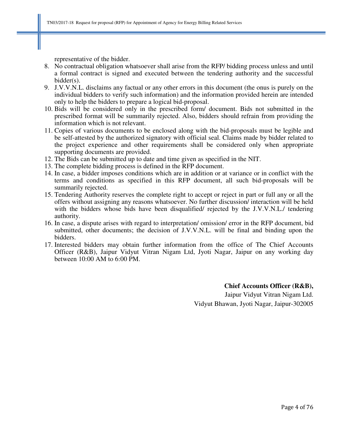representative of the bidder.

- 8. No contractual obligation whatsoever shall arise from the RFP/ bidding process unless and until a formal contract is signed and executed between the tendering authority and the successful bidder(s).
- 9. J.V.V.N.L. disclaims any factual or any other errors in this document (the onus is purely on the individual bidders to verify such information) and the information provided herein are intended only to help the bidders to prepare a logical bid-proposal.
- 10. Bids will be considered only in the prescribed form/ document. Bids not submitted in the prescribed format will be summarily rejected. Also, bidders should refrain from providing the information which is not relevant.
- 11. Copies of various documents to be enclosed along with the bid-proposals must be legible and be self-attested by the authorized signatory with official seal. Claims made by bidder related to the project experience and other requirements shall be considered only when appropriate supporting documents are provided.
- 12. The Bids can be submitted up to date and time given as specified in the NIT.
- 13. The complete bidding process is defined in the RFP document.
- 14. In case, a bidder imposes conditions which are in addition or at variance or in conflict with the terms and conditions as specified in this RFP document, all such bid-proposals will be summarily rejected.
- 15. Tendering Authority reserves the complete right to accept or reject in part or full any or all the offers without assigning any reasons whatsoever. No further discussion/ interaction will be held with the bidders whose bids have been disqualified/ rejected by the J.V.V.N.L./ tendering authority.
- 16. In case, a dispute arises with regard to interpretation/ omission/ error in the RFP document, bid submitted, other documents; the decision of J.V.V.N.L. will be final and binding upon the bidders.
- 17. Interested bidders may obtain further information from the office of The Chief Accounts Officer (R&B), Jaipur Vidyut Vitran Nigam Ltd, Jyoti Nagar, Jaipur on any working day between 10:00 AM to 6:00 PM.

**Chief Accounts Officer (R&B),**  Jaipur Vidyut Vitran Nigam Ltd. Vidyut Bhawan, Jyoti Nagar, Jaipur-302005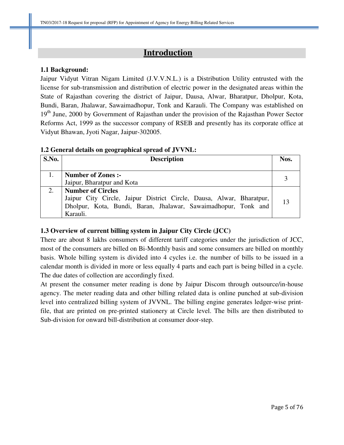# **Introduction**

# **1.1 Background:**

Jaipur Vidyut Vitran Nigam Limited (J.V.V.N.L.) is a Distribution Utility entrusted with the license for sub-transmission and distribution of electric power in the designated areas within the State of Rajasthan covering the district of Jaipur, Dausa, Alwar, Bharatpur, Dholpur, Kota, Bundi, Baran, Jhalawar, Sawaimadhopur, Tonk and Karauli. The Company was established on 19<sup>th</sup> June, 2000 by Government of Rajasthan under the provision of the Rajasthan Power Sector Reforms Act, 1999 as the successor company of RSEB and presently has its corporate office at Vidyut Bhawan, Jyoti Nagar, Jaipur-302005.

# **1.2 General details on geographical spread of JVVNL:**

| S.No. | <b>Description</b>                                                                                                                                                             | Nos. |
|-------|--------------------------------------------------------------------------------------------------------------------------------------------------------------------------------|------|
|       | Number of Zones :-<br>Jaipur, Bharatpur and Kota                                                                                                                               |      |
| 2.    | <b>Number of Circles</b><br>Jaipur City Circle, Jaipur District Circle, Dausa, Alwar, Bharatpur,<br>Dholpur, Kota, Bundi, Baran, Jhalawar, Sawaimadhopur, Tonk and<br>Karauli. | 13   |

# **1.3 Overview of current billing system in Jaipur City Circle (JCC)**

There are about 8 lakhs consumers of different tariff categories under the jurisdiction of JCC, most of the consumers are billed on Bi-Monthly basis and some consumers are billed on monthly basis. Whole billing system is divided into 4 cycles i.e. the number of bills to be issued in a calendar month is divided in more or less equally 4 parts and each part is being billed in a cycle. The due dates of collection are accordingly fixed.

At present the consumer meter reading is done by Jaipur Discom through outsource/in-house agency. The meter reading data and other billing related data is online punched at sub-division level into centralized billing system of JVVNL. The billing engine generates ledger-wise printfile, that are printed on pre-printed stationery at Circle level. The bills are then distributed to Sub-division for onward bill-distribution at consumer door-step.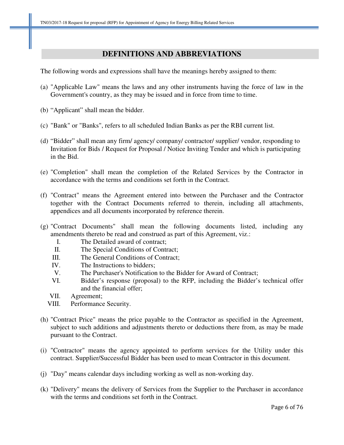# **DEFINITIONS AND ABBREVIATIONS**

The following words and expressions shall have the meanings hereby assigned to them:

- (a) "Applicable Law" means the laws and any other instruments having the force of law in the Government's country, as they may be issued and in force from time to time.
- (b) "Applicant" shall mean the bidder.
- (c) "Bank" or "Banks", refers to all scheduled Indian Banks as per the RBI current list.
- (d) "Bidder" shall mean any firm/ agency/ company/ contractor/ supplier/ vendor, responding to Invitation for Bids / Request for Proposal / Notice Inviting Tender and which is participating in the Bid.
- (e) "Completion" shall mean the completion of the Related Services by the Contractor in accordance with the terms and conditions set forth in the Contract.
- (f) "Contract" means the Agreement entered into between the Purchaser and the Contractor together with the Contract Documents referred to therein, including all attachments, appendices and all documents incorporated by reference therein.
- (g) "Contract Documents" shall mean the following documents listed, including any amendments thereto be read and construed as part of this Agreement, viz.:
	- I. The Detailed award of contract;
	- II. The Special Conditions of Contract;
	- III. The General Conditions of Contract;
	- IV. The Instructions to bidders;
	- V. The Purchaser's Notification to the Bidder for Award of Contract;
	- VI. Bidder's response (proposal) to the RFP, including the Bidder's technical offer and the financial offer;
	- VII. Agreement;
	- VIII. Performance Security.
- (h) "Contract Price" means the price payable to the Contractor as specified in the Agreement, subject to such additions and adjustments thereto or deductions there from, as may be made pursuant to the Contract.
- (i) "Contractor" means the agency appointed to perform services for the Utility under this contract. Supplier/Successful Bidder has been used to mean Contractor in this document.
- (j) "Day" means calendar days including working as well as non-working day.
- (k) "Delivery" means the delivery of Services from the Supplier to the Purchaser in accordance with the terms and conditions set forth in the Contract.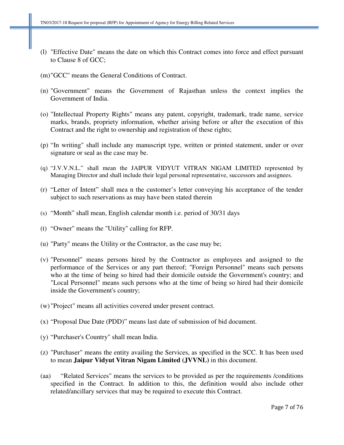- (l) "Effective Date" means the date on which this Contract comes into force and effect pursuant to Clause 8 of GCC;
- (m)"GCC" means the General Conditions of Contract.
- (n) "Government" means the Government of Rajasthan unless the context implies the Government of India.
- (o) "Intellectual Property Rights" means any patent, copyright, trademark, trade name, service marks, brands, propriety information, whether arising before or after the execution of this Contract and the right to ownership and registration of these rights;
- (p) "In writing" shall include any manuscript type, written or printed statement, under or over signature or seal as the case may be.
- (q) "J.V.V.N.L." shall mean the JAIPUR VIDYUT VITRAN NIGAM LIMITED represented by Managing Director and shall include their legal personal representative, successors and assignees.
- (r) "Letter of Intent" shall mea n the customer's letter conveying his acceptance of the tender subject to such reservations as may have been stated therein
- (s) "Month" shall mean, English calendar month i.e. period of 30/31 days
- (t) "Owner" means the "Utility" calling for RFP.
- (u) "Party" means the Utility or the Contractor, as the case may be;
- (v) "Personnel" means persons hired by the Contractor as employees and assigned to the performance of the Services or any part thereof; "Foreign Personnel" means such persons who at the time of being so hired had their domicile outside the Government's country; and "Local Personnel" means such persons who at the time of being so hired had their domicile inside the Government's country;
- (w) "Project" means all activities covered under present contract.
- (x) "Proposal Due Date (PDD)" means last date of submission of bid document.
- (y) "Purchaser's Country" shall mean India.
- (z) "Purchaser" means the entity availing the Services, as specified in the SCC. It has been used to mean **Jaipur Vidyut Vitran Nigam Limited (JVVNL)** in this document.
- (aa) "Related Services" means the services to be provided as per the requirements /conditions specified in the Contract. In addition to this, the definition would also include other related/ancillary services that may be required to execute this Contract.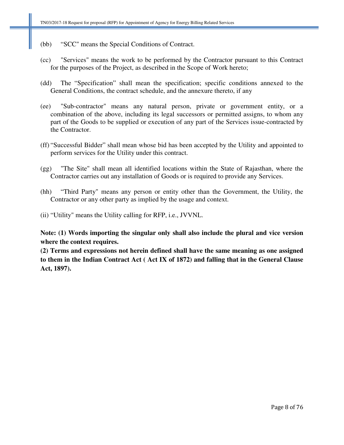- (bb) "SCC" means the Special Conditions of Contract.
- (cc) "Services" means the work to be performed by the Contractor pursuant to this Contract for the purposes of the Project, as described in the Scope of Work hereto;
- (dd) The "Specification" shall mean the specification; specific conditions annexed to the General Conditions, the contract schedule, and the annexure thereto, if any
- (ee) "Sub-contractor" means any natural person, private or government entity, or a combination of the above, including its legal successors or permitted assigns, to whom any part of the Goods to be supplied or execution of any part of the Services issue-contracted by the Contractor.
- (ff) "Successful Bidder" shall mean whose bid has been accepted by the Utility and appointed to perform services for the Utility under this contract.
- (gg) "The Site" shall mean all identified locations within the State of Rajasthan, where the Contractor carries out any installation of Goods or is required to provide any Services.
- (hh) "Third Party" means any person or entity other than the Government, the Utility, the Contractor or any other party as implied by the usage and context.
- (ii) "Utility" means the Utility calling for RFP, i.e., JVVNL.

**Note: (1) Words importing the singular only shall also include the plural and vice version where the context requires.** 

**(2) Terms and expressions not herein defined shall have the same meaning as one assigned to them in the Indian Contract Act ( Act IX of 1872) and falling that in the General Clause Act, 1897).**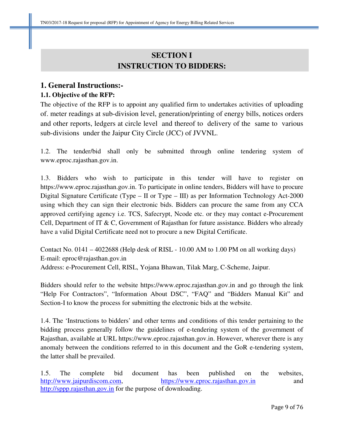# **SECTION I INSTRUCTION TO BIDDERS:**

# **1. General Instructions:-**

# **1.1. Objective of the RFP:**

The objective of the RFP is to appoint any qualified firm to undertakes activities of uploading of. meter readings at sub-division level, generation/printing of energy bills, notices orders and other reports, ledgers at circle level and thereof to delivery of the same to various sub-divisions under the Jaipur City Circle (JCC) of JVVNL.

1.2. The tender/bid shall only be submitted through online tendering system of www.eproc.rajasthan.gov.in.

1.3. Bidders who wish to participate in this tender will have to register on https://www.eproc.rajasthan.gov.in. To participate in online tenders, Bidders will have to procure Digital Signature Certificate (Type – II or Type – III) as per Information Technology Act-2000 using which they can sign their electronic bids. Bidders can procure the same from any CCA approved certifying agency i.e. TCS, Safecrypt, Ncode etc. or they may contact e-Procurement Cell, Department of IT & C, Government of Rajasthan for future assistance. Bidders who already have a valid Digital Certificate need not to procure a new Digital Certificate.

Contact No. 0141 – 4022688 (Help desk of RISL - 10.00 AM to 1.00 PM on all working days) E-mail: eproc@rajasthan.gov.in Address: e-Procurement Cell, RISL, Yojana Bhawan, Tilak Marg, C-Scheme, Jaipur.

Bidders should refer to the website https://www.eproc.rajasthan.gov.in and go through the link "Help For Contractors", "Information About DSC", "FAQ" and "Bidders Manual Kit" and Section-I to know the process for submitting the electronic bids at the website.

1.4. The 'Instructions to bidders' and other terms and conditions of this tender pertaining to the bidding process generally follow the guidelines of e-tendering system of the government of Rajasthan, available at URL https://www.eproc.rajasthan.gov.in. However, wherever there is any anomaly between the conditions referred to in this document and the GoR e-tendering system, the latter shall be prevailed.

1.5. The complete bid document has been published on the websites, http://www.jaipurdiscom.com, https://www.eproc.rajasthan.gov.in and http://sppp.rajasthan.gov.in for the purpose of downloading.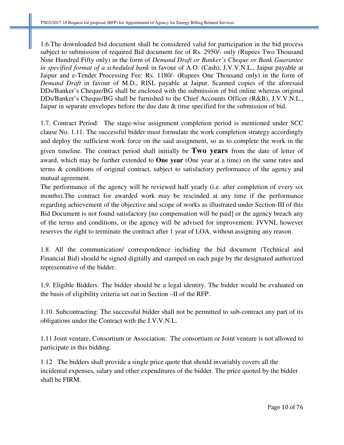1.6.The downloaded bid document shall be considered valid for participation in the bid process subject to submission of required Bid document fee of Rs. 2950/- only (Rupees Two Thousand Nine Hundred Fifty only) in the form of *Demand Draft or Banker's Cheque or Bank Guarantee in specified format of a scheduled bank* in favour of A.O. (Cash), J.V.V.N.L., Jaipur payable at Jaipur and e-Tender Processing Fee: Rs. 1180/- (Rupees One Thousand only) in the form of *Demand Draft* in favour of M.D., RISL payable at Jaipur. Scanned copies of the aforesaid DDs/Banker's Cheque/BG shall be enclosed with the submission of bid online whereas original DDs/Banker's Cheque/BG shall be furnished to the Chief Accounts Officer (R&B), J.V.V.N.L., Jaipur in separate envelopes before the due date & time specified for the submission of bid.

1.7. Contract Period: The stage-wise assignment completion period is mentioned under SCC clause No. 1.11. The successful bidder must formulate the work completion strategy accordingly and deploy the sufficient work force on the said assignment, so as to complete the work in the given timeline. The contract period shall initially be **Two years** from the date of letter of award, which may be further extended to **One year** (One year at a time) on the same rates and terms & conditions of original contract, subject to satisfactory performance of the agency and mutual agreement.

The performance of the agency will be reviewed half yearly (i.e. after completion of every six months).The contract for awarded work may be rescinded at any time if the performance regarding achievement of the objective and scope of works as illustrated under Section-III of this Bid Document is not found satisfactory [no compensation will be paid] or the agency breach any of the terms and conditions, or the agency will be advised for improvement. JVVNL however reserves the right to terminate the contract after 1 year of LOA, without assigning any reason.

1.8. All the communication/ correspondence including the bid document (Technical and Financial Bid) should be signed digitally and stamped on each page by the designated authorized representative of the bidder.

1.9. Eligible Bidders: The bidder should be a legal identity. The bidder would be evaluated on the basis of eligibility criteria set out in Section –II of the RFP.

1.10. Subcontracting: The successful bidder shall not be permitted to sub-contract any part of its obligations under the Contract with the J.V.V.N.L.

1.11 Joint venture, Consortium or Association: The consortium or Joint venture is not allowed to participate in this bidding.

1.12 The bidders shall provide a single price quote that should invariably covers all the incidental expenses, salary and other expenditures of the bidder. The price quoted by the bidder shall be FIRM.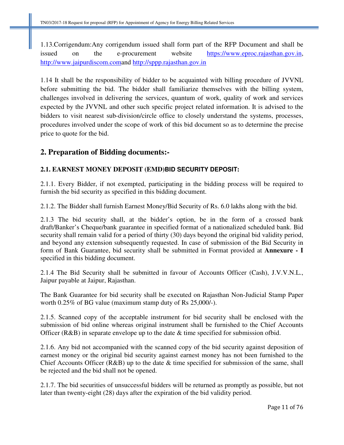1.13.Corrigendum:Any corrigendum issued shall form part of the RFP Document and shall be issued on the e-procurement website https://www.eproc.rajasthan.gov.in, http://www.jaipurdiscom.comand http://sppp.rajasthan.gov.in

1.14 It shall be the responsibility of bidder to be acquainted with billing procedure of JVVNL before submitting the bid. The bidder shall familiarize themselves with the billing system, challenges involved in delivering the services, quantum of work, quality of work and services expected by the JVVNL and other such specific project related information. It is advised to the bidders to visit nearest sub-division/circle office to closely understand the systems, processes, procedures involved under the scope of work of this bid document so as to determine the precise price to quote for the bid.

# **2. Preparation of Bidding documents:-**

# **2.1. EARNEST MONEY DEPOSIT (EMD)BID SECURITY DEPOSIT:**

2.1.1. Every Bidder, if not exempted, participating in the bidding process will be required to furnish the bid security as specified in this bidding document.

2.1.2. The Bidder shall furnish Earnest Money/Bid Security of Rs. 6.0 lakhs along with the bid.

2.1.3 The bid security shall, at the bidder's option, be in the form of a crossed bank draft/Banker's Cheque/bank guarantee in specified format of a nationalized scheduled bank. Bid security shall remain valid for a period of thirty (30) days beyond the original bid validity period, and beyond any extension subsequently requested. In case of submission of the Bid Security in form of Bank Guarantee, bid security shall be submitted in Format provided at **Annexure - I** specified in this bidding document.

2.1.4 The Bid Security shall be submitted in favour of Accounts Officer (Cash), J.V.V.N.L., Jaipur payable at Jaipur, Rajasthan.

The Bank Guarantee for bid security shall be executed on Rajasthan Non-Judicial Stamp Paper worth 0.25% of BG value (maximum stamp duty of Rs 25,000/-).

2.1.5. Scanned copy of the acceptable instrument for bid security shall be enclosed with the submission of bid online whereas original instrument shall be furnished to the Chief Accounts Officer (R&B) in separate envelope up to the date & time specified for submission ofbid.

2.1.6. Any bid not accompanied with the scanned copy of the bid security against deposition of earnest money or the original bid security against earnest money has not been furnished to the Chief Accounts Officer ( $R&B$ ) up to the date  $&$  time specified for submission of the same, shall be rejected and the bid shall not be opened.

2.1.7. The bid securities of unsuccessful bidders will be returned as promptly as possible, but not later than twenty-eight (28) days after the expiration of the bid validity period.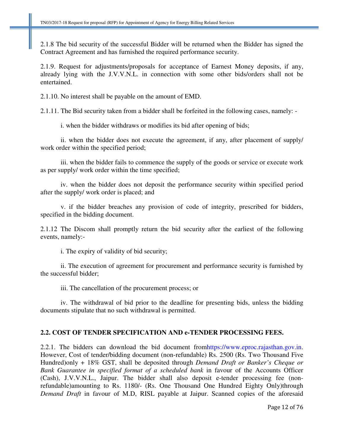2.1.8 The bid security of the successful Bidder will be returned when the Bidder has signed the Contract Agreement and has furnished the required performance security.

2.1.9. Request for adjustments/proposals for acceptance of Earnest Money deposits, if any, already lying with the J.V.V.N.L. in connection with some other bids/orders shall not be entertained.

2.1.10. No interest shall be payable on the amount of EMD.

2.1.11. The Bid security taken from a bidder shall be forfeited in the following cases, namely: -

i. when the bidder withdraws or modifies its bid after opening of bids;

ii. when the bidder does not execute the agreement, if any, after placement of supply/ work order within the specified period;

iii. when the bidder fails to commence the supply of the goods or service or execute work as per supply/ work order within the time specified;

iv. when the bidder does not deposit the performance security within specified period after the supply/ work order is placed; and

v. if the bidder breaches any provision of code of integrity, prescribed for bidders, specified in the bidding document.

2.1.12 The Discom shall promptly return the bid security after the earliest of the following events, namely:-

i. The expiry of validity of bid security;

ii. The execution of agreement for procurement and performance security is furnished by the successful bidder;

iii. The cancellation of the procurement process; or

iv. The withdrawal of bid prior to the deadline for presenting bids, unless the bidding documents stipulate that no such withdrawal is permitted.

# **2.2. COST OF TENDER SPECIFICATION AND e-TENDER PROCESSING FEES.**

2.2.1. The bidders can download the bid document fromhttps://www.eproc.rajasthan.gov.in. However, Cost of tender/bidding document (non-refundable) Rs. 2500 (Rs. Two Thousand Five Hundred)only + 18% GST, shall be deposited through *Demand Draft or Banker's Cheque or Bank Guarantee in specified format of a scheduled bank* in favour of the Accounts Officer (Cash), J.V.V.N.L., Jaipur. The bidder shall also deposit e-tender processing fee (nonrefundable)amounting to Rs. 1180/- (Rs. One Thousand One Hundred Eighty Only)through *Demand Draft* in favour of M.D, RISL payable at Jaipur. Scanned copies of the aforesaid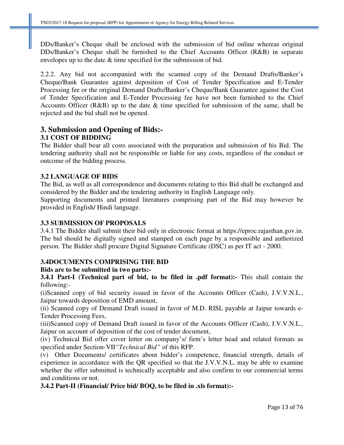DDs/Banker's Cheque shall be enclosed with the submission of bid online whereas original DDs/Banker's Cheque shall be furnished to the Chief Accounts Officer (R&B) in separate envelopes up to the date & time specified for the submission of bid.

2.2.2. Any bid not accompanied with the scanned copy of the Demand Drafts/Banker's Cheque/Bank Guarantee against deposition of Cost of Tender Specification and E-Tender Processing fee or the original Demand Drafts/Banker's Cheque/Bank Guarantee against the Cost of Tender Specification and E-Tender Processing fee have not been furnished to the Chief Accounts Officer (R&B) up to the date & time specified for submission of the same, shall be rejected and the bid shall not be opened.

# **3. Submission and Opening of Bids:- 3.1 COST OF BIDDING**

The Bidder shall bear all costs associated with the preparation and submission of his Bid. The tendering authority shall not be responsible or liable for any costs, regardless of the conduct or outcome of the bidding process.

# **3.2 LANGUAGE OF BIDS**

The Bid, as well as all correspondence and documents relating to this Bid shall be exchanged and considered by the Bidder and the tendering authority in English Language only.

Supporting documents and printed literatures comprising part of the Bid may however be provided in English/ Hindi language.

# **3.3 SUBMISSION OF PROPOSALS**

3.4.1 The Bidder shall submit their bid only in electronic format at https://eproc.rajasthan.gov.in. The bid should be digitally signed and stamped on each page by a responsible and authorized person. The Bidder shall procure Digital Signature Certificate (DSC) as per IT act - 2000.

# **3.4DOCUMENTS COMPRISING THE BID**

# **Bids are to be submitted in two parts:-**

**3.4.1 Part-I (Technical part of bid, to be filed in .pdf format):-** This shall contain the following:-

(i)Scanned copy of bid security issued in favor of the Accounts Officer (Cash), J.V.V.N.L., Jaipur towards deposition of EMD amount,

(ii) Scanned copy of Demand Draft issued in favor of M.D. RISL payable at Jaipur towards e-Tender Processing Fees,

(iii)Scanned copy of Demand Draft issued in favor of the Accounts Officer (Cash), J.V.V.N.L., Jaipur on account of deposition of the cost of tender document,

(iv) Technical Bid offer cover letter on company's/ firm's letter head and related formats as specified under Section-VII*"Technical Bid"* of this RFP.

(v) Other Documents/ certificates about bidder's competence, financial strength, details of experience in accordance with the QR specified so that the J.V.V.N.L. may be able to examine whether the offer submitted is technically acceptable and also confirm to our commercial terms and conditions or not.

# **3.4.2 Part-II (Financial/ Price bid/ BOQ, to be filed in .xls format):-**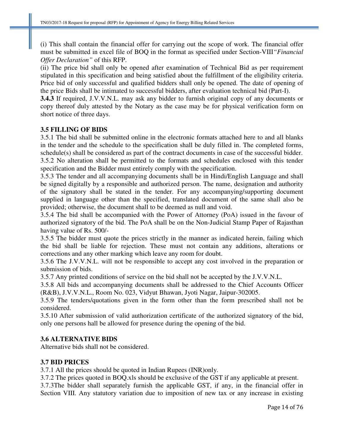(i) This shall contain the financial offer for carrying out the scope of work. The financial offer must be submitted in excel file of BOQ in the format as specified under Section-VIII*"Financial Offer Declaration"* of this RFP.

(ii) The price bid shall only be opened after examination of Technical Bid as per requirement stipulated in this specification and being satisfied about the fulfillment of the eligibility criteria. Price bid of only successful and qualified bidders shall only be opened. The date of opening of the price Bids shall be intimated to successful bidders, after evaluation technical bid (Part-I).

**3.4.3** If required, J.V.V.N.L. may ask any bidder to furnish original copy of any documents or copy thereof duly attested by the Notary as the case may be for physical verification form on short notice of three days.

# **3.5 FILLING OF BIDS**

3.5.1 The bid shall be submitted online in the electronic formats attached here to and all blanks in the tender and the schedule to the specification shall be duly filled in. The completed forms, schedule(s) shall be considered as part of the contract documents in case of the successful bidder. 3.5.2 No alteration shall be permitted to the formats and schedules enclosed with this tender specification and the Bidder must entirely comply with the specification.

3.5.3 The tender and all accompanying documents shall be in Hindi/English Language and shall be signed digitally by a responsible and authorized person. The name, designation and authority of the signatory shall be stated in the tender. For any accompanying/supporting document supplied in language other than the specified, translated document of the same shall also be provided; otherwise, the document shall to be deemed as null and void.

3.5.4 The bid shall be accompanied with the Power of Attorney (PoA) issued in the favour of authorized signatory of the bid. The PoA shall be on the Non-Judicial Stamp Paper of Rajasthan having value of Rs. 500/-

3.5.5 The bidder must quote the prices strictly in the manner as indicated herein, failing which the bid shall be liable for rejection. These must not contain any additions, alterations or corrections and any other marking which leave any room for doubt.

3.5.6 The J.V.V.N.L. will not be responsible to accept any cost involved in the preparation or submission of bids.

3.5.7 Any printed conditions of service on the bid shall not be accepted by the J.V.V.N.L.

3.5.8 All bids and accompanying documents shall be addressed to the Chief Accounts Officer (R&B), J.V.V.N.L., Room No. 023, Vidyut Bhawan, Jyoti Nagar, Jaipur-302005.

3.5.9 The tenders/quotations given in the form other than the form prescribed shall not be considered.

3.5.10 After submission of valid authorization certificate of the authorized signatory of the bid, only one persons hall be allowed for presence during the opening of the bid.

# **3.6 ALTERNATIVE BIDS**

Alternative bids shall not be considered.

# **3.7 BID PRICES**

3.7.1 All the prices should be quoted in Indian Rupees (INR)only.

3.7.2 The prices quoted in BOQ.xls should be exclusive of the GST if any applicable at present.

3.7.3The bidder shall separately furnish the applicable GST, if any, in the financial offer in Section VIII. Any statutory variation due to imposition of new tax or any increase in existing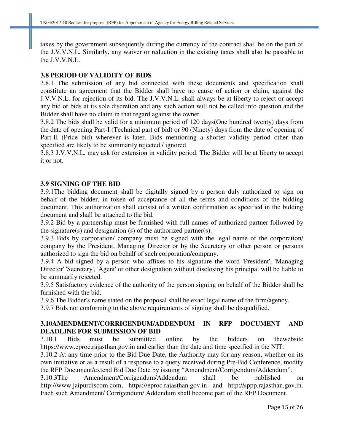taxes by the government subsequently during the currency of the contract shall be on the part of the J.V.V.N.L. Similarly, any waiver or reduction in the existing taxes shall also be passable to the J.V.V.N.L.

# **3.8 PERIOD OF VALIDITY OF BIDS**

3.8.1 The submission of any bid connected with these documents and specification shall constitute an agreement that the Bidder shall have no cause of action or claim, against the J.V.V.N.L. for rejection of its bid. The J.V.V.N.L. shall always be at liberty to reject or accept any bid or bids at its sole discretion and any such action will not be called into question and the Bidder shall have no claim in that regard against the owner.

3.8.2 The bids shall be valid for a minimum period of 120 days(One hundred twenty) days from the date of opening Part-I (Technical part of bid) or 90 (Ninety) days from the date of opening of Part-II (Price bid) wherever is later. Bids mentioning a shorter validity period other than specified are likely to be summarily rejected / ignored.

3.8.3 J.V.V.N.L. may ask for extension in validity period. The Bidder will be at liberty to accept it or not.

# **3.9 SIGNING OF THE BID**

3.9.1The bidding document shall be digitally signed by a person duly authorized to sign on behalf of the bidder, in token of acceptance of all the terms and conditions of the bidding document. This authorization shall consist of a written confirmation as specified in the bidding document and shall be attached to the bid.

3.9.2 Bid by a partnership must be furnished with full names of authorized partner followed by the signature(s) and designation (s) of the authorized partner(s).

3.9.3 Bids by corporation/ company must be signed with the legal name of the corporation/ company by the President, Managing Director or by the Secretary or other person or persons authorized to sign the bid on behalf of such corporation/company.

3.9.4 A bid signed by a person who affixes to his signature the word 'President', 'Managing Director' 'Secretary', 'Agent' or other designation without disclosing his principal will be liable to be summarily rejected.

3.9.5 Satisfactory evidence of the authority of the person signing on behalf of the Bidder shall be furnished with the bid.

3.9.6 The Bidder's name stated on the proposal shall be exact legal name of the firm/agency.

3.9.7 Bids not conforming to the above requirements of signing shall be disqualified.

# **3.10AMENDMENT/CORRIGENDUM/ADDENDUM IN RFP DOCUMENT AND DEADLINE FOR SUBMISSION OF BID**

3.10.1 Bids must be submitted online by the bidders on thewebsite https://www.eproc.rajasthan.gov.in and earlier than the date and time specified in the NIT.

3.10.2 At any time prior to the Bid Due Date, the Authority may for any reason, whether on its own initiative or as a result of a response to a query received during Pre-Bid Conference, modify the RFP Document/extend Bid Due Date by issuing "Amendment/Corrigendum/Addendum".

3.10.3The Amendment/Corrigendum/Addendum shall be published on http://www.jaipurdiscom.com, https://eproc.rajasthan.gov.in and http://sppp.rajasthan.gov.in. Each such Amendment/ Corrigendum/ Addendum shall become part of the RFP Document.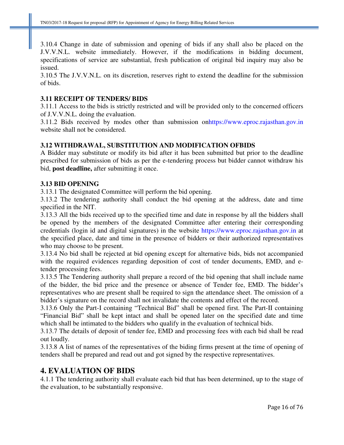3.10.4 Change in date of submission and opening of bids if any shall also be placed on the J.V.V.N.L. website immediately. However, if the modifications in bidding document, specifications of service are substantial, fresh publication of original bid inquiry may also be issued.

3.10.5 The J.V.V.N.L. on its discretion, reserves right to extend the deadline for the submission of bids.

# **3.11 RECEIPT OF TENDERS/ BIDS**

3.11.1 Access to the bids is strictly restricted and will be provided only to the concerned officers of J.V.V.N.L. doing the evaluation.

3.11.2 Bids received by modes other than submission onhttps://www.eproc.rajasthan.gov.in website shall not be considered.

# **3.12 WITHDRAWAL, SUBSTITUTION AND MODIFICATION OFBIDS**

A Bidder may substitute or modify its bid after it has been submitted but prior to the deadline prescribed for submission of bids as per the e-tendering process but bidder cannot withdraw his bid, **post deadline,** after submitting it once.

#### **3.13 BID OPENING**

3.13.1 The designated Committee will perform the bid opening.

3.13.2 The tendering authority shall conduct the bid opening at the address, date and time specified in the NIT.

3.13.3 All the bids received up to the specified time and date in response by all the bidders shall be opened by the members of the designated Committee after entering their corresponding credentials (login id and digital signatures) in the website https://www.eproc.rajasthan.gov.in at the specified place, date and time in the presence of bidders or their authorized representatives who may choose to be present.

3.13.4 No bid shall be rejected at bid opening except for alternative bids, bids not accompanied with the required evidences regarding deposition of cost of tender documents, EMD, and etender processing fees.

3.13.5 The Tendering authority shall prepare a record of the bid opening that shall include name of the bidder, the bid price and the presence or absence of Tender fee, EMD. The bidder's representatives who are present shall be required to sign the attendance sheet. The omission of a bidder's signature on the record shall not invalidate the contents and effect of the record.

3.13.6 Only the Part-I containing "Technical Bid" shall be opened first. The Part-II containing "Financial Bid" shall be kept intact and shall be opened later on the specified date and time which shall be intimated to the bidders who qualify in the evaluation of technical bids.

3.13.7 The details of deposit of tender fee, EMD and processing fees with each bid shall be read out loudly.

3.13.8 A list of names of the representatives of the biding firms present at the time of opening of tenders shall be prepared and read out and got signed by the respective representatives.

# **4. EVALUATION OF BIDS**

4.1.1 The tendering authority shall evaluate each bid that has been determined, up to the stage of the evaluation, to be substantially responsive.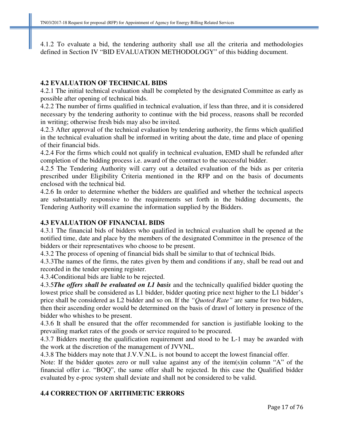4.1.2 To evaluate a bid, the tendering authority shall use all the criteria and methodologies defined in Section IV "BID EVALUATION METHODOLOGY" of this bidding document.

# **4.2 EVALUATION OF TECHNICAL BIDS**

4.2.1 The initial technical evaluation shall be completed by the designated Committee as early as possible after opening of technical bids.

4.2.2 The number of firms qualified in technical evaluation, if less than three, and it is considered necessary by the tendering authority to continue with the bid process, reasons shall be recorded in writing; otherwise fresh bids may also be invited.

4.2.3 After approval of the technical evaluation by tendering authority, the firms which qualified in the technical evaluation shall be informed in writing about the date, time and place of opening of their financial bids.

4.2.4 For the firms which could not qualify in technical evaluation, EMD shall be refunded after completion of the bidding process i.e. award of the contract to the successful bidder.

4.2.5 The Tendering Authority will carry out a detailed evaluation of the bids as per criteria prescribed under Eligibility Criteria mentioned in the RFP and on the basis of documents enclosed with the technical bid.

4.2.6 In order to determine whether the bidders are qualified and whether the technical aspects are substantially responsive to the requirements set forth in the bidding documents, the Tendering Authority will examine the information supplied by the Bidders.

# **4.3 EVALUATION OF FINANCIAL BIDS**

4.3.1 The financial bids of bidders who qualified in technical evaluation shall be opened at the notified time, date and place by the members of the designated Committee in the presence of the bidders or their representatives who choose to be present.

4.3.2 The process of opening of financial bids shall be similar to that of technical lbids.

4.3.3The names of the firms, the rates given by them and conditions if any, shall be read out and recorded in the tender opening register.

4.3.4Conditional bids are liable to be rejected.

4.3.5*The offers shall be evaluated on L1 basis* and the technically qualified bidder quoting the lowest price shall be considered as L1 bidder, bidder quoting price next higher to the L1 bidder's price shall be considered as L2 bidder and so on. If the *"Quoted Rate"* are same for two bidders, then their ascending order would be determined on the basis of drawl of lottery in presence of the bidder who whishes to be present.

4.3.6 It shall be ensured that the offer recommended for sanction is justifiable looking to the prevailing market rates of the goods or service required to be procured.

4.3.7 Bidders meeting the qualification requirement and stood to be L-1 may be awarded with the work at the discretion of the management of JVVNL.

4.3.8 The bidders may note that J.V.V.N.L. is not bound to accept the lowest financial offer.

Note: If the bidder quotes zero or null value against any of the item(s)in column "A" of the financial offer i.e. "BOQ", the same offer shall be rejected. In this case the Qualified bidder evaluated by e-proc system shall deviate and shall not be considered to be valid.

# **4.4 CORRECTION OF ARITHMETIC ERRORS**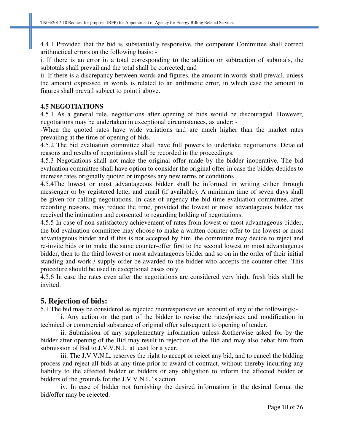4.4.1 Provided that the bid is substantially responsive, the competent Committee shall correct arithmetical errors on the following basis: -

i. If there is an error in a total corresponding to the addition or subtraction of subtotals, the subtotals shall prevail and the total shall be corrected; and

ii. If there is a discrepancy between words and figures, the amount in words shall prevail, unless the amount expressed in words is related to an arithmetic error, in which case the amount in figures shall prevail subject to point i above.

# **4.5 NEGOTIATIONS**

4.5.1 As a general rule, negotiations after opening of bids would be discouraged. However, negotiations may be undertaken in exceptional circumstances, as under: -

-When the quoted rates have wide variations and are much higher than the market rates prevailing at the time of opening of bids.

4.5.2 The bid evaluation committee shall have full powers to undertake negotiations. Detailed reasons and results of negotiations shall be recorded in the proceedings.

4.5.3 Negotiations shall not make the original offer made by the bidder inoperative. The bid evaluation committee shall have option to consider the original offer in case the bidder decides to increase rates originally quoted or imposes any new terms or conditions.

4.5.4The lowest or most advantageous bidder shall be informed in writing either through messenger or by registered letter and email (if available). A minimum time of seven days shall be given for calling negotiations. In case of urgency the bid time evaluation committee, after recording reasons, may reduce the time, provided the lowest or most advantageous bidder has received the intimation and consented to regarding holding of negotiations.

4.5.5 In case of non-satisfactory achievement of rates from lowest or most advantageous bidder, the bid evaluation committee may choose to make a written counter offer to the lowest or most advantageous bidder and if this is not accepted by him, the committee may decide to reject and re-invite bids or to make the same counter-offer first to the second lowest or most advantageous bidder, then to the third lowest or most advantageous bidder and so on in the order of their initial standing and work / supply order be awarded to the bidder who accepts the counter-offer. This procedure should be used in exceptional cases only.

4.5.6 In case the rates even after the negotiations are considered very high, fresh bids shall be invited.

# **5. Rejection of bids:**

5.1 The bid may be considered as rejected /nonresponsive on account of any of the followings:-

i. Any action on the part of the bidder to revise the rates/prices and modification in technical or commercial substance of original offer subsequent to opening of tender.

ii. Submission of any supplementary information unless &otherwise asked for by the bidder after opening of the Bid may result in rejection of the Bid and may also debar him from submission of Bid to J.V.V.N.L. at least for a year.

iii. The J.V.V.N.L. reserves the right to accept or reject any bid, and to cancel the bidding process and reject all bids at any time prior to award of contract, without thereby incurring any liability to the affected bidder or bidders or any obligation to inform the affected bidder or bidders of the grounds for the J.V.V.N.L.' s action.

iv. In case of bidder not furnishing the desired information in the desired format the bid/offer may be rejected.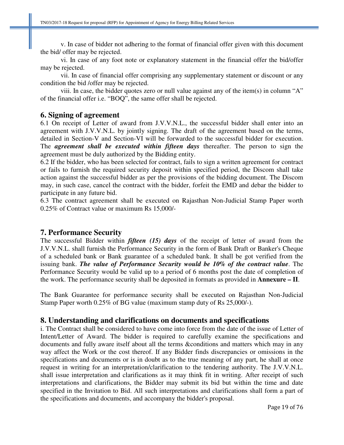v. In case of bidder not adhering to the format of financial offer given with this document the bid/ offer may be rejected.

vi. In case of any foot note or explanatory statement in the financial offer the bid/offer may be rejected.

vii. In case of financial offer comprising any supplementary statement or discount or any condition the bid /offer may be rejected.

viii. In case, the bidder quotes zero or null value against any of the item(s) in column "A" of the financial offer i.e. "BOQ", the same offer shall be rejected.

# **6. Signing of agreement**

6.1 On receipt of Letter of award from J.V.V.N.L., the successful bidder shall enter into an agreement with J.V.V.N.L. by jointly signing. The draft of the agreement based on the terms, detailed in Section-V and Section-VI will be forwarded to the successful bidder for execution. The *agreement shall be executed within fifteen days* thereafter. The person to sign the agreement must be duly authorized by the Bidding entity.

6.2 If the bidder, who has been selected for contract, fails to sign a written agreement for contract or fails to furnish the required security deposit within specified period, the Discom shall take action against the successful bidder as per the provisions of the bidding document. The Discom may, in such case, cancel the contract with the bidder, forfeit the EMD and debar the bidder to participate in any future bid.

6.3 The contract agreement shall be executed on Rajasthan Non-Judicial Stamp Paper worth 0.25% of Contract value or maximum Rs 15,000/-

# **7. Performance Security**

The successful Bidder within *fifteen (15) days* of the receipt of letter of award from the J.V.V.N.L. shall furnish the Performance Security in the form of Bank Draft or Banker's Cheque of a scheduled bank or Bank guarantee of a scheduled bank. It shall be got verified from the issuing bank. *The value of Performance Security would be 10% of the contract value*. The Performance Security would be valid up to a period of 6 months post the date of completion of the work. The performance security shall be deposited in formats as provided in **Annexure – II**.

The Bank Guarantee for performance security shall be executed on Rajasthan Non-Judicial Stamp Paper worth 0.25% of BG value (maximum stamp duty of Rs 25,000/-).

# **8. Understanding and clarifications on documents and specifications**

i. The Contract shall be considered to have come into force from the date of the issue of Letter of Intent/Letter of Award. The bidder is required to carefully examine the specifications and documents and fully aware itself about all the terms &conditions and matters which may in any way affect the Work or the cost thereof. If any Bidder finds discrepancies or omissions in the specifications and documents or is in doubt as to the true meaning of any part, he shall at once request in writing for an interpretation/clarification to the tendering authority. The J.V.V.N.L. shall issue interpretation and clarifications as it may think fit in writing. After receipt of such interpretations and clarifications, the Bidder may submit its bid but within the time and date specified in the Invitation to Bid. All such interpretations and clarifications shall form a part of the specifications and documents, and accompany the bidder's proposal.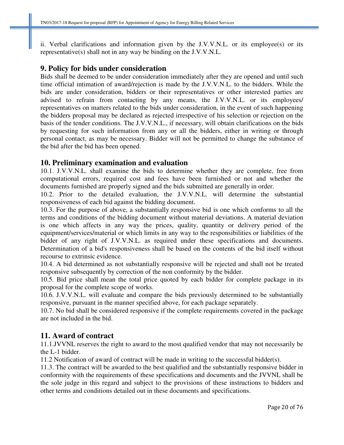ii. Verbal clarifications and information given by the J.V.V.N.L. or its employee(s) or its representative(s) shall not in any way be binding on the J.V.V.N.L.

# **9. Policy for bids under consideration**

Bids shall be deemed to be under consideration immediately after they are opened and until such time official intimation of award/rejection is made by the J.V.V.N.L. to the bidders. While the bids are under consideration, bidders or their representatives or other interested parties are advised to refrain from contacting by any means, the J.V.V.N.L. or its employees/ representatives on matters related to the bids under consideration, in the event of such happening the bidders proposal may be declared as rejected irrespective of his selection or rejection on the basis of the tender conditions. The J.V.V.N.L., if necessary, will obtain clarifications on the bids by requesting for such information from any or all the bidders, either in writing or through personal contact, as may be necessary. Bidder will not be permitted to change the substance of the bid after the bid has been opened.

# **10. Preliminary examination and evaluation**

10.1. J.V.V.N.L. shall examine the bids to determine whether they are complete, free from computational errors, required cost and fees have been furnished or not and whether the documents furnished are properly signed and the bids submitted are generally in order.

10.2. Prior to the detailed evaluation, the J.V.V.N.L. will determine the substantial responsiveness of each bid against the bidding document.

10.3. For the purpose of above, a substantially responsive bid is one which conforms to all the terms and conditions of the bidding document without material deviations. A material deviation is one which affects in any way the prices, quality, quantity or delivery period of the equipment/services/material or which limits in any way to the responsibilities or liabilities of the bidder of any right of J.V.V.N.L. as required under these specifications and documents. Determination of a bid's responsiveness shall be based on the contents of the bid itself without recourse to extrinsic evidence.

10.4. A bid determined as not substantially responsive will be rejected and shall not be treated responsive subsequently by correction of the non conformity by the bidder.

10.5. Bid price shall mean the total price quoted by each bidder for complete package in its proposal for the complete scope of works.

10.6. J.V.V.N.L. will evaluate and compare the bids previously determined to be substantially responsive, pursuant in the manner specified above, for each package separately.

10.7. No bid shall be considered responsive if the complete requirements covered in the package are not included in the bid.

# **11. Award of contract**

11.1.JVVNL reserves the right to award to the most qualified vendor that may not necessarily be the L-1 bidder.

11.2 Notification of award of contract will be made in writing to the successful bidder(s).

11.3. The contract will be awarded to the best qualified and the substantially responsive bidder in conformity with the requirements of these specifications and documents and the JVVNL shall be the sole judge in this regard and subject to the provisions of these instructions to bidders and other terms and conditions detailed out in these documents and specifications.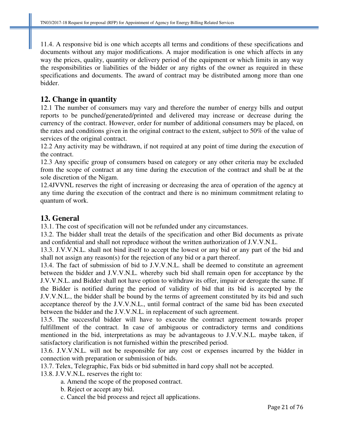11.4. A responsive bid is one which accepts all terms and conditions of these specifications and documents without any major modifications. A major modification is one which affects in any way the prices, quality, quantity or delivery period of the equipment or which limits in any way the responsibilities or liabilities of the bidder or any rights of the owner as required in these specifications and documents. The award of contract may be distributed among more than one bidder.

# **12. Change in quantity**

12.1 The number of consumers may vary and therefore the number of energy bills and output reports to be punched/generated/printed and delivered may increase or decrease during the currency of the contract. However, order for number of additional consumers may be placed, on the rates and conditions given in the original contract to the extent, subject to 50% of the value of services of the original contract.

12.2 Any activity may be withdrawn, if not required at any point of time during the execution of the contract.

12.3 Any specific group of consumers based on category or any other criteria may be excluded from the scope of contract at any time during the execution of the contract and shall be at the sole discretion of the Nigam.

12.4JVVNL reserves the right of increasing or decreasing the area of operation of the agency at any time during the execution of the contract and there is no minimum commitment relating to quantum of work.

# **13. General**

13.1. The cost of specification will not be refunded under any circumstances.

13.2. The bidder shall treat the details of the specification and other Bid documents as private and confidential and shall not reproduce without the written authorization of J.V.V.N.L.

13.3. J.V.V.N.L. shall not bind itself to accept the lowest or any bid or any part of the bid and shall not assign any reason(s) for the rejection of any bid or a part thereof.

13.4. The fact of submission of bid to J.V.V.N.L. shall be deemed to constitute an agreement between the bidder and J.V.V.N.L. whereby such bid shall remain open for acceptance by the J.V.V.N.L. and Bidder shall not have option to withdraw its offer, impair or derogate the same. If the Bidder is notified during the period of validity of bid that its bid is accepted by the J.V.V.N.L., the bidder shall be bound by the terms of agreement constituted by its bid and such acceptance thereof by the J.V.V.N.L., until formal contract of the same bid has been executed between the bidder and the J.V.V.N.L. in replacement of such agreement.

13.5. The successful bidder will have to execute the contract agreement towards proper fulfillment of the contract. In case of ambiguous or contradictory terms and conditions mentioned in the bid, interpretations as may be advantageous to J.V.V.N.L. maybe taken, if satisfactory clarification is not furnished within the prescribed period.

13.6. J.V.V.N.L. will not be responsible for any cost or expenses incurred by the bidder in connection with preparation or submission of bids.

13.7. Telex, Telegraphic, Fax bids or bid submitted in hard copy shall not be accepted.

13.8. J.V.V.N.L. reserves the right to:

- a. Amend the scope of the proposed contract.
- b. Reject or accept any bid.
- c. Cancel the bid process and reject all applications.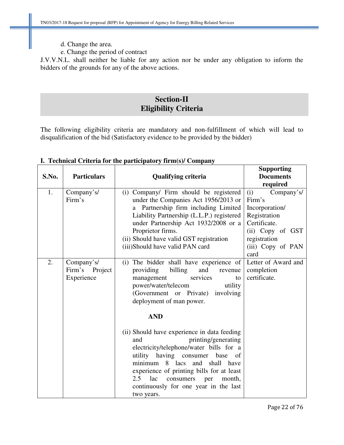- d. Change the area.
- e. Change the period of contract

J.V.V.N.L. shall neither be liable for any action nor be under any obligation to inform the bidders of the grounds for any of the above actions.

# **Section-II Eligibility Criteria**

The following eligibility criteria are mandatory and non-fulfillment of which will lead to disqualification of the bid (Satisfactory evidence to be provided by the bidder)

|       |                    |                                             | <b>Supporting</b>   |
|-------|--------------------|---------------------------------------------|---------------------|
| S.No. | <b>Particulars</b> | <b>Qualifying criteria</b>                  | <b>Documents</b>    |
|       |                    |                                             | required            |
| 1.    | Company's/         | (i) Company/ Firm should be registered      | (i)<br>Company's/   |
|       | Firm's             | under the Companies Act 1956/2013 or        | Firm's              |
|       |                    | a Partnership firm including Limited        | Incorporation/      |
|       |                    | Liability Partnership (L.L.P.) registered   | Registration        |
|       |                    | under Partnership Act 1932/2008 or a        | Certificate.        |
|       |                    | Proprietor firms.                           | (ii) Copy of GST    |
|       |                    | (ii) Should have valid GST registration     | registration        |
|       |                    | (iii)Should have valid PAN card             | (iii) Copy of PAN   |
|       |                    |                                             | card                |
| 2.    | Company's/         | (i) The bidder shall have experience of     | Letter of Award and |
|       | Firm's Project     | and<br>providing<br>billing<br>revenue      | completion          |
|       | Experience         | services<br>management<br>to                | certificate.        |
|       |                    | power/water/telecom<br>utility              |                     |
|       |                    | (Government or Private) involving           |                     |
|       |                    | deployment of man power.                    |                     |
|       |                    | <b>AND</b>                                  |                     |
|       |                    |                                             |                     |
|       |                    | (ii) Should have experience in data feeding |                     |
|       |                    | printing/generating<br>and                  |                     |
|       |                    | electricity/telephone/water bills for a     |                     |
|       |                    | utility having consumer<br>base<br>of       |                     |
|       |                    | minimum 8 lacs and<br>shall have            |                     |
|       |                    | experience of printing bills for at least   |                     |
|       |                    | 2.5<br>lac<br>consumers<br>month,<br>per    |                     |
|       |                    | continuously for one year in the last       |                     |
|       |                    | two years.                                  |                     |

# **I. Technical Criteria for the participatory firm(s)/ Company**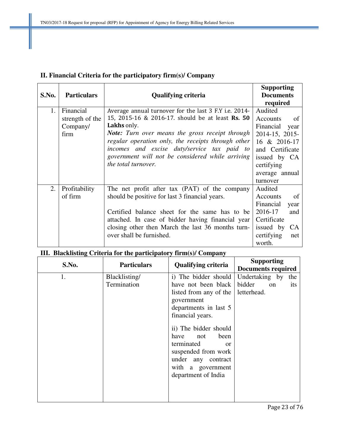# **II. Financial Criteria for the participatory firm(s)/ Company**

|       |                    |                                                       | <b>Supporting</b>         |
|-------|--------------------|-------------------------------------------------------|---------------------------|
| S.No. | <b>Particulars</b> | <b>Qualifying criteria</b>                            | <b>Documents</b>          |
|       |                    |                                                       | required                  |
| 1.    | Financial          | Average annual turnover for the last 3 F.Y i.e. 2014- | Audited                   |
|       | strength of the    | 15, 2015-16 & 2016-17. should be at least Rs. 50      | Accounts<br>-of           |
|       | Company/           | Lakhs only.                                           | Financial<br>year         |
|       | firm               | Note: Turn over means the gross receipt through       | 2014-15, 2015-            |
|       |                    | regular operation only, the receipts through other    | 16 & 2016-17              |
|       |                    | incomes and excise duty/service tax paid to           | and Certificate           |
|       |                    | government will not be considered while arriving      | issued by CA              |
|       |                    | the total turnover.                                   | certifying                |
|       |                    |                                                       | average annual            |
|       |                    |                                                       | turnover                  |
| 2.    | Profitability      | The net profit after tax (PAT) of the company         | Audited                   |
|       | of firm            | should be positive for last 3 financial years.        | Accounts<br><sub>of</sub> |
|       |                    |                                                       | Financial<br>year         |
|       |                    | Certified balance sheet for the same has to be        | 2016-17<br>and            |
|       |                    | attached. In case of bidder having financial year     | Certificate               |
|       |                    | closing other then March the last 36 months turn-     | issued by<br><b>CA</b>    |
|       |                    | over shall be furnished.                              | certifying<br>net         |
|       |                    |                                                       | worth.                    |

# **III. Blacklisting Criteria for the participatory firm(s)/ Company**

| S.No. | <b>Particulars</b> | <b>Qualifying criteria</b> | <b>Supporting</b>         |
|-------|--------------------|----------------------------|---------------------------|
|       |                    |                            | <b>Documents required</b> |
| 1.    | Blacklisting/      | i) The bidder should       | Undertaking by<br>the     |
|       | Termination        | have not been black        | bidder<br>on<br>its       |
|       |                    | listed from any of the     | letterhead.               |
|       |                    | government                 |                           |
|       |                    | departments in last 5      |                           |
|       |                    | financial years.           |                           |
|       |                    | ii) The bidder should      |                           |
|       |                    | have<br>been<br>not        |                           |
|       |                    | terminated<br>$\alpha$     |                           |
|       |                    | suspended from work        |                           |
|       |                    | under any contract         |                           |
|       |                    | with a government          |                           |
|       |                    | department of India        |                           |
|       |                    |                            |                           |
|       |                    |                            |                           |
|       |                    |                            |                           |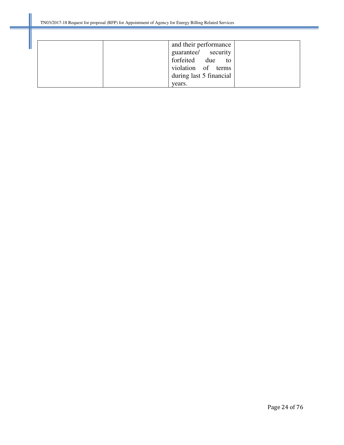|        | and their performance   |  |
|--------|-------------------------|--|
|        | guarantee/ security     |  |
|        | forfeited due to        |  |
|        | violation of terms      |  |
|        | during last 5 financial |  |
| years. |                         |  |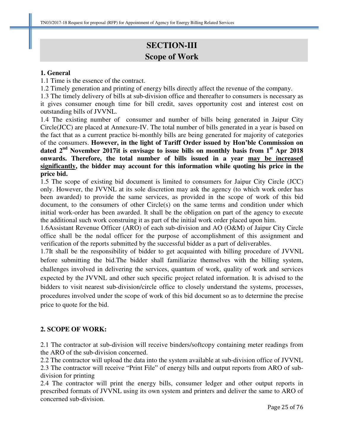# **SECTION-III Scope of Work**

#### **1. General**

1.1 Time is the essence of the contract.

1.2 Timely generation and printing of energy bills directly affect the revenue of the company.

1.3 The timely delivery of bills at sub-division office and thereafter to consumers is necessary as it gives consumer enough time for bill credit, saves opportunity cost and interest cost on outstanding bills of JVVNL.

1.4 The existing number of consumer and number of bills being generated in Jaipur City Circle(JCC) are placed at Annexure-IV. The total number of bills generated in a year is based on the fact that as a current practice bi-monthly bills are being generated for majority of categories of the consumers. **However, in the light of Tariff Order issued by Hon'ble Commission on dated 2nd November 2017it is envisage to issue bills on monthly basis from 1st Apr 2018 onwards. Therefore, the total number of bills issued in a year may be increased significantly, the bidder may account for this information while quoting his price in the price bid.** 

1.5 The scope of existing bid document is limited to consumers for Jaipur City Circle (JCC) only. However, the JVVNL at its sole discretion may ask the agency (to which work order has been awarded) to provide the same services, as provided in the scope of work of this bid document, to the consumers of other Circle(s) on the same terms and condition under which initial work-order has been awarded. It shall be the obligation on part of the agency to execute the additional such work construing it as part of the initial work order placed upon him.

1.6Assistant Revenue Officer (ARO) of each sub-division and AO (O&M) of Jaipur City Circle office shall be the nodal officer for the purpose of accomplishment of this assignment and verification of the reports submitted by the successful bidder as a part of deliverables.

1.7It shall be the responsibility of bidder to get acquainted with billing procedure of JVVNL before submitting the bid.The bidder shall familiarize themselves with the billing system, challenges involved in delivering the services, quantum of work, quality of work and services expected by the JVVNL and other such specific project related information. It is advised to the bidders to visit nearest sub-division/circle office to closely understand the systems, processes, procedures involved under the scope of work of this bid document so as to determine the precise price to quote for the bid.

# **2. SCOPE OF WORK:**

2.1 The contractor at sub-division will receive binders/softcopy containing meter readings from the ARO of the sub-division concerned.

2.2 The contractor will upload the data into the system available at sub-division office of JVVNL 2.3 The contractor will receive "Print File" of energy bills and output reports from ARO of subdivision for printing

2.4 The contractor will print the energy bills, consumer ledger and other output reports in prescribed formats of JVVNL using its own system and printers and deliver the same to ARO of concerned sub-division.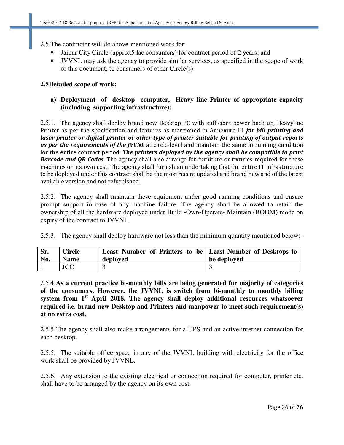2.5 The contractor will do above-mentioned work for:

- Jaipur City Circle (approx5 lac consumers) for contract period of 2 years; and
- JVVNL may ask the agency to provide similar services, as specified in the scope of work of this document, to consumers of other Circle(s)

#### **2.5Detailed scope of work:**

# **a) Deployment of desktop computer, Heavy line Printer of appropriate capacity (including supporting infrastructure):**

2.5.1. The agency shall deploy brand new Desktop PC with sufficient power back up, Heavyline Printer as per the specification and features as mentioned in Annexure III for bill printing and laser printer or digital printer or other type of printer suitable for printing of output reports as per the requirements of the JVVNL at circle-level and maintain the same in running condition for the entire contract period. The printers deployed by the agency shall be compatible to print **Barcode and QR Codes.** The agency shall also arrange for furniture or fixtures required for these machines on its own cost. The agency shall furnish an undertaking that the entire IT infrastructure to be deployed under this contract shall be the most recent updated and brand new and of the latest available version and not refurbished.

2.5.2. The agency shall maintain these equipment under good running conditions and ensure prompt support in case of any machine failure. The agency shall be allowed to retain the ownership of all the hardware deployed under Build -Own-Operate- Maintain (BOOM) mode on expiry of the contract to JVVNL.

2.5.3. The agency shall deploy hardware not less than the minimum quantity mentioned below:-

| Sr. | Circle      | Least Number of Printers to be Least Number of Desktops to | be deployed |
|-----|-------------|------------------------------------------------------------|-------------|
| No. | <b>Name</b> | deployed                                                   |             |
|     | <b>JCC</b>  |                                                            |             |

2.5.4 **As a current practice bi-monthly bills are being generated for majority of categories of the consumers. However, the JVVNL is switch from bi-monthly to monthly billing system from 1st April 2018. The agency shall deploy additional resources whatsoever required i.e. brand new Desktop and Printers and manpower to meet such requirement(s) at no extra cost.**

2.5.5 The agency shall also make arrangements for a UPS and an active internet connection for each desktop.

2.5.5. The suitable office space in any of the JVVNL building with electricity for the office work shall be provided by JVVNL.

2.5.6. Any extension to the existing electrical or connection required for computer, printer etc. shall have to be arranged by the agency on its own cost.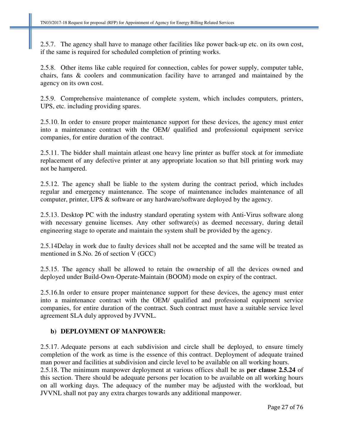2.5.7. The agency shall have to manage other facilities like power back-up etc. on its own cost, if the same is required for scheduled completion of printing works.

2.5.8. Other items like cable required for connection, cables for power supply, computer table, chairs, fans & coolers and communication facility have to arranged and maintained by the agency on its own cost.

2.5.9. Comprehensive maintenance of complete system, which includes computers, printers, UPS, etc. including providing spares.

2.5.10. In order to ensure proper maintenance support for these devices, the agency must enter into a maintenance contract with the OEM/ qualified and professional equipment service companies, for entire duration of the contract.

2.5.11. The bidder shall maintain atleast one heavy line printer as buffer stock at for immediate replacement of any defective printer at any appropriate location so that bill printing work may not be hampered.

2.5.12. The agency shall be liable to the system during the contract period, which includes regular and emergency maintenance. The scope of maintenance includes maintenance of all computer, printer, UPS & software or any hardware/software deployed by the agency.

2.5.13. Desktop PC with the industry standard operating system with Anti-Virus software along with necessary genuine licenses. Any other software(s) as deemed necessary, during detail engineering stage to operate and maintain the system shall be provided by the agency.

2.5.14Delay in work due to faulty devices shall not be accepted and the same will be treated as mentioned in S.No. 26 of section V (GCC)

2.5.15. The agency shall be allowed to retain the ownership of all the devices owned and deployed under Build-Own-Operate-Maintain (BOOM) mode on expiry of the contract.

2.5.16.In order to ensure proper maintenance support for these devices, the agency must enter into a maintenance contract with the OEM/ qualified and professional equipment service companies, for entire duration of the contract. Such contract must have a suitable service level agreement SLA duly approved by JVVNL.

# **b) DEPLOYMENT OF MANPOWER:**

2.5.17. Adequate persons at each subdivision and circle shall be deployed, to ensure timely completion of the work as time is the essence of this contract. Deployment of adequate trained man power and facilities at subdivision and circle level to be available on all working hours.

2.5.18. The minimum manpower deployment at various offices shall be as **per clause 2.5.24** of this section. There should be adequate persons per location to be available on all working hours on all working days. The adequacy of the number may be adjusted with the workload, but JVVNL shall not pay any extra charges towards any additional manpower.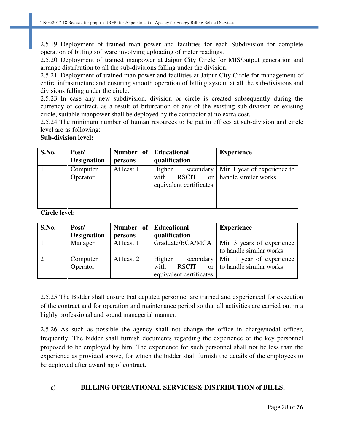2.5.19. Deployment of trained man power and facilities for each Subdivision for complete operation of billing software involving uploading of meter readings.

2.5.20. Deployment of trained manpower at Jaipur City Circle for MIS/output generation and arrange distribution to all the sub-divisions falling under the division.

2.5.21. Deployment of trained man power and facilities at Jaipur City Circle for management of entire infrastructure and ensuring smooth operation of billing system at all the sub-divisions and divisions falling under the circle.

2.5.23. In case any new subdivision, division or circle is created subsequently during the currency of contract, as a result of bifurcation of any of the existing sub-division or existing circle, suitable manpower shall be deployed by the contractor at no extra cost.

2.5.24 The minimum number of human resources to be put in offices at sub-division and circle level are as following:

# **Sub-division level:**

| S.No. | Post/              | Number of Educational |                         | <b>Experience</b>           |
|-------|--------------------|-----------------------|-------------------------|-----------------------------|
|       | <b>Designation</b> | persons               | qualification           |                             |
|       | Computer           | At least 1            | Higher<br>secondary     | Min 1 year of experience to |
|       | Operator           |                       | with<br><b>RSCIT</b>    | or   handle similar works   |
|       |                    |                       | equivalent certificates |                             |
|       |                    |                       |                         |                             |
|       |                    |                       |                         |                             |

**Circle level:** 

| S.No. | Post/              | Number of Educational |                                  | <b>Experience</b>         |
|-------|--------------------|-----------------------|----------------------------------|---------------------------|
|       | <b>Designation</b> | persons               | qualification                    |                           |
|       | Manager            | At least 1            | Graduate/BCA/MCA                 | Min 3 years of experience |
|       |                    |                       |                                  | to handle similar works   |
|       | Computer           | At least 2            | Higher<br>secondary              | Min 1 year of experience  |
|       | Operator           |                       | with<br><b>RSCIT</b><br>$\alpha$ | to handle similar works   |
|       |                    |                       | equivalent certificates          |                           |

2.5.25 The Bidder shall ensure that deputed personnel are trained and experienced for execution of the contract and for operation and maintenance period so that all activities are carried out in a highly professional and sound managerial manner.

2.5.26 As such as possible the agency shall not change the office in charge/nodal officer, frequently. The bidder shall furnish documents regarding the experience of the key personnel proposed to be employed by him. The experience for such personnel shall not be less than the experience as provided above, for which the bidder shall furnish the details of the employees to be deployed after awarding of contract.

# **c) BILLING OPERATIONAL SERVICES& DISTRIBUTION of BILLS:**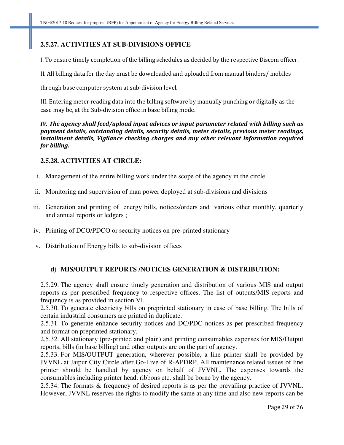# **2.5.27. ACTIVITIES AT SUB-DIVISIONS OFFICE**

I. To ensure timely completion of the billing schedules as decided by the respective Discom officer.

II. All billing data for the day must be downloaded and uploaded from manual binders/ mobiles

through base computer system at sub-division level.

III. Entering meter reading data into the billing software by manually punching or digitally as the case may be, at the Sub-division office in base billing mode.

IV. The agency shall feed/upload input advices or input parameter related with billing such as payment details, outstanding details, security details, meter details, previous meter readings, installment details, Vigilance checking charges and any other relevant information required for billing.

# **2.5.28. ACTIVITIES AT CIRCLE:**

- i. Management of the entire billing work under the scope of the agency in the circle.
- ii. Monitoring and supervision of man power deployed at sub-divisions and divisions
- iii. Generation and printing of energy bills, notices/orders and various other monthly, quarterly and annual reports or ledgers ;
- iv. Printing of DCO/PDCO or security notices on pre-printed stationary
- v. Distribution of Energy bills to sub-division offices

# **d) MIS/OUTPUT REPORTS /NOTICES GENERATION & DISTRIBUTION:**

2.5.29. The agency shall ensure timely generation and distribution of various MIS and output reports as per prescribed frequency to respective offices. The list of outputs/MIS reports and frequency is as provided in section VI.

2.5.30. To generate electricity bills on preprinted stationary in case of base billing. The bills of certain industrial consumers are printed in duplicate.

2.5.31. To generate enhance security notices and DC/PDC notices as per prescribed frequency and format on preprinted stationary.

2.5.32. All stationary (pre-printed and plain) and printing consumables expenses for MIS/Output reports, bills (in base billing) and other outputs are on the part of agency.

2.5.33. For MIS/OUTPUT generation, wherever possible, a line printer shall be provided by JVVNL at Jaipur City Circle after Go-Live of R-APDRP. All maintenance related issues of line printer should be handled by agency on behalf of JVVNL. The expenses towards the consumables including printer head, ribbons etc. shall be borne by the agency.

2.5.34. The formats & frequency of desired reports is as per the prevailing practice of JVVNL. However, JVVNL reserves the rights to modify the same at any time and also new reports can be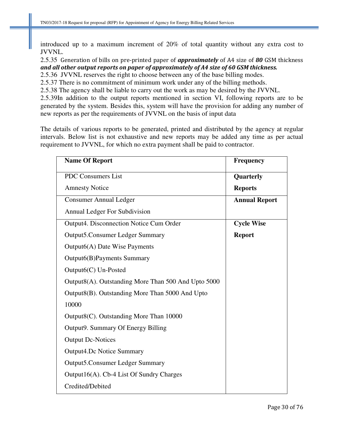introduced up to a maximum increment of 20% of total quantity without any extra cost to JVVNL.

2.5.35 Generation of bills on pre-printed paper of *approximately* of A4 size of 80 GSM thickness and all other output reports on paper of approximately of A4 size of 60 GSM thickness.

2.5.36 JVVNL reserves the right to choose between any of the base billing modes.

2.5.37 There is no commitment of minimum work under any of the billing methods.

2.5.38 The agency shall be liable to carry out the work as may be desired by the JVVNL.

2.5.39In addition to the output reports mentioned in section VI, following reports are to be generated by the system. Besides this, system will have the provision for adding any number of new reports as per the requirements of JVVNL on the basis of input data

The details of various reports to be generated, printed and distributed by the agency at regular intervals. Below list is not exhaustive and new reports may be added any time as per actual requirement to JVVNL, for which no extra payment shall be paid to contractor.

| <b>Name Of Report</b>                               | <b>Frequency</b>     |
|-----------------------------------------------------|----------------------|
| <b>PDC Consumers List</b>                           | Quarterly            |
| <b>Amnesty Notice</b>                               | <b>Reports</b>       |
| <b>Consumer Annual Ledger</b>                       | <b>Annual Report</b> |
| Annual Ledger For Subdivision                       |                      |
| Output4. Disconnection Notice Cum Order             | <b>Cycle Wise</b>    |
| <b>Output5.Consumer Ledger Summary</b>              | <b>Report</b>        |
| Output6(A) Date Wise Payments                       |                      |
| Output6(B)Payments Summary                          |                      |
| $Output6(C)$ Un-Posted                              |                      |
| Output8(A). Outstanding More Than 500 And Upto 5000 |                      |
| Output8(B). Outstanding More Than 5000 And Upto     |                      |
| 10000                                               |                      |
| Output8(C). Outstanding More Than 10000             |                      |
| Output9. Summary Of Energy Billing                  |                      |
| <b>Output Dc-Notices</b>                            |                      |
| <b>Output4.Dc Notice Summary</b>                    |                      |
| <b>Output5.Consumer Ledger Summary</b>              |                      |
| Output16(A). Cb-4 List Of Sundry Charges            |                      |
| Credited/Debited                                    |                      |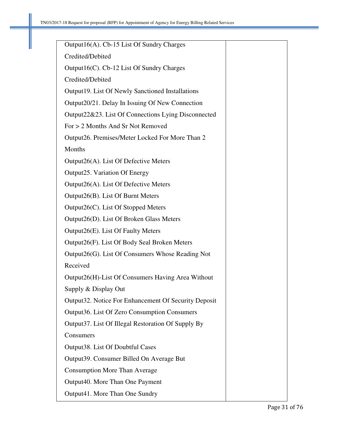| Output16(A). Cb-15 List Of Sundry Charges               |  |
|---------------------------------------------------------|--|
| Credited/Debited                                        |  |
| Output16(C). Cb-12 List Of Sundry Charges               |  |
| Credited/Debited                                        |  |
| <b>Output19.</b> List Of Newly Sanctioned Installations |  |
| Output20/21. Delay In Issuing Of New Connection         |  |
| Output22&23. List Of Connections Lying Disconnected     |  |
| For > 2 Months And Sr Not Removed                       |  |
| Output26. Premises/Meter Locked For More Than 2         |  |
| Months                                                  |  |
| Output26(A). List Of Defective Meters                   |  |
| Output 25. Variation Of Energy                          |  |
| Output26(A). List Of Defective Meters                   |  |
| Output26(B). List Of Burnt Meters                       |  |
| Output26(C). List Of Stopped Meters                     |  |
| Output26(D). List Of Broken Glass Meters                |  |
| Output26(E). List Of Faulty Meters                      |  |
| Output26(F). List Of Body Seal Broken Meters            |  |
| Output26(G). List Of Consumers Whose Reading Not        |  |
| Received                                                |  |
| Output26(H)-List Of Consumers Having Area Without       |  |
| Supply & Display Out                                    |  |
| Output32. Notice For Enhancement Of Security Deposit    |  |
| Output 36. List Of Zero Consumption Consumers           |  |
| Output37. List Of Illegal Restoration Of Supply By      |  |
| Consumers                                               |  |
| Output38. List Of Doubtful Cases                        |  |
| Output 39. Consumer Billed On Average But               |  |
| <b>Consumption More Than Average</b>                    |  |
| Output 40. More Than One Payment                        |  |
| Output41. More Than One Sundry                          |  |
|                                                         |  |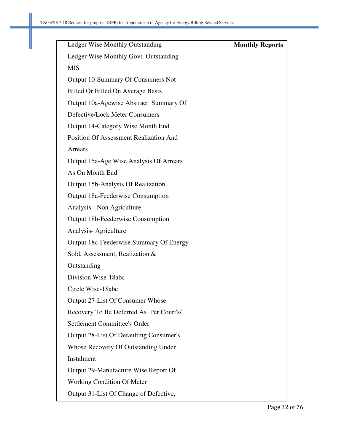| Ledger Wise Monthly Outstanding               | <b>Monthly Reports</b> |
|-----------------------------------------------|------------------------|
| Ledger Wise Monthly Govt. Outstanding         |                        |
| <b>MIS</b>                                    |                        |
| Output 10-Summary Of Consumers Not            |                        |
| Billed Or Billed On Average Basis             |                        |
| Output 10a-Agewise Abstract Summary Of        |                        |
| Defective/Lock Meter Consumers                |                        |
| Output 14-Category Wise Month End             |                        |
| <b>Position Of Assessment Realization And</b> |                        |
| Arrears                                       |                        |
| Output 15a-Age Wise Analysis Of Arrears       |                        |
| As On Month End                               |                        |
| Output 15b-Analysis Of Realization            |                        |
| Output 18a-Feederwise Consumption             |                        |
| Analysis - Non Agriculture                    |                        |
| <b>Output 18b-Feederwise Consumption</b>      |                        |
| Analysis-Agriculture                          |                        |
| Output 18c-Feederwise Summary Of Energy       |                        |
| Sold, Assessment, Realization &               |                        |
| Outstanding                                   |                        |
| Division Wise-18abc                           |                        |
| Circle Wise-18abc                             |                        |
| Output 27-List Of Consumer Whose              |                        |
| Recovery To Be Deferred As Per Court's/       |                        |
| <b>Settlement Committee's Order</b>           |                        |
| Output 28-List Of Defaulting Consumer's       |                        |
| Whose Recovery Of Outstanding Under           |                        |
| Instalment                                    |                        |
| Output 29-Manufacture Wise Report Of          |                        |
| <b>Working Condition Of Meter</b>             |                        |
| Output 31-List Of Change of Defective,        |                        |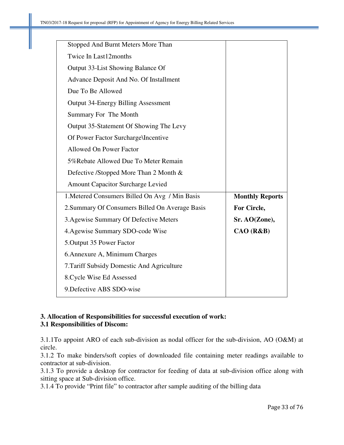| Stopped And Burnt Meters More Than              |                        |
|-------------------------------------------------|------------------------|
| <b>Twice In Last12months</b>                    |                        |
| Output 33-List Showing Balance Of               |                        |
| Advance Deposit And No. Of Installment          |                        |
| Due To Be Allowed                               |                        |
| <b>Output 34-Energy Billing Assessment</b>      |                        |
| Summary For The Month                           |                        |
| Output 35-Statement Of Showing The Levy         |                        |
| Of Power Factor Surcharge\Incentive             |                        |
| <b>Allowed On Power Factor</b>                  |                        |
| 5% Rebate Allowed Due To Meter Remain           |                        |
| Defective /Stopped More Than 2 Month &          |                        |
| <b>Amount Capacitor Surcharge Levied</b>        |                        |
| 1. Metered Consumers Billed On Avg / Min Basis  | <b>Monthly Reports</b> |
| 2. Summary Of Consumers Billed On Average Basis | For Circle,            |
| 3. Agewise Summary Of Defective Meters          | Sr. AO(Zone),          |
| 4. Agewise Summary SDO-code Wise                | CAO (R&B)              |
| 5. Output 35 Power Factor                       |                        |
| 6. Annexure A, Minimum Charges                  |                        |
| 7. Tariff Subsidy Domestic And Agriculture      |                        |
| 8. Cycle Wise Ed Assessed                       |                        |
| 9. Defective ABS SDO-wise                       |                        |

# **3. Allocation of Responsibilities for successful execution of work: 3.1 Responsibilities of Discom:**

3.1.1To appoint ARO of each sub-division as nodal officer for the sub-division, AO (O&M) at circle.

3.1.2 To make binders/soft copies of downloaded file containing meter readings available to contractor at sub-division.

3.1.3 To provide a desktop for contractor for feeding of data at sub-division office along with sitting space at Sub-division office.

3.1.4 To provide "Print file" to contractor after sample auditing of the billing data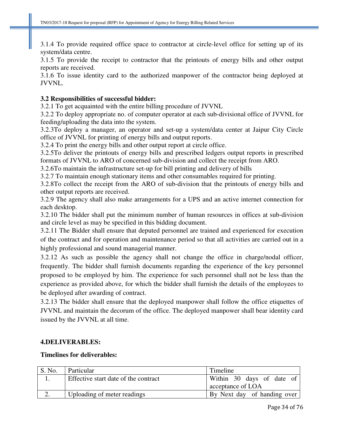3.1.4 To provide required office space to contractor at circle-level office for setting up of its system/data centre.

3.1.5 To provide the receipt to contractor that the printouts of energy bills and other output reports are received.

3.1.6 To issue identity card to the authorized manpower of the contractor being deployed at JVVNL.

#### **3.2 Responsibilities of successful bidder:**

3.2.1 To get acquainted with the entire billing procedure of JVVNL

3.2.2 To deploy appropriate no. of computer operator at each sub-divisional office of JVVNL for feeding/uploading the data into the system.

3.2.3To deploy a manager, an operator and set-up a system/data center at Jaipur City Circle office of JVVNL for printing of energy bills and output reports.

3.2.4 To print the energy bills and other output report at circle office.

3.2.5To deliver the printouts of energy bills and prescribed ledgers output reports in prescribed formats of JVVNL to ARO of concerned sub-division and collect the receipt from ARO.

3.2.6To maintain the infrastructure set-up for bill printing and delivery of bills

3.2.7 To maintain enough stationary items and other consumables required for printing.

3.2.8To collect the receipt from the ARO of sub-division that the printouts of energy bills and other output reports are received.

3.2.9 The agency shall also make arrangements for a UPS and an active internet connection for each desktop.

3.2.10 The bidder shall put the minimum number of human resources in offices at sub-division and circle level as may be specified in this bidding document.

3.2.11 The Bidder shall ensure that deputed personnel are trained and experienced for execution of the contract and for operation and maintenance period so that all activities are carried out in a highly professional and sound managerial manner.

3.2.12 As such as possible the agency shall not change the office in charge/nodal officer, frequently. The bidder shall furnish documents regarding the experience of the key personnel proposed to be employed by him. The experience for such personnel shall not be less than the experience as provided above, for which the bidder shall furnish the details of the employees to be deployed after awarding of contract.

3.2.13 The bidder shall ensure that the deployed manpower shall follow the office etiquettes of JVVNL and maintain the decorum of the office. The deployed manpower shall bear identity card issued by the JVVNL at all time.

#### **4.DELIVERABLES:**

#### **Timelines for deliverables:**

| S. No. | Particular                           | Timeline                    |
|--------|--------------------------------------|-----------------------------|
|        | Effective start date of the contract | Within 30 days of date of   |
|        |                                      | acceptance of LOA           |
|        | Uploading of meter readings          | By Next day of handing over |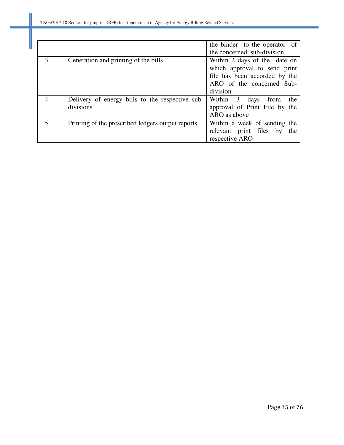|    |                                                   | the binder to the operator of  |
|----|---------------------------------------------------|--------------------------------|
|    |                                                   | the concerned sub-division     |
| 3. | Generation and printing of the bills              | Within 2 days of the date on   |
|    |                                                   | which approval to send print   |
|    |                                                   | file has been accorded by the  |
|    |                                                   | ARO of the concerned Sub-      |
|    |                                                   | division                       |
| 4. | Delivery of energy bills to the respective sub-   | Within 3 days from<br>the      |
|    | divisions                                         | approval of Print File by the  |
|    |                                                   | ARO as above                   |
| 5. | Printing of the prescribed ledgers output reports | Within a week of sending the   |
|    |                                                   | relevant print files by<br>the |
|    |                                                   | respective ARO                 |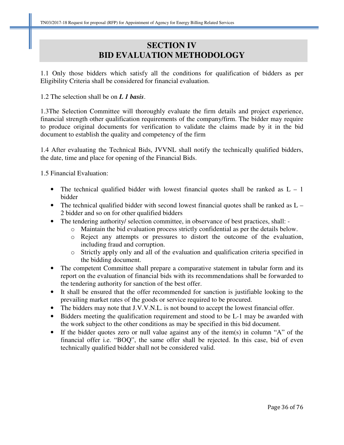# **SECTION IV BID EVALUATION METHODOLOGY**

1.1 Only those bidders which satisfy all the conditions for qualification of bidders as per Eligibility Criteria shall be considered for financial evaluation.

# 1.2 The selection shall be on *L 1 basis*.

1.3The Selection Committee will thoroughly evaluate the firm details and project experience, financial strength other qualification requirements of the company/firm. The bidder may require to produce original documents for verification to validate the claims made by it in the bid document to establish the quality and competency of the firm

1.4 After evaluating the Technical Bids, JVVNL shall notify the technically qualified bidders, the date, time and place for opening of the Financial Bids.

1.5 Financial Evaluation:

- The technical qualified bidder with lowest financial quotes shall be ranked as  $L 1$ bidder
- The technical qualified bidder with second lowest financial quotes shall be ranked as  $L -$ 2 bidder and so on for other qualified bidders
- The tendering authority/ selection committee, in observance of best practices, shall:
	- o Maintain the bid evaluation process strictly confidential as per the details below.
	- o Reject any attempts or pressures to distort the outcome of the evaluation, including fraud and corruption.
	- o Strictly apply only and all of the evaluation and qualification criteria specified in the bidding document.
- The competent Committee shall prepare a comparative statement in tabular form and its report on the evaluation of financial bids with its recommendations shall be forwarded to the tendering authority for sanction of the best offer.
- It shall be ensured that the offer recommended for sanction is justifiable looking to the prevailing market rates of the goods or service required to be procured.
- The bidders may note that J.V.V.N.L. is not bound to accept the lowest financial offer.
- Bidders meeting the qualification requirement and stood to be L-1 may be awarded with the work subject to the other conditions as may be specified in this bid document.
- If the bidder quotes zero or null value against any of the item(s) in column "A" of the financial offer i.e. "BOQ", the same offer shall be rejected. In this case, bid of even technically qualified bidder shall not be considered valid.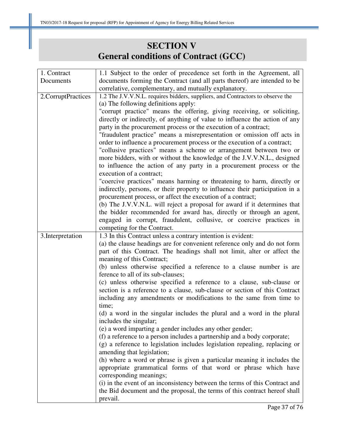# **SECTION V General conditions of Contract (GCC)**

| 1. Contract        | 1.1 Subject to the order of precedence set forth in the Agreement, all         |
|--------------------|--------------------------------------------------------------------------------|
| Documents          | documents forming the Contract (and all parts thereof) are intended to be      |
|                    | correlative, complementary, and mutually explanatory.                          |
| 2.CorruptPractices | 1.2 The J.V.V.N.L. requires bidders, suppliers, and Contractors to observe the |
|                    | (a) The following definitions apply:                                           |
|                    | "corrupt practice" means the offering, giving receiving, or soliciting,        |
|                    | directly or indirectly, of anything of value to influence the action of any    |
|                    | party in the procurement process or the execution of a contract;               |
|                    | "fraudulent practice" means a misrepresentation or omission off acts in        |
|                    | order to influence a procurement process or the execution of a contract;       |
|                    | "collusive practices" means a scheme or arrangement between two or             |
|                    | more bidders, with or without the knowledge of the J.V.V.N.L., designed        |
|                    | to influence the action of any party in a procurement process or the           |
|                    | execution of a contract;                                                       |
|                    | "coercive practices" means harming or threatening to harm, directly or         |
|                    | indirectly, persons, or their property to influence their participation in a   |
|                    | procurement process, or affect the execution of a contract;                    |
|                    | (b) The J.V.V.N.L. will reject a proposal for award if it determines that      |
|                    | the bidder recommended for award has, directly or through an agent,            |
|                    | engaged in corrupt, fraudulent, collusive, or coercive practices in            |
|                    | competing for the Contract.                                                    |
|                    |                                                                                |
| 3. Interpretation  | 1.3 In this Contract unless a contrary intention is evident:                   |
|                    | (a) the clause headings are for convenient reference only and do not form      |
|                    | part of this Contract. The headings shall not limit, alter or affect the       |
|                    | meaning of this Contract;                                                      |
|                    | (b) unless otherwise specified a reference to a clause number is are           |
|                    | ference to all of its sub-clauses;                                             |
|                    | (c) unless otherwise specified a reference to a clause, sub-clause or          |
|                    | section is a reference to a clause, sub-clause or section of this Contract     |
|                    | including any amendments or modifications to the same from time to             |
|                    | time;                                                                          |
|                    | (d) a word in the singular includes the plural and a word in the plural        |
|                    | includes the singular;                                                         |
|                    | (e) a word imparting a gender includes any other gender;                       |
|                    | (f) a reference to a person includes a partnership and a body corporate;       |
|                    | (g) a reference to legislation includes legislation repealing, replacing or    |
|                    | amending that legislation;                                                     |
|                    | (h) where a word or phrase is given a particular meaning it includes the       |
|                    | appropriate grammatical forms of that word or phrase which have                |
|                    | corresponding meanings;                                                        |
|                    | (i) in the event of an inconsistency between the terms of this Contract and    |
|                    | the Bid document and the proposal, the terms of this contract hereof shall     |
|                    | prevail.                                                                       |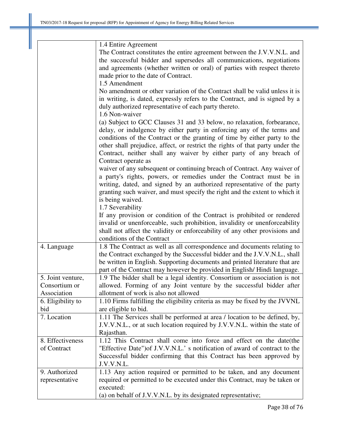|                   | 1.4 Entire Agreement                                                          |
|-------------------|-------------------------------------------------------------------------------|
|                   | The Contract constitutes the entire agreement between the J.V.V.N.L. and      |
|                   | the successful bidder and supersedes all communications, negotiations         |
|                   | and agreements (whether written or oral) of parties with respect thereto      |
|                   | made prior to the date of Contract.                                           |
|                   | 1.5 Amendment                                                                 |
|                   | No amendment or other variation of the Contract shall be valid unless it is   |
|                   | in writing, is dated, expressly refers to the Contract, and is signed by a    |
|                   | duly authorized representative of each party thereto.                         |
|                   | 1.6 Non-waiver                                                                |
|                   | (a) Subject to GCC Clauses 31 and 33 below, no relaxation, forbearance,       |
|                   | delay, or indulgence by either party in enforcing any of the terms and        |
|                   | conditions of the Contract or the granting of time by either party to the     |
|                   | other shall prejudice, affect, or restrict the rights of that party under the |
|                   | Contract, neither shall any waiver by either party of any breach of           |
|                   | Contract operate as                                                           |
|                   | waiver of any subsequent or continuing breach of Contract. Any waiver of      |
|                   | a party's rights, powers, or remedies under the Contract must be in           |
|                   | writing, dated, and signed by an authorized representative of the party       |
|                   | granting such waiver, and must specify the right and the extent to which it   |
|                   | is being waived.                                                              |
|                   | 1.7 Severability                                                              |
|                   | If any provision or condition of the Contract is prohibited or rendered       |
|                   | invalid or unenforceable, such prohibition, invalidity or unenforceability    |
|                   | shall not affect the validity or enforceability of any other provisions and   |
|                   | conditions of the Contract                                                    |
| 4. Language       | 1.8 The Contract as well as all correspondence and documents relating to      |
|                   | the Contract exchanged by the Successful bidder and the J.V.V.N.L., shall     |
|                   | be written in English. Supporting documents and printed literature that are   |
|                   | part of the Contract may however be provided in English/Hindi language.       |
| 5. Joint venture, | 1.9 The bidder shall be a legal identity. Consortium or association is not    |
| Consortium or     | allowed. Forming of any Joint venture by the successful bidder after          |
| Association       | allotment of work is also not allowed                                         |
| 6. Eligibility to | 1.10 Firms fulfilling the eligibility criteria as may be fixed by the JVVNL   |
| bid               | are eligible to bid.                                                          |
| 7. Location       | 1.11 The Services shall be performed at area / location to be defined, by,    |
|                   | J.V.V.N.L., or at such location required by J.V.V.N.L. within the state of    |
|                   | Rajasthan.                                                                    |
| 8. Effectiveness  | 1.12 This Contract shall come into force and effect on the date (the          |
| of Contract       | "Effective Date") of J.V.V.N.L.' s notification of award of contract to the   |
|                   | Successful bidder confirming that this Contract has been approved by          |
|                   | J.V.V.N.L.                                                                    |
| 9. Authorized     | 1.13 Any action required or permitted to be taken, and any document           |
| representative    | required or permitted to be executed under this Contract, may be taken or     |
|                   | executed:                                                                     |
|                   |                                                                               |
|                   | (a) on behalf of J.V.V.N.L. by its designated representative;                 |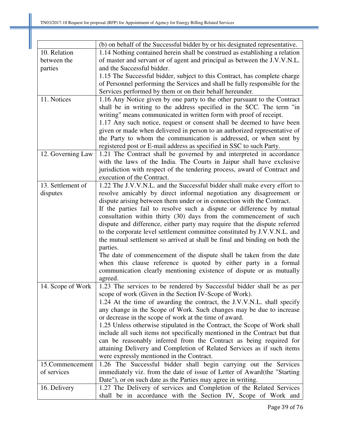|                   | (b) on behalf of the Successful bidder by or his designated representative. |
|-------------------|-----------------------------------------------------------------------------|
| 10. Relation      | 1.14 Nothing contained herein shall be construed as establishing a relation |
| between the       | of master and servant or of agent and principal as between the J.V.V.N.L.   |
| parties           | and the Successful bidder.                                                  |
|                   | 1.15 The Successful bidder, subject to this Contract, has complete charge   |
|                   | of Personnel performing the Services and shall be fully responsible for the |
|                   | Services performed by them or on their behalf hereunder.                    |
| 11. Notices       | 1.16 Any Notice given by one party to the other pursuant to the Contract    |
|                   | shall be in writing to the address specified in the SCC. The term "in       |
|                   | writing" means communicated in written form with proof of receipt.          |
|                   | 1.17 Any such notice, request or consent shall be deemed to have been       |
|                   | given or made when delivered in person to an authorized representative of   |
|                   | the Party to whom the communication is addressed, or when sent by           |
|                   | registered post or E-mail address as specified in SSC to such Party.        |
| 12. Governing Law | 1.21 The Contract shall be governed by and interpreted in accordance        |
|                   | with the laws of the India. The Courts in Jaipur shall have exclusive       |
|                   | jurisdiction with respect of the tendering process, award of Contract and   |
|                   | execution of the Contract.                                                  |
| 13. Settlement of | 1.22 The J.V.V.N.L. and the Successful bidder shall make every effort to    |
| disputes          | resolve amicably by direct informal negotiation any disagreement or         |
|                   | dispute arising between them under or in connection with the Contract.      |
|                   | If the parties fail to resolve such a dispute or difference by mutual       |
|                   | consultation within thirty (30) days from the commencement of such          |
|                   | dispute and difference, either party may require that the dispute referred  |
|                   | to the corporate level settlement committee constituted by J.V.V.N.L. and   |
|                   | the mutual settlement so arrived at shall be final and binding on both the  |
|                   | parties.                                                                    |
|                   | The date of commencement of the dispute shall be taken from the date        |
|                   | when this clause reference is quoted by either party in a formal            |
|                   | communication clearly mentioning existence of dispute or as mutually        |
|                   | agreed.                                                                     |
| 14. Scope of Work | 1.23 The services to be rendered by Successful bidder shall be as per       |
|                   | scope of work (Given in the Section IV-Scope of Work).                      |
|                   | 1.24 At the time of awarding the contract, the J.V.V.N.L. shall specify     |
|                   | any change in the Scope of Work. Such changes may be due to increase        |
|                   | or decrease in the scope of work at the time of award.                      |
|                   | 1.25 Unless otherwise stipulated in the Contract, the Scope of Work shall   |
|                   | include all such items not specifically mentioned in the Contract but that  |
|                   | can be reasonably inferred from the Contract as being required for          |
|                   | attaining Delivery and Completion of Related Services as if such items      |
|                   | were expressly mentioned in the Contract.                                   |
| 15.Commencement   | 1.26 The Successful bidder shall begin carrying out the Services            |
| of services       | immediately viz. from the date of issue of Letter of Award(the "Starting    |
|                   | Date"), or on such date as the Parties may agree in writing.                |
| 16. Delivery      | 1.27 The Delivery of services and Completion of the Related Services        |
|                   | shall be in accordance with the Section IV, Scope of Work and               |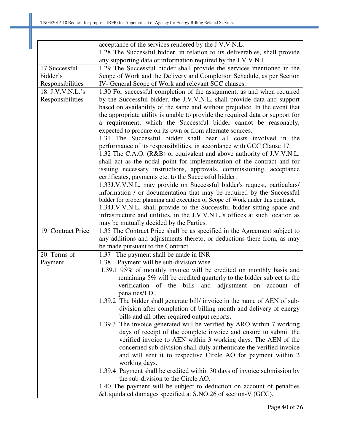|                    | acceptance of the services rendered by the J.V.V.N.L.                                                                                                    |
|--------------------|----------------------------------------------------------------------------------------------------------------------------------------------------------|
|                    | 1.28 The Successful bidder, in relation to its deliverables, shall provide                                                                               |
|                    | any supporting data or information required by the J.V.V.N.L.                                                                                            |
| 17.Successful      | 1.29 The Successful bidder shall provide the services mentioned in the                                                                                   |
| bidder's           | Scope of Work and the Delivery and Completion Schedule, as per Section                                                                                   |
| Responsibilities   | IV- General Scope of Work and relevant SCC clauses.                                                                                                      |
| 18. J.V.V.N.L.'s   | 1.30 For successful completion of the assignment, as and when required                                                                                   |
| Responsibilities   | by the Successful bidder, the J.V.V.N.L. shall provide data and support                                                                                  |
|                    | based on availability of the same and without prejudice. In the event that                                                                               |
|                    | the appropriate utility is unable to provide the required data or support for                                                                            |
|                    | a requirement, which the Successful bidder cannot be reasonably,                                                                                         |
|                    | expected to procure on its own or from alternate sources.                                                                                                |
|                    | 1.31 The Successful bidder shall bear all costs involved in the                                                                                          |
|                    | performance of its responsibilities, in accordance with GCC Clause 17.                                                                                   |
|                    | 1.32 The C.A.O. (R&B) or equivalent and above authority of J.V.V.N.L.                                                                                    |
|                    | shall act as the nodal point for implementation of the contract and for                                                                                  |
|                    | issuing necessary instructions, approvals, commissioning, acceptance                                                                                     |
|                    | certificates, payments etc. to the Successful bidder.                                                                                                    |
|                    | 1.33J.V.V.N.L. may provide on Successful bidder's request, particulars/                                                                                  |
|                    | information / or documentation that may be required by the Successful                                                                                    |
|                    | bidder for proper planning and execution of Scope of Work under this contract.                                                                           |
|                    | 1.34J.V.V.N.L. shall provide to the Successful bidder sitting space and<br>infrastructure and utilities, in the J.V.V.N.L.'s offices at such location as |
|                    | may be mutually decided by the Parties.                                                                                                                  |
| 19. Contract Price | 1.35 The Contract Price shall be as specified in the Agreement subject to                                                                                |
|                    | any additions and adjustments thereto, or deductions there from, as may                                                                                  |
|                    | be made pursuant to the Contract.                                                                                                                        |
| 20. Terms of       | 1.37 The payment shall be made in INR                                                                                                                    |
| Payment            | Payment will be sub-division wise.<br>1.38                                                                                                               |
|                    | 1.39.1 95% of monthly invoice will be credited on monthly basis and                                                                                      |
|                    | remaining 5% will be credited quarterly to the bidder subject to the                                                                                     |
|                    | verification of the bills and adjustment on account of                                                                                                   |
|                    | penalties/LD                                                                                                                                             |
|                    | 1.39.2 The bidder shall generate bill/ invoice in the name of AEN of sub-                                                                                |
|                    | division after completion of billing month and delivery of energy                                                                                        |
|                    | bills and all other required output reports.                                                                                                             |
|                    | 1.39.3 The invoice generated will be verified by ARO within 7 working                                                                                    |
|                    | days of receipt of the complete invoice and ensure to submit the                                                                                         |
|                    | verified invoice to AEN within 3 working days. The AEN of the                                                                                            |
|                    | concerned sub-division shall duly authenticate the verified invoice                                                                                      |
|                    | and will sent it to respective Circle AO for payment within 2                                                                                            |
|                    | working days.                                                                                                                                            |
|                    | 1.39.4 Payment shall be credited within 30 days of invoice submission by                                                                                 |
|                    | the sub-division to the Circle AO.                                                                                                                       |
|                    | 1.40 The payment will be subject to deduction on account of penalties                                                                                    |
|                    | & Liquidated damages specified at S.NO.26 of section-V (GCC).                                                                                            |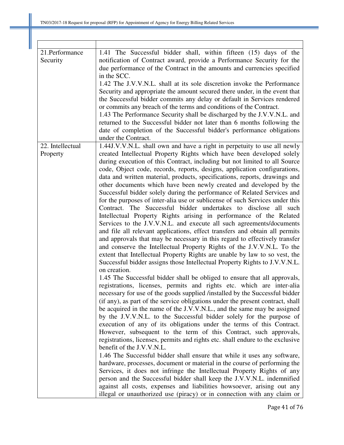| 21.Performance<br>Security   | 1.41 The Successful bidder shall, within fifteen (15) days of the<br>notification of Contract award, provide a Performance Security for the<br>due performance of the Contract in the amounts and currencies specified<br>in the SCC.<br>1.42 The J.V.V.N.L. shall at its sole discretion invoke the Performance<br>Security and appropriate the amount secured there under, in the event that<br>the Successful bidder commits any delay or default in Services rendered<br>or commits any breach of the terms and conditions of the Contract.<br>1.43 The Performance Security shall be discharged by the J.V.V.N.L. and<br>returned to the Successful bidder not later than 6 months following the<br>date of completion of the Successful bidder's performance obligations<br>under the Contract.                                                                                                                                                                                                                                                                                                                                                                                                                                                           |
|------------------------------|-----------------------------------------------------------------------------------------------------------------------------------------------------------------------------------------------------------------------------------------------------------------------------------------------------------------------------------------------------------------------------------------------------------------------------------------------------------------------------------------------------------------------------------------------------------------------------------------------------------------------------------------------------------------------------------------------------------------------------------------------------------------------------------------------------------------------------------------------------------------------------------------------------------------------------------------------------------------------------------------------------------------------------------------------------------------------------------------------------------------------------------------------------------------------------------------------------------------------------------------------------------------|
| 22. Intellectual<br>Property | 1.44J.V.V.N.L. shall own and have a right in perpetuity to use all newly<br>created Intellectual Property Rights which have been developed solely<br>during execution of this Contract, including but not limited to all Source<br>code, Object code, records, reports, designs, application configurations,<br>data and written material, products, specifications, reports, drawings and<br>other documents which have been newly created and developed by the<br>Successful bidder solely during the performance of Related Services and<br>for the purposes of inter-alia use or sublicense of such Services under this<br>Contract. The Successful bidder undertakes to disclose all such<br>Intellectual Property Rights arising in performance of the Related<br>Services to the J.V.V.N.L. and execute all such agreements/documents<br>and file all relevant applications, effect transfers and obtain all permits<br>and approvals that may be necessary in this regard to effectively transfer<br>and conserve the Intellectual Property Rights of the J.V.V.N.L. To the<br>extent that Intellectual Property Rights are unable by law to so vest, the<br>Successful bidder assigns those Intellectual Property Rights to J.V.V.N.L.<br>on creation. |
|                              | 1.45 The Successful bidder shall be obliged to ensure that all approvals,<br>registrations, licenses, permits and rights etc. which are inter-alia<br>necessary for use of the goods supplied /installed by the Successful bidder<br>(if any), as part of the service obligations under the present contract, shall<br>be acquired in the name of the J.V.V.N.L., and the same may be assigned<br>by the J.V.V.N.L. to the Successful bidder solely for the purpose of<br>execution of any of its obligations under the terms of this Contract.<br>However, subsequent to the term of this Contract, such approvals,<br>registrations, licenses, permits and rights etc. shall endure to the exclusive<br>benefit of the J.V.V.N.L.<br>1.46 The Successful bidder shall ensure that while it uses any software,<br>hardware, processes, document or material in the course of performing the<br>Services, it does not infringe the Intellectual Property Rights of any<br>person and the Successful bidder shall keep the J.V.V.N.L. indemnified<br>against all costs, expenses and liabilities howsoever, arising out any<br>illegal or unauthorized use (piracy) or in connection with any claim or                                                           |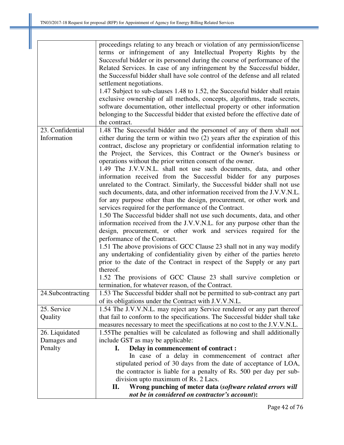|                    | proceedings relating to any breach or violation of any permission/license    |
|--------------------|------------------------------------------------------------------------------|
|                    | terms or infringement of any Intellectual Property Rights by the             |
|                    | Successful bidder or its personnel during the course of performance of the   |
|                    | Related Services. In case of any infringement by the Successful bidder,      |
|                    | the Successful bidder shall have sole control of the defense and all related |
|                    | settlement negotiations.                                                     |
|                    | 1.47 Subject to sub-clauses 1.48 to 1.52, the Successful bidder shall retain |
|                    | exclusive ownership of all methods, concepts, algorithms, trade secrets,     |
|                    | software documentation, other intellectual property or other information     |
|                    | belonging to the Successful bidder that existed before the effective date of |
|                    |                                                                              |
|                    | the contract.                                                                |
| 23. Confidential   | 1.48 The Successful bidder and the personnel of any of them shall not        |
| Information        | either during the term or within two (2) years after the expiration of this  |
|                    | contract, disclose any proprietary or confidential information relating to   |
|                    | the Project, the Services, this Contract or the Owner's business or          |
|                    | operations without the prior written consent of the owner.                   |
|                    | 1.49 The J.V.V.N.L. shall not use such documents, data, and other            |
|                    | information received from the Successful bidder for any purposes             |
|                    | unrelated to the Contract. Similarly, the Successful bidder shall not use    |
|                    | such documents, data, and other information received from the J.V.V.N.L.     |
|                    | for any purpose other than the design, procurement, or other work and        |
|                    | services required for the performance of the Contract.                       |
|                    |                                                                              |
|                    | 1.50 The Successful bidder shall not use such documents, data, and other     |
|                    | information received from the J.V.V.N.L. for any purpose other than the      |
|                    | design, procurement, or other work and services required for the             |
|                    | performance of the Contract.                                                 |
|                    | 1.51 The above provisions of GCC Clause 23 shall not in any way modify       |
|                    | any undertaking of confidentiality given by either of the parties hereto     |
|                    | prior to the date of the Contract in respect of the Supply or any part       |
|                    | thereof.                                                                     |
|                    | 1.52 The provisions of GCC Clause 23 shall survive completion or             |
|                    | termination, for whatever reason, of the Contract.                           |
| 24. Subcontracting | 1.53 The Successful bidder shall not be permitted to sub-contract any part   |
|                    | of its obligations under the Contract with J.V.V.N.L.                        |
| 25. Service        | 1.54 The J.V.V.N.L. may reject any Service rendered or any part thereof      |
| Quality            | that fail to conform to the specifications. The Successful bidder shall take |
|                    | measures necessary to meet the specifications at no cost to the J.V.V.N.L.   |
| 26. Liquidated     | 1.55The penalties will be calculated as following and shall additionally     |
| Damages and        | include GST as may be applicable:                                            |
| Penalty            | Delay in commencement of contract :<br>I.                                    |
|                    | In case of a delay in commencement of contract after                         |
|                    | stipulated period of 30 days from the date of acceptance of LOA,             |
|                    | the contractor is liable for a penalty of Rs. 500 per day per sub-           |
|                    | division upto maximum of Rs. 2 Lacs.                                         |
|                    | Wrong punching of meter data (software related errors will<br>П.             |
|                    | not be in considered on contractor's account):                               |
|                    |                                                                              |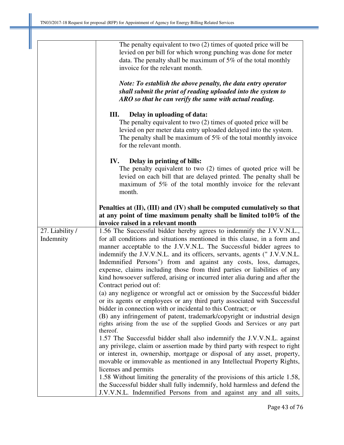|                              | The penalty equivalent to two $(2)$ times of quoted price will be<br>levied on per bill for which wrong punching was done for meter<br>data. The penalty shall be maximum of $5\%$ of the total monthly<br>invoice for the relevant month.<br>Note: To establish the above penalty, the data entry operator                                                                                                                                                                                                                                                       |
|------------------------------|-------------------------------------------------------------------------------------------------------------------------------------------------------------------------------------------------------------------------------------------------------------------------------------------------------------------------------------------------------------------------------------------------------------------------------------------------------------------------------------------------------------------------------------------------------------------|
|                              | shall submit the print of reading uploaded into the system to<br>ARO so that he can verify the same with actual reading.                                                                                                                                                                                                                                                                                                                                                                                                                                          |
|                              | III.<br>Delay in uploading of data:<br>The penalty equivalent to two $(2)$ times of quoted price will be<br>levied on per meter data entry uploaded delayed into the system.<br>The penalty shall be maximum of $5\%$ of the total monthly invoice<br>for the relevant month.                                                                                                                                                                                                                                                                                     |
|                              | Delay in printing of bills:<br>IV.<br>The penalty equivalent to two $(2)$ times of quoted price will be<br>levied on each bill that are delayed printed. The penalty shall be<br>maximum of 5% of the total monthly invoice for the relevant<br>month.                                                                                                                                                                                                                                                                                                            |
|                              | Penalties at (II), (III) and (IV) shall be computed cumulatively so that<br>at any point of time maximum penalty shall be limited to $10\%$ of the<br>invoice raised in a relevant month                                                                                                                                                                                                                                                                                                                                                                          |
| 27. Liability /<br>Indemnity | 1.56 The Successful bidder hereby agrees to indemnify the J.V.V.N.L.,<br>for all conditions and situations mentioned in this clause, in a form and<br>manner acceptable to the J.V.V.N.L. The Successful bidder agrees to<br>indemnify the J.V.V.N.L. and its officers, servants, agents (" J.V.V.N.L.<br>Indemnified Persons") from and against any costs, loss, damages,<br>expense, claims including those from third parties or liabilities of any<br>kind howsoever suffered, arising or incurred inter alia during and after the<br>Contract period out of: |
|                              | (a) any negligence or wrongful act or omission by the Successful bidder<br>or its agents or employees or any third party associated with Successful<br>bidder in connection with or incidental to this Contract; or<br>(B) any infringement of patent, trademark/copyright or industrial design<br>rights arising from the use of the supplied Goods and Services or any part<br>thereof.                                                                                                                                                                         |
|                              | 1.57 The Successful bidder shall also indemnify the J.V.V.N.L. against<br>any privilege, claim or assertion made by third party with respect to right<br>or interest in, ownership, mortgage or disposal of any asset, property,<br>movable or immovable as mentioned in any Intellectual Property Rights,<br>licenses and permits<br>1.58 Without limiting the generality of the provisions of this article 1.58,                                                                                                                                                |
|                              | the Successful bidder shall fully indemnify, hold harmless and defend the<br>J.V.V.N.L. Indemnified Persons from and against any and all suits,                                                                                                                                                                                                                                                                                                                                                                                                                   |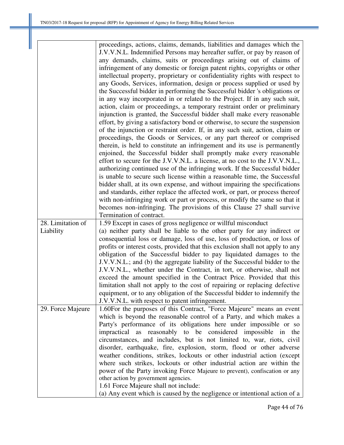|                   | proceedings, actions, claims, demands, liabilities and damages which the                                                                      |
|-------------------|-----------------------------------------------------------------------------------------------------------------------------------------------|
|                   | J.V.V.N.L. Indemnified Persons may hereafter suffer, or pay by reason of                                                                      |
|                   | any demands, claims, suits or proceedings arising out of claims of                                                                            |
|                   | infringement of any domestic or foreign patent rights, copyrights or other                                                                    |
|                   | intellectual property, proprietary or confidentiality rights with respect to                                                                  |
|                   | any Goods, Services, information, design or process supplied or used by                                                                       |
|                   | the Successful bidder in performing the Successful bidder 's obligations or                                                                   |
|                   | in any way incorporated in or related to the Project. If in any such suit,                                                                    |
|                   | action, claim or proceedings, a temporary restraint order or preliminary                                                                      |
|                   | injunction is granted, the Successful bidder shall make every reasonable                                                                      |
|                   | effort, by giving a satisfactory bond or otherwise, to secure the suspension                                                                  |
|                   |                                                                                                                                               |
|                   | of the injunction or restraint order. If, in any such suit, action, claim or                                                                  |
|                   | proceedings, the Goods or Services, or any part thereof or comprised                                                                          |
|                   | therein, is held to constitute an infringement and its use is permanently                                                                     |
|                   | enjoined, the Successful bidder shall promptly make every reasonable                                                                          |
|                   | effort to secure for the J.V.V.N.L. a license, at no cost to the J.V.V.N.L.,                                                                  |
|                   | authorizing continued use of the infringing work. If the Successful bidder                                                                    |
|                   | is unable to secure such license within a reasonable time, the Successful                                                                     |
|                   | bidder shall, at its own expense, and without impairing the specifications                                                                    |
|                   | and standards, either replace the affected work, or part, or process thereof                                                                  |
|                   | with non-infringing work or part or process, or modify the same so that it                                                                    |
|                   | becomes non-infringing. The provisions of this Clause 27 shall survive                                                                        |
|                   | Termination of contract.                                                                                                                      |
|                   |                                                                                                                                               |
| 28. Limitation of | 1.59 Except in cases of gross negligence or willful misconduct                                                                                |
| Liability         | (a) neither party shall be liable to the other party for any indirect or                                                                      |
|                   | consequential loss or damage, loss of use, loss of production, or loss of                                                                     |
|                   | profits or interest costs, provided that this exclusion shall not apply to any                                                                |
|                   | obligation of the Successful bidder to pay liquidated damages to the                                                                          |
|                   | J.V.V.N.L.; and (b) the aggregate liability of the Successful bidder to the                                                                   |
|                   | J.V.V.N.L., whether under the Contract, in tort, or otherwise, shall not                                                                      |
|                   | exceed the amount specified in the Contract Price. Provided that this                                                                         |
|                   | limitation shall not apply to the cost of repairing or replacing defective                                                                    |
|                   | equipment, or to any obligation of the Successful bidder to indemnify the                                                                     |
|                   | J.V.V.N.L. with respect to patent infringement.                                                                                               |
| 29. Force Majeure |                                                                                                                                               |
|                   | 1.60For the purposes of this Contract, "Force Majeure" means an event<br>which is beyond the reasonable control of a Party, and which makes a |
|                   | Party's performance of its obligations here under impossible or so                                                                            |
|                   | impractical as reasonably to be considered impossible in the                                                                                  |
|                   |                                                                                                                                               |
|                   | circumstances, and includes, but is not limited to, war, riots, civil<br>disorder, earthquake, fire, explosion, storm, flood or other adverse |
|                   |                                                                                                                                               |
|                   | weather conditions, strikes, lockouts or other industrial action (except                                                                      |
|                   | where such strikes, lockouts or other industrial action are within the                                                                        |
|                   | power of the Party invoking Force Majeure to prevent), confiscation or any                                                                    |
|                   | other action by government agencies.                                                                                                          |
|                   | 1.61 Force Majeure shall not include:<br>(a) Any event which is caused by the negligence or intentional action of a                           |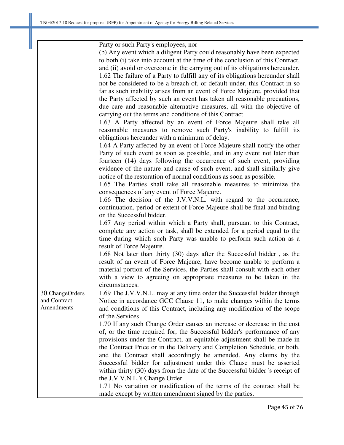|                 | Party or such Party's employees, nor                                          |
|-----------------|-------------------------------------------------------------------------------|
|                 | (b) Any event which a diligent Party could reasonably have been expected      |
|                 | to both (i) take into account at the time of the conclusion of this Contract, |
|                 | and (ii) avoid or overcome in the carrying out of its obligations hereunder.  |
|                 | 1.62 The failure of a Party to fulfill any of its obligations hereunder shall |
|                 | not be considered to be a breach of, or default under, this Contract in so    |
|                 |                                                                               |
|                 | far as such inability arises from an event of Force Majeure, provided that    |
|                 | the Party affected by such an event has taken all reasonable precautions,     |
|                 | due care and reasonable alternative measures, all with the objective of       |
|                 | carrying out the terms and conditions of this Contract.                       |
|                 | 1.63 A Party affected by an event of Force Majeure shall take all             |
|                 | reasonable measures to remove such Party's inability to fulfill its           |
|                 | obligations hereunder with a minimum of delay.                                |
|                 | 1.64 A Party affected by an event of Force Majeure shall notify the other     |
|                 | Party of such event as soon as possible, and in any event not later than      |
|                 | fourteen (14) days following the occurrence of such event, providing          |
|                 | evidence of the nature and cause of such event, and shall similarly give      |
|                 | notice of the restoration of normal conditions as soon as possible.           |
|                 | 1.65 The Parties shall take all reasonable measures to minimize the           |
|                 | consequences of any event of Force Majeure.                                   |
|                 | 1.66 The decision of the J.V.V.N.L. with regard to the occurrence,            |
|                 |                                                                               |
|                 | continuation, period or extent of Force Majeure shall be final and binding    |
|                 | on the Successful bidder.                                                     |
|                 | 1.67 Any period within which a Party shall, pursuant to this Contract,        |
|                 | complete any action or task, shall be extended for a period equal to the      |
|                 | time during which such Party was unable to perform such action as a           |
|                 | result of Force Majeure.                                                      |
|                 | 1.68 Not later than thirty (30) days after the Successful bidder, as the      |
|                 | result of an event of Force Majeure, have become unable to perform a          |
|                 | material portion of the Services, the Parties shall consult with each other   |
|                 | with a view to agreeing on appropriate measures to be taken in the            |
|                 | circumstances.                                                                |
| 30.ChangeOrders | 1.69 The J.V.V.N.L. may at any time order the Successful bidder through       |
| and Contract    | Notice in accordance GCC Clause 11, to make changes within the terms          |
| Amendments      | and conditions of this Contract, including any modification of the scope      |
|                 | of the Services.                                                              |
|                 |                                                                               |
|                 | 1.70 If any such Change Order causes an increase or decrease in the cost      |
|                 | of, or the time required for, the Successful bidder's performance of any      |
|                 | provisions under the Contract, an equitable adjustment shall be made in       |
|                 | the Contract Price or in the Delivery and Completion Schedule, or both,       |
|                 | and the Contract shall accordingly be amended. Any claims by the              |
|                 | Successful bidder for adjustment under this Clause must be asserted           |
|                 | within thirty (30) days from the date of the Successful bidder 's receipt of  |
|                 | the J.V.V.N.L.'s Change Order.                                                |
|                 | 1.71 No variation or modification of the terms of the contract shall be       |
|                 | made except by written amendment signed by the parties.                       |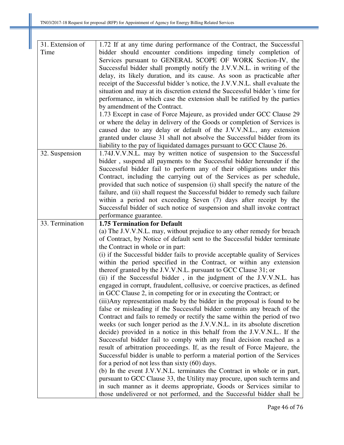| 31. Extension of | 1.72 If at any time during performance of the Contract, the Successful                                                                          |
|------------------|-------------------------------------------------------------------------------------------------------------------------------------------------|
| Time             | bidder should encounter conditions impeding timely completion of                                                                                |
|                  | Services pursuant to GENERAL SCOPE OF WORK Section-IV, the                                                                                      |
|                  | Successful bidder shall promptly notify the J.V.V.N.L. in writing of the                                                                        |
|                  | delay, its likely duration, and its cause. As soon as practicable after                                                                         |
|                  | receipt of the Successful bidder 's notice, the J.V.V.N.L. shall evaluate the                                                                   |
|                  | situation and may at its discretion extend the Successful bidder 's time for                                                                    |
|                  | performance, in which case the extension shall be ratified by the parties                                                                       |
|                  | by amendment of the Contract.                                                                                                                   |
|                  | 1.73 Except in case of Force Majeure, as provided under GCC Clause 29                                                                           |
|                  | or where the delay in delivery of the Goods or completion of Services is                                                                        |
|                  | caused due to any delay or default of the J.V.V.N.L., any extension                                                                             |
|                  | granted under clause 31 shall not absolve the Successful bidder from its                                                                        |
|                  | liability to the pay of liquidated damages pursuant to GCC Clause 26.                                                                           |
| 32. Suspension   | 1.74J.V.V.N.L. may by written notice of suspension to the Successful                                                                            |
|                  | bidder, suspend all payments to the Successful bidder hereunder if the                                                                          |
|                  | Successful bidder fail to perform any of their obligations under this                                                                           |
|                  | Contract, including the carrying out of the Services as per schedule,                                                                           |
|                  | provided that such notice of suspension (i) shall specify the nature of the                                                                     |
|                  | failure, and (ii) shall request the Successful bidder to remedy such failure                                                                    |
|                  | within a period not exceeding Seven (7) days after receipt by the                                                                               |
|                  | Successful bidder of such notice of suspension and shall invoke contract                                                                        |
|                  | performance guarantee.                                                                                                                          |
| 33. Termination  | <b>1.75 Termination for Default</b>                                                                                                             |
|                  | (a) The J.V.V.N.L. may, without prejudice to any other remedy for breach                                                                        |
|                  | of Contract, by Notice of default sent to the Successful bidder terminate                                                                       |
|                  | the Contract in whole or in part:                                                                                                               |
|                  | (i) if the Successful bidder fails to provide acceptable quality of Services                                                                    |
|                  | within the period specified in the Contract, or within any extension                                                                            |
|                  | thereof granted by the J.V.V.N.L. pursuant to GCC Clause 31; or                                                                                 |
|                  | (ii) if the Successful bidder, in the judgment of the J.V.V.N.L. has                                                                            |
|                  | engaged in corrupt, fraudulent, collusive, or coercive practices, as defined                                                                    |
|                  | in GCC Clause 2, in competing for or in executing the Contract; or                                                                              |
|                  | (iii) Any representation made by the bidder in the proposal is found to be                                                                      |
|                  | false or misleading if the Successful bidder commits any breach of the                                                                          |
|                  | Contract and fails to remedy or rectify the same within the period of two                                                                       |
|                  | weeks (or such longer period as the J.V.V.N.L. in its absolute discretion                                                                       |
|                  | decide) provided in a notice in this behalf from the J.V.V.N.L If the                                                                           |
|                  | Successful bidder fail to comply with any final decision reached as a                                                                           |
|                  | result of arbitration proceedings. If, as the result of Force Majeure, the                                                                      |
|                  |                                                                                                                                                 |
|                  |                                                                                                                                                 |
|                  | Successful bidder is unable to perform a material portion of the Services                                                                       |
|                  | for a period of not less than sixty $(60)$ days.                                                                                                |
|                  | (b) In the event J.V.V.N.L. terminates the Contract in whole or in part,                                                                        |
|                  | pursuant to GCC Clause 33, the Utility may procure, upon such terms and<br>in such manner as it deems appropriate, Goods or Services similar to |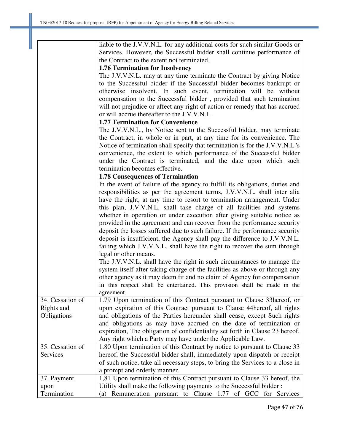liable to the J.V.V.N.L. for any additional costs for such similar Goods or Services. However, the Successful bidder shall continue performance of the Contract to the extent not terminated.

#### **1.76 Termination for Insolvency**

The J.V.V.N.L. may at any time terminate the Contract by giving Notice to the Successful bidder if the Successful bidder becomes bankrupt or otherwise insolvent. In such event, termination will be without compensation to the Successful bidder , provided that such termination will not prejudice or affect any right of action or remedy that has accrued or will accrue thereafter to the J.V.V.N.L.

#### **1.77 Termination for Convenience**

The J.V.V.N.L., by Notice sent to the Successful bidder, may terminate the Contract, in whole or in part, at any time for its convenience. The Notice of termination shall specify that termination is for the J.V.V.N.L.'s convenience, the extent to which performance of the Successful bidder under the Contract is terminated, and the date upon which such termination becomes effective.

#### **1.78 Consequences of Termination**

In the event of failure of the agency to fulfill its obligations, duties and responsibilities as per the agreement terms, J.V.V.N.L. shall inter alia have the right, at any time to resort to termination arrangement. Under this plan, J.V.V.N.L. shall take charge of all facilities and systems whether in operation or under execution after giving suitable notice as provided in the agreement and can recover from the performance security deposit the losses suffered due to such failure. If the performance security deposit is insufficient, the Agency shall pay the difference to J.V.V.N.L. failing which J.V.V.N.L. shall have the right to recover the sum through legal or other means.

The J.V.V.N.L. shall have the right in such circumstances to manage the system itself after taking charge of the facilities as above or through any other agency as it may deem fit and no claim of Agency for compensation in this respect shall be entertained. This provision shall be made in the agreement.

34. Cessation of Rights and **Obligations** 1.79 Upon termination of this Contract pursuant to Clause 33hereof, or upon expiration of this Contract pursuant to Clause 44hereof, all rights and obligations of the Parties hereunder shall cease, except Such rights and obligations as may have accrued on the date of termination or expiration, The obligation of confidentiality set forth in Clause 23 hereof, Any right which a Party may have under the Applicable Law. 35. Cessation of 1.80 Upon termination of this Contract by notice to pursuant to Clause 33

| JJ. COSANON VI | 1.00 Opon termination of this Contract by houte to parsuant to Clause 33      |
|----------------|-------------------------------------------------------------------------------|
| Services       | hereof, the Successful bidder shall, immediately upon dispatch or receipt     |
|                | of such notice, take all necessary steps, to bring the Services to a close in |
|                | a prompt and orderly manner.                                                  |
| 37. Payment    | 1,81 Upon termination of this Contract pursuant to Clause 33 hereof, the      |
| upon           | Utility shall make the following payments to the Successful bidder:           |
| Termination    | (a) Remuneration pursuant to Clause 1.77 of GCC for Services                  |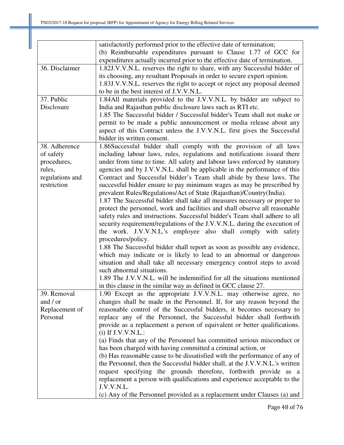|                 | satisfactorily performed prior to the effective date of termination;         |
|-----------------|------------------------------------------------------------------------------|
|                 | (b) Reimbursable expenditures pursuant to Clause 1.77 of GCC for             |
|                 | expenditures actually incurred prior to the effective date of termination.   |
| 36. Disclaimer  | 1.82J.V.V.N.L. reserves the right to share, with any Successful bidder of    |
|                 | its choosing, any resultant Proposals in order to secure expert opinion.     |
|                 | 1.83J.V.V.N.L. reserves the right to accept or reject any proposal deemed    |
|                 | to be in the best interest of J.V.V.N.L.                                     |
| 37. Public      | 1.84All materials provided to the J.V.V.N.L. by bidder are subject to        |
| Disclosure      | India and Rajasthan public disclosure laws such as RTI etc.                  |
|                 | 1.85 The Successful bidder / Successful bidder's Team shall not make or      |
|                 | permit to be made a public announcement or media release about any           |
|                 | aspect of this Contract unless the J.V.V.N.L. first gives the Successful     |
|                 | bidder its written consent.                                                  |
| 38. Adherence   | 1.86Successful bidder shall comply with the provision of all laws            |
| of safety       | including labour laws, rules, regulations and notifications issued there     |
| procedures,     | under from time to time. All safety and labour laws enforced by statutory    |
| rules,          | agencies and by J.V.V.N.L. shall be applicable in the performance of this    |
| regulations and | Contract and Successful bidder's Team shall abide by these laws. The         |
| restriction     | successful bidder ensure to pay minimum wages as may be prescribed by        |
|                 | prevalent Rules/Regulations/Act of State (Rajasthan)/Country(India).         |
|                 | 1.87 The Successful bidder shall take all measures necessary or proper to    |
|                 | protect the personnel, work and facilities and shall observe all reasonable  |
|                 | safety rules and instructions. Successful bidder's Team shall adhere to all  |
|                 | security requirement/regulations of the J.V.V.N.L. during the execution of   |
|                 |                                                                              |
|                 | the work. J.V.V.N.L.'s employee also shall comply with safety                |
|                 | procedures/policy.                                                           |
|                 | 1.88 The Successful bidder shall report as soon as possible any evidence,    |
|                 | which may indicate or is likely to lead to an abnormal or dangerous          |
|                 | situation and shall take all necessary emergency control steps to avoid      |
|                 | such abnormal situations.                                                    |
|                 | 1.89 The J.V.V.N.L. will be indemnified for all the situations mentioned     |
|                 | in this clause in the similar way as defined in GCC clause 27.               |
| 39. Removal     | 1.90 Except as the appropriate J.V.V.N.L. may otherwise agree, no            |
| and / or        | changes shall be made in the Personnel. If, for any reason beyond the        |
| Replacement of  | reasonable control of the Successful bidders, it becomes necessary to        |
| Personal        | replace any of the Personnel, the Successful bidder shall forthwith          |
|                 | provide as a replacement a person of equivalent or better qualifications.    |
|                 | (i) If J.V.V.N.L.:                                                           |
|                 | (a) Finds that any of the Personnel has committed serious misconduct or      |
|                 | has been charged with having committed a criminal action, or                 |
|                 | (b) Has reasonable cause to be dissatisfied with the performance of any of   |
|                 | the Personnel, then the Successful bidder shall, at the J.V.V.N.L.'s written |
|                 | request specifying the grounds therefore, forthwith provide as a             |
|                 | replacement a person with qualifications and experience acceptable to the    |
|                 | J.V.V.N.L.                                                                   |
|                 | (c) Any of the Personnel provided as a replacement under Clauses (a) and     |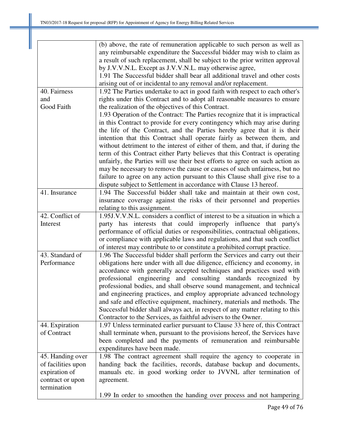|                    | (b) above, the rate of remuneration applicable to such person as well as      |
|--------------------|-------------------------------------------------------------------------------|
|                    | any reimbursable expenditure the Successful bidder may wish to claim as       |
|                    | a result of such replacement, shall be subject to the prior written approval  |
|                    | by J.V.V.N.L. Except as J.V.V.N.L. may otherwise agree,                       |
|                    | 1.91 The Successful bidder shall bear all additional travel and other costs   |
|                    | arising out of or incidental to any removal and/or replacement.               |
| 40. Fairness       | 1.92 The Parties undertake to act in good faith with respect to each other's  |
| and                | rights under this Contract and to adopt all reasonable measures to ensure     |
| Good Faith         | the realization of the objectives of this Contract.                           |
|                    | 1.93 Operation of the Contract: The Parties recognize that it is impractical  |
|                    | in this Contract to provide for every contingency which may arise during      |
|                    | the life of the Contract, and the Parties hereby agree that it is their       |
|                    | intention that this Contract shall operate fairly as between them, and        |
|                    | without detriment to the interest of either of them, and that, if during the  |
|                    | term of this Contract either Party believes that this Contract is operating   |
|                    | unfairly, the Parties will use their best efforts to agree on such action as  |
|                    | may be necessary to remove the cause or causes of such unfairness, but no     |
|                    | failure to agree on any action pursuant to this Clause shall give rise to a   |
|                    | dispute subject to Settlement in accordance with Clause 13 hereof.            |
| 41. Insurance      | 1.94 The Successful bidder shall take and maintain at their own cost,         |
|                    | insurance coverage against the risks of their personnel and properties        |
|                    | relating to this assignment.                                                  |
| 42. Conflict of    | 1.95J.V.V.N.L. considers a conflict of interest to be a situation in which a  |
| Interest           | party has interests that could improperly influence that party's              |
|                    | performance of official duties or responsibilities, contractual obligations,  |
|                    | or compliance with applicable laws and regulations, and that such conflict    |
|                    | of interest may contribute to or constitute a prohibited corrupt practice.    |
| 43. Standard of    | 1.96 The Successful bidder shall perform the Services and carry out their     |
| Performance        | obligations here under with all due diligence, efficiency and economy, in     |
|                    | accordance with generally accepted techniques and practices used with         |
|                    | professional engineering and consulting standards recognized by               |
|                    | professional bodies, and shall observe sound management, and technical        |
|                    | and engineering practices, and employ appropriate advanced technology         |
|                    | and safe and effective equipment, machinery, materials and methods. The       |
|                    | Successful bidder shall always act, in respect of any matter relating to this |
|                    | Contractor to the Services, as faithful advisers to the Owner.                |
| 44. Expiration     | 1.97 Unless terminated earlier pursuant to Clause 33 here of, this Contract   |
| of Contract        | shall terminate when, pursuant to the provisions hereof, the Services have    |
|                    | been completed and the payments of remuneration and reimbursable              |
|                    | expenditures have been made.                                                  |
| 45. Handing over   | 1.98 The contract agreement shall require the agency to cooperate in          |
| of facilities upon | handing back the facilities, records, database backup and documents,          |
| expiration of      | manuals etc. in good working order to JVVNL after termination of              |
| contract or upon   | agreement.                                                                    |
| termination        |                                                                               |
|                    | 1.99 In order to smoothen the handing over process and not hampering          |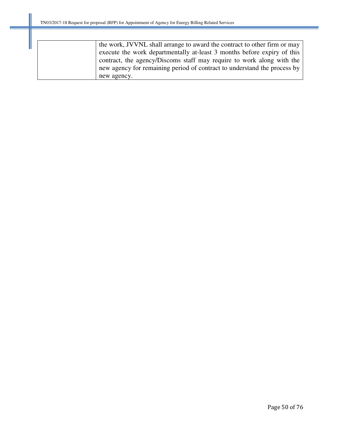| the work, JVVNL shall arrange to award the contract to other firm or may |
|--------------------------------------------------------------------------|
| execute the work departmentally at-least 3 months before expiry of this  |
| contract, the agency/Discoms staff may require to work along with the    |
| new agency for remaining period of contract to understand the process by |
| new agency.                                                              |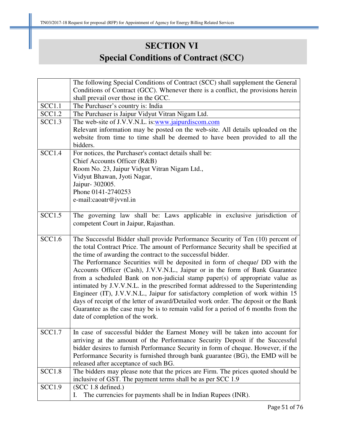# **SECTION VI Special Conditions of Contract (SCC)**

|               | The following Special Conditions of Contract (SCC) shall supplement the General                                                                                       |
|---------------|-----------------------------------------------------------------------------------------------------------------------------------------------------------------------|
|               | Conditions of Contract (GCC). Whenever there is a conflict, the provisions herein                                                                                     |
|               | shall prevail over those in the GCC.                                                                                                                                  |
| SCC1.1        | The Purchaser's country is: India                                                                                                                                     |
| <b>SCC1.2</b> | The Purchaser is Jaipur Vidyut Vitran Nigam Ltd.                                                                                                                      |
| SCC1.3        | The web-site of J.V.V.N.L. is:www.jaipurdiscom.com                                                                                                                    |
|               | Relevant information may be posted on the web-site. All details uploaded on the                                                                                       |
|               | website from time to time shall be deemed to have been provided to all the                                                                                            |
|               | bidders.                                                                                                                                                              |
| <b>SCC1.4</b> | For notices, the Purchaser's contact details shall be:                                                                                                                |
|               | Chief Accounts Officer (R&B)                                                                                                                                          |
|               | Room No. 23, Jaipur Vidyut Vitran Nigam Ltd.,                                                                                                                         |
|               | Vidyut Bhawan, Jyoti Nagar,                                                                                                                                           |
|               | Jaipur- 302005.                                                                                                                                                       |
|               | Phone 0141-2740253                                                                                                                                                    |
|               | e-mail:caoatr@jvvnl.in                                                                                                                                                |
|               |                                                                                                                                                                       |
| SCC1.5        | The governing law shall be: Laws applicable in exclusive jurisdiction of                                                                                              |
|               | competent Court in Jaipur, Rajasthan.                                                                                                                                 |
| SCC1.6        |                                                                                                                                                                       |
|               | The Successful Bidder shall provide Performance Security of Ten (10) percent of<br>the total Contract Price. The amount of Performance Security shall be specified at |
|               | the time of awarding the contract to the successful bidder.                                                                                                           |
|               | The Performance Securities will be deposited in form of cheque/ DD with the                                                                                           |
|               | Accounts Officer (Cash), J.V.V.N.L., Jaipur or in the form of Bank Guarantee                                                                                          |
|               | from a scheduled Bank on non-judicial stamp paper(s) of appropriate value as                                                                                          |
|               | intimated by J.V.V.N.L. in the prescribed format addressed to the Superintending                                                                                      |
|               | Engineer (IT), J.V.V.N.L., Jaipur for satisfactory completion of work within 15                                                                                       |
|               | days of receipt of the letter of award/Detailed work order. The deposit or the Bank                                                                                   |
|               | Guarantee as the case may be is to remain valid for a period of 6 months from the                                                                                     |
|               | date of completion of the work.                                                                                                                                       |
|               |                                                                                                                                                                       |
| SCC1.7        | In case of successful bidder the Earnest Money will be taken into account for                                                                                         |
|               | arriving at the amount of the Performance Security Deposit if the Successful                                                                                          |
|               | bidder desires to furnish Performance Security in form of cheque. However, if the                                                                                     |
|               | Performance Security is furnished through bank guarantee (BG), the EMD will be                                                                                        |
|               | released after acceptance of such BG.                                                                                                                                 |
| <b>SCC1.8</b> | The bidders may please note that the prices are Firm. The prices quoted should be                                                                                     |
|               | inclusive of GST. The payment terms shall be as per SCC 1.9                                                                                                           |
| <b>SCC1.9</b> | (SCC 1.8 defined.)                                                                                                                                                    |
|               | The currencies for payments shall be in Indian Rupees (INR).<br>I.                                                                                                    |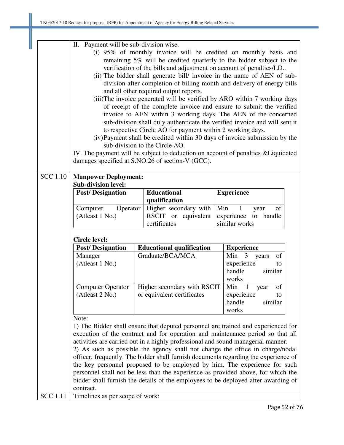|                       | П.                                                                                                                                                                                                                                                                                                                                                                                                                                                                                                                                                                                                                                                                                                                                                                                                                                                                                                                                     |                                                                                     |                                                                                  |  |                                                                                                                                                                                                                                                                                                                                                                                                                                                                                                                                                                                                    |  |  |  |
|-----------------------|----------------------------------------------------------------------------------------------------------------------------------------------------------------------------------------------------------------------------------------------------------------------------------------------------------------------------------------------------------------------------------------------------------------------------------------------------------------------------------------------------------------------------------------------------------------------------------------------------------------------------------------------------------------------------------------------------------------------------------------------------------------------------------------------------------------------------------------------------------------------------------------------------------------------------------------|-------------------------------------------------------------------------------------|----------------------------------------------------------------------------------|--|----------------------------------------------------------------------------------------------------------------------------------------------------------------------------------------------------------------------------------------------------------------------------------------------------------------------------------------------------------------------------------------------------------------------------------------------------------------------------------------------------------------------------------------------------------------------------------------------------|--|--|--|
|                       | Payment will be sub-division wise.<br>(i) 95% of monthly invoice will be credited on monthly basis and<br>remaining 5% will be credited quarterly to the bidder subject to the<br>verification of the bills and adjustment on account of penalties/LD<br>(ii) The bidder shall generate bill/ invoice in the name of AEN of sub-<br>division after completion of billing month and delivery of energy bills<br>and all other required output reports.<br>(iii)The invoice generated will be verified by ARO within 7 working days<br>of receipt of the complete invoice and ensure to submit the verified<br>invoice to AEN within 3 working days. The AEN of the concerned<br>sub-division shall duly authenticate the verified invoice and will sent it<br>to respective Circle AO for payment within 2 working days.<br>(iv)Payment shall be credited within 30 days of invoice submission by the<br>sub-division to the Circle AO. |                                                                                     |                                                                                  |  |                                                                                                                                                                                                                                                                                                                                                                                                                                                                                                                                                                                                    |  |  |  |
|                       |                                                                                                                                                                                                                                                                                                                                                                                                                                                                                                                                                                                                                                                                                                                                                                                                                                                                                                                                        |                                                                                     | damages specified at S.NO.26 of section-V (GCC).                                 |  | IV. The payment will be subject to deduction on account of penalties & Liquidated                                                                                                                                                                                                                                                                                                                                                                                                                                                                                                                  |  |  |  |
| $\overline{SCC}$ 1.10 | <b>Manpower Deployment:</b><br><b>Sub-division level:</b>                                                                                                                                                                                                                                                                                                                                                                                                                                                                                                                                                                                                                                                                                                                                                                                                                                                                              |                                                                                     |                                                                                  |  |                                                                                                                                                                                                                                                                                                                                                                                                                                                                                                                                                                                                    |  |  |  |
|                       | <b>Post/Designation</b>                                                                                                                                                                                                                                                                                                                                                                                                                                                                                                                                                                                                                                                                                                                                                                                                                                                                                                                |                                                                                     | <b>Educational</b><br>qualification                                              |  | <b>Experience</b>                                                                                                                                                                                                                                                                                                                                                                                                                                                                                                                                                                                  |  |  |  |
|                       | Computer<br>Operator<br>(Atleast 1 No.)                                                                                                                                                                                                                                                                                                                                                                                                                                                                                                                                                                                                                                                                                                                                                                                                                                                                                                |                                                                                     | Higher secondary with<br>RSCIT or equivalent<br>certificates                     |  | Min<br>of<br>$\mathbf{1}$<br>year<br>experience to handle<br>similar works                                                                                                                                                                                                                                                                                                                                                                                                                                                                                                                         |  |  |  |
|                       | <b>Circle level:</b>                                                                                                                                                                                                                                                                                                                                                                                                                                                                                                                                                                                                                                                                                                                                                                                                                                                                                                                   |                                                                                     |                                                                                  |  |                                                                                                                                                                                                                                                                                                                                                                                                                                                                                                                                                                                                    |  |  |  |
|                       | <b>Post/Designation</b>                                                                                                                                                                                                                                                                                                                                                                                                                                                                                                                                                                                                                                                                                                                                                                                                                                                                                                                |                                                                                     | <b>Educational qualification</b>                                                 |  | <b>Experience</b>                                                                                                                                                                                                                                                                                                                                                                                                                                                                                                                                                                                  |  |  |  |
|                       | Manager<br>(Atleast 1 No.)                                                                                                                                                                                                                                                                                                                                                                                                                                                                                                                                                                                                                                                                                                                                                                                                                                                                                                             |                                                                                     | Graduate/BCA/MCA                                                                 |  | Min<br>$\overline{\mathbf{3}}$<br>of<br>years<br>experience<br>to<br>handle<br>similar<br>works                                                                                                                                                                                                                                                                                                                                                                                                                                                                                                    |  |  |  |
|                       | <b>Computer Operator</b><br>(Atleast 2 No.)                                                                                                                                                                                                                                                                                                                                                                                                                                                                                                                                                                                                                                                                                                                                                                                                                                                                                            | Min<br>$\mathbf{1}$<br>of<br>year<br>experience<br>to<br>handle<br>similar<br>works |                                                                                  |  |                                                                                                                                                                                                                                                                                                                                                                                                                                                                                                                                                                                                    |  |  |  |
| <b>SCC</b> 1.11       | Note:<br>contract.<br>Timelines as per scope of work:                                                                                                                                                                                                                                                                                                                                                                                                                                                                                                                                                                                                                                                                                                                                                                                                                                                                                  |                                                                                     | activities are carried out in a highly professional and sound managerial manner. |  | 1) The Bidder shall ensure that deputed personnel are trained and experienced for<br>execution of the contract and for operation and maintenance period so that all<br>2) As such as possible the agency shall not change the office in charge/nodal<br>officer, frequently. The bidder shall furnish documents regarding the experience of<br>the key personnel proposed to be employed by him. The experience for such<br>personnel shall not be less than the experience as provided above, for which the<br>bidder shall furnish the details of the employees to be deployed after awarding of |  |  |  |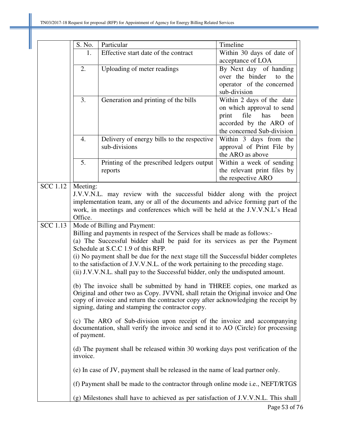|                 | S. No.                                                                          | Particular                                                                                                                                                      | Timeline                                               |  |  |  |  |  |  |  |
|-----------------|---------------------------------------------------------------------------------|-----------------------------------------------------------------------------------------------------------------------------------------------------------------|--------------------------------------------------------|--|--|--|--|--|--|--|
|                 | 1.                                                                              | Effective start date of the contract                                                                                                                            | Within 30 days of date of                              |  |  |  |  |  |  |  |
|                 |                                                                                 |                                                                                                                                                                 | acceptance of LOA                                      |  |  |  |  |  |  |  |
|                 | 2.                                                                              | Uploading of meter readings                                                                                                                                     | By Next day of handing                                 |  |  |  |  |  |  |  |
|                 |                                                                                 |                                                                                                                                                                 | over the binder<br>to the                              |  |  |  |  |  |  |  |
|                 |                                                                                 |                                                                                                                                                                 | operator of the concerned                              |  |  |  |  |  |  |  |
|                 |                                                                                 |                                                                                                                                                                 | sub-division                                           |  |  |  |  |  |  |  |
|                 | 3.                                                                              | Generation and printing of the bills                                                                                                                            | Within 2 days of the date<br>on which approval to send |  |  |  |  |  |  |  |
|                 |                                                                                 |                                                                                                                                                                 | file<br>print<br>has<br>been                           |  |  |  |  |  |  |  |
|                 |                                                                                 |                                                                                                                                                                 | accorded by the ARO of                                 |  |  |  |  |  |  |  |
|                 |                                                                                 |                                                                                                                                                                 | the concerned Sub-division                             |  |  |  |  |  |  |  |
|                 | 4.                                                                              | Delivery of energy bills to the respective                                                                                                                      | Within 3 days from the                                 |  |  |  |  |  |  |  |
|                 |                                                                                 | sub-divisions                                                                                                                                                   | approval of Print File by                              |  |  |  |  |  |  |  |
|                 |                                                                                 |                                                                                                                                                                 | the ARO as above                                       |  |  |  |  |  |  |  |
|                 | 5.                                                                              | Printing of the prescribed ledgers output                                                                                                                       | Within a week of sending                               |  |  |  |  |  |  |  |
|                 |                                                                                 | reports                                                                                                                                                         | the relevant print files by                            |  |  |  |  |  |  |  |
|                 |                                                                                 |                                                                                                                                                                 | the respective ARO                                     |  |  |  |  |  |  |  |
| <b>SCC 1.12</b> | Meeting:                                                                        |                                                                                                                                                                 |                                                        |  |  |  |  |  |  |  |
|                 |                                                                                 | J.V.V.N.L. may review with the successful bidder along with the project                                                                                         |                                                        |  |  |  |  |  |  |  |
|                 |                                                                                 | implementation team, any or all of the documents and advice forming part of the<br>work, in meetings and conferences which will be held at the J.V.V.N.L's Head |                                                        |  |  |  |  |  |  |  |
|                 | Office.                                                                         |                                                                                                                                                                 |                                                        |  |  |  |  |  |  |  |
| <b>SCC</b> 1.13 |                                                                                 | Mode of Billing and Payment:                                                                                                                                    |                                                        |  |  |  |  |  |  |  |
|                 | Billing and payments in respect of the Services shall be made as follows:-      |                                                                                                                                                                 |                                                        |  |  |  |  |  |  |  |
|                 |                                                                                 | (a) The Successful bidder shall be paid for its services as per the Payment                                                                                     |                                                        |  |  |  |  |  |  |  |
|                 |                                                                                 | Schedule at S.C.C 1.9 of this RFP.                                                                                                                              |                                                        |  |  |  |  |  |  |  |
|                 |                                                                                 | (i) No payment shall be due for the next stage till the Successful bidder completes                                                                             |                                                        |  |  |  |  |  |  |  |
|                 |                                                                                 | to the satisfaction of J.V.V.N.L. of the work pertaining to the preceding stage.                                                                                |                                                        |  |  |  |  |  |  |  |
|                 | (ii) J.V.V.N.L. shall pay to the Successful bidder, only the undisputed amount. |                                                                                                                                                                 |                                                        |  |  |  |  |  |  |  |
|                 |                                                                                 | (b) The invoice shall be submitted by hand in THREE copies, one marked as                                                                                       |                                                        |  |  |  |  |  |  |  |
|                 |                                                                                 | Original and other two as Copy. JVVNL shall retain the Original invoice and One                                                                                 |                                                        |  |  |  |  |  |  |  |
|                 |                                                                                 | copy of invoice and return the contractor copy after acknowledging the receipt by                                                                               |                                                        |  |  |  |  |  |  |  |
|                 |                                                                                 | signing, dating and stamping the contractor copy.                                                                                                               |                                                        |  |  |  |  |  |  |  |
|                 |                                                                                 | (c) The ARO of Sub-division upon receipt of the invoice and accompanying                                                                                        |                                                        |  |  |  |  |  |  |  |
|                 |                                                                                 | documentation, shall verify the invoice and send it to AO (Circle) for processing                                                                               |                                                        |  |  |  |  |  |  |  |
|                 | of payment.                                                                     |                                                                                                                                                                 |                                                        |  |  |  |  |  |  |  |
|                 |                                                                                 | (d) The payment shall be released within 30 working days post verification of the                                                                               |                                                        |  |  |  |  |  |  |  |
|                 | invoice.                                                                        |                                                                                                                                                                 |                                                        |  |  |  |  |  |  |  |
|                 |                                                                                 | (e) In case of JV, payment shall be released in the name of lead partner only.                                                                                  |                                                        |  |  |  |  |  |  |  |
|                 |                                                                                 | (f) Payment shall be made to the contractor through online mode i.e., NEFT/RTGS                                                                                 |                                                        |  |  |  |  |  |  |  |
|                 |                                                                                 |                                                                                                                                                                 |                                                        |  |  |  |  |  |  |  |
|                 |                                                                                 | $(g)$ Milestones shall have to achieved as per satisfaction of J.V.V.N.L. This shall                                                                            | $Diag$ 53 of 7                                         |  |  |  |  |  |  |  |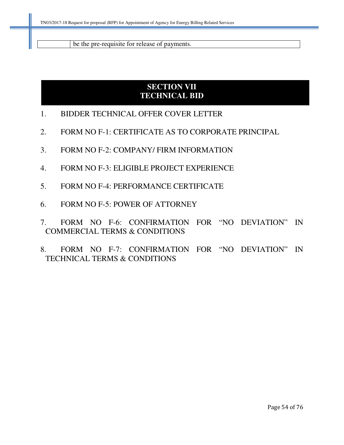be the pre-requisite for release of payments.

## **SECTION VII TECHNICAL BID**

- 1. BIDDER TECHNICAL OFFER COVER LETTER
- 2. FORM NO F-1: CERTIFICATE AS TO CORPORATE PRINCIPAL
- 3. FORM NO F-2: COMPANY/ FIRM INFORMATION
- 4. FORM NO F-3: ELIGIBLE PROJECT EXPERIENCE
- 5. FORM NO F-4: PERFORMANCE CERTIFICATE
- 6. FORM NO F-5: POWER OF ATTORNEY
- 7. FORM NO F-6: CONFIRMATION FOR "NO DEVIATION" IN COMMERCIAL TERMS & CONDITIONS
- 8. FORM NO F-7: CONFIRMATION FOR "NO DEVIATION" IN TECHNICAL TERMS & CONDITIONS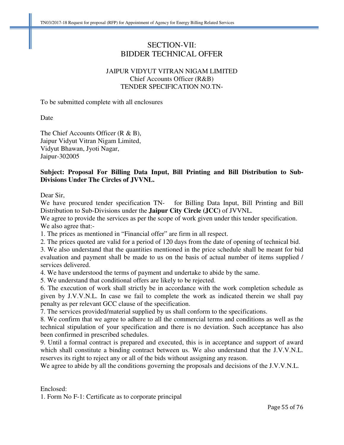#### SECTION-VII: BIDDER TECHNICAL OFFER

#### JAIPUR VIDYUT VITRAN NIGAM LIMITED Chief Accounts Officer (R&B) TENDER SPECIFICATION NO.TN-

To be submitted complete with all enclosures

Date

The Chief Accounts Officer (R & B), Jaipur Vidyut Vitran Nigam Limited, Vidyut Bhawan, Jyoti Nagar, Jaipur-302005

#### **Subject: Proposal For Billing Data Input, Bill Printing and Bill Distribution to Sub-Divisions Under The Circles of JVVNL.**

Dear Sir,

We have procured tender specification TN- for Billing Data Input, Bill Printing and Bill Distribution to Sub-Divisions under the **Jaipur City Circle (JCC)** of JVVNL.

We agree to provide the services as per the scope of work given under this tender specification. We also agree that:-

1. The prices as mentioned in "Financial offer" are firm in all respect.

2. The prices quoted are valid for a period of 120 days from the date of opening of technical bid.

3. We also understand that the quantities mentioned in the price schedule shall be meant for bid evaluation and payment shall be made to us on the basis of actual number of items supplied / services delivered.

4. We have understood the terms of payment and undertake to abide by the same.

5. We understand that conditional offers are likely to be rejected.

6. The execution of work shall strictly be in accordance with the work completion schedule as given by J.V.V.N.L. In case we fail to complete the work as indicated therein we shall pay penalty as per relevant GCC clause of the specification.

7. The services provided/material supplied by us shall conform to the specifications.

8. We confirm that we agree to adhere to all the commercial terms and conditions as well as the technical stipulation of your specification and there is no deviation. Such acceptance has also been confirmed in prescribed schedules.

9. Until a formal contract is prepared and executed, this is in acceptance and support of award which shall constitute a binding contract between us. We also understand that the J.V.V.N.L. reserves its right to reject any or all of the bids without assigning any reason.

We agree to abide by all the conditions governing the proposals and decisions of the J.V.V.N.L.

Enclosed:

1. Form No F-1: Certificate as to corporate principal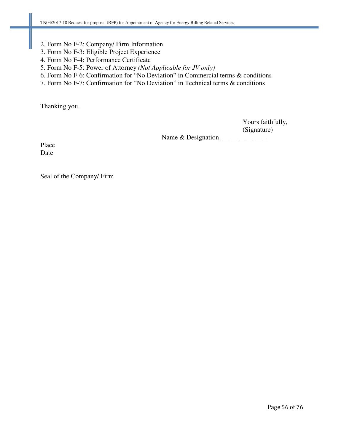- 2. Form No F-2: Company/ Firm Information
- 3. Form No F-3: Eligible Project Experience
- 4. Form No F-4: Performance Certificate
- 5. Form No F-5: Power of Attorney *(Not Applicable for JV only)*
- 6. Form No F-6: Confirmation for "No Deviation" in Commercial terms & conditions
- 7. Form No F-7: Confirmation for "No Deviation" in Technical terms & conditions

Thanking you.

 Yours faithfully, (Signature)

Name & Designation\_

Place Date

Seal of the Company/ Firm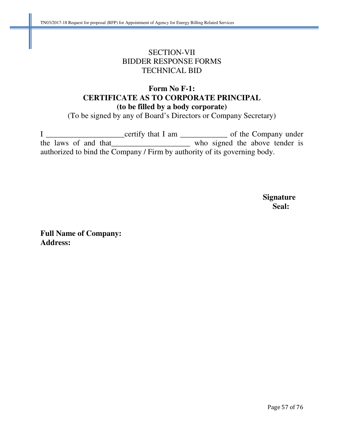## SECTION-VII BIDDER RESPONSE FORMS TECHNICAL BID

### **Form No F-1: CERTIFICATE AS TO CORPORATE PRINCIPAL (to be filled by a body corporate)**

(To be signed by any of Board's Directors or Company Secretary)

I \_\_\_\_\_\_\_\_\_\_\_\_\_\_\_\_\_\_\_\_\_\_\_certify that I am \_\_\_\_\_\_\_\_\_\_\_\_\_\_\_\_\_\_ of the Company under the laws of and that \_\_\_\_\_\_\_\_\_\_\_\_\_\_\_\_\_\_\_\_\_\_ who signed the above tender is authorized to bind the Company / Firm by authority of its governing body.

 **Signature Seal: Seal:** 

**Full Name of Company: Address:**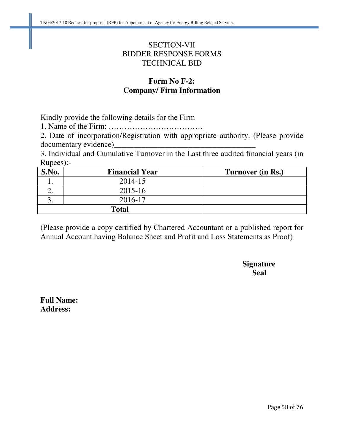### SECTION-VII BIDDER RESPONSE FORMS TECHNICAL BID

### **Form No F-2: Company/ Firm Information**

Kindly provide the following details for the Firm

1. Name of the Firm: ………………………………

2. Date of incorporation/Registration with appropriate authority. (Please provide documentary evidence)\_

3. Individual and Cumulative Turnover in the Last three audited financial years (in Rupees):-

| S.No. | <b>Financial Year</b> | Turnover (in Rs.) |
|-------|-----------------------|-------------------|
|       | 2014-15               |                   |
|       | $2015 - 16$           |                   |
|       | 2016-17               |                   |
|       | <b>Total</b>          |                   |

(Please provide a copy certified by Chartered Accountant or a published report for Annual Account having Balance Sheet and Profit and Loss Statements as Proof)

 **Signature Seal** 

**Full Name: Address:**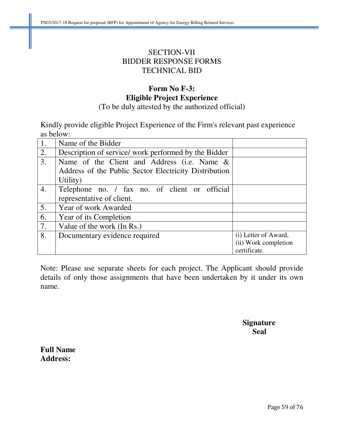### SECTION-VII BIDDER RESPONSE FORMS TECHNICAL BID

# **Form No F-3: Eligible Project Experience**

(To be duly attested by the authorized official)

Kindly provide eligible Project Experience of the Firm's relevant past experience as below:

| 1. | Name of the Bidder                                    |                      |
|----|-------------------------------------------------------|----------------------|
| 2. | Description of service/ work performed by the Bidder  |                      |
| 3. | Name of the Client and Address (i.e. Name &           |                      |
|    | Address of the Public Sector Electricity Distribution |                      |
|    | Utility)                                              |                      |
| 4. | Telephone no. / fax no. of client or official         |                      |
|    | representative of client.                             |                      |
| 5. | Year of work Awarded                                  |                      |
| 6. | Year of its Completion                                |                      |
| 7. | Value of the work (In Rs.)                            |                      |
| 8. | Documentary evidence required                         | (i) Letter of Award, |
|    |                                                       | (ii) Work completion |
|    |                                                       | certificate.         |

Note: Please use separate sheets for each project. The Applicant should provide details of only those assignments that have been undertaken by it under its own name.

### **Signature Seal**

**Full Name Address:**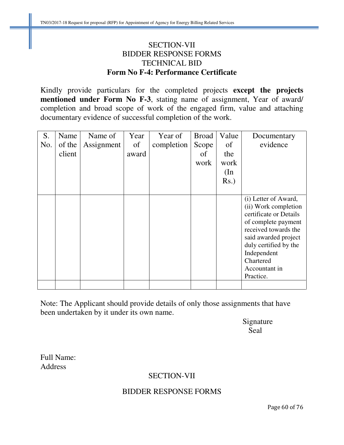### SECTION-VII BIDDER RESPONSE FORMS TECHNICAL BID **Form No F-4: Performance Certificate**

Kindly provide particulars for the completed projects **except the projects mentioned under Form No F-3**, stating name of assignment, Year of award/ completion and broad scope of work of the engaged firm, value and attaching documentary evidence of successful completion of the work.

|        |            | Year  | Year of    | <b>Broad</b> | Value   | Documentary                                                                                                                                                                                                                      |
|--------|------------|-------|------------|--------------|---------|----------------------------------------------------------------------------------------------------------------------------------------------------------------------------------------------------------------------------------|
| of the | Assignment | of    | completion | Scope        | of      | evidence                                                                                                                                                                                                                         |
| client |            | award |            | of           | the     |                                                                                                                                                                                                                                  |
|        |            |       |            | work         | work    |                                                                                                                                                                                                                                  |
|        |            |       |            |              | (In     |                                                                                                                                                                                                                                  |
|        |            |       |            |              | $Rs.$ ) |                                                                                                                                                                                                                                  |
|        |            |       |            |              |         |                                                                                                                                                                                                                                  |
|        |            |       |            |              |         | (i) Letter of Award,<br>(ii) Work completion<br>certificate or Details<br>of complete payment<br>received towards the<br>said awarded project<br>duly certified by the<br>Independent<br>Chartered<br>Accountant in<br>Practice. |
|        |            |       |            |              |         |                                                                                                                                                                                                                                  |

Note: The Applicant should provide details of only those assignments that have been undertaken by it under its own name.

 Signature Seal

Full Name: Address

### SECTION-VII

#### BIDDER RESPONSE FORMS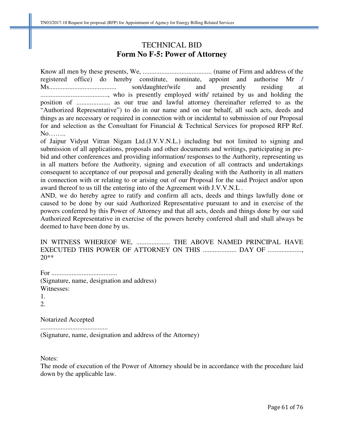### TECHNICAL BID **Form No F-5: Power of Attorney**

Know all men by these presents, We, ......................................... (name of Firm and address of the registered office) do hereby constitute, nominate, appoint and authorise Mr / Ms........................................ son/daughter/wife and presently residing at ........................................, who is presently employed with/ retained by us and holding the position of .................... as our true and lawful attorney (hereinafter referred to as the "Authorized Representative") to do in our name and on our behalf, all such acts, deeds and things as are necessary or required in connection with or incidental to submission of our Proposal for and selection as the Consultant for Financial & Technical Services for proposed RFP Ref. No……..

of Jaipur Vidyut Vitran Nigam Ltd.(J.V.V.N.L.) including but not limited to signing and submission of all applications, proposals and other documents and writings, participating in prebid and other conferences and providing information/ responses to the Authority, representing us in all matters before the Authority, signing and execution of all contracts and undertakings consequent to acceptance of our proposal and generally dealing with the Authority in all matters in connection with or relating to or arising out of our Proposal for the said Project and/or upon award thereof to us till the entering into of the Agreement with J.V.V.N.L .

AND, we do hereby agree to ratify and confirm all acts, deeds and things lawfully done or caused to be done by our said Authorized Representative pursuant to and in exercise of the powers conferred by this Power of Attorney and that all acts, deeds and things done by our said Authorized Representative in exercise of the powers hereby conferred shall and shall always be deemed to have been done by us.

IN WITNESS WHEREOF WE, .................... THE ABOVE NAMED PRINCIPAL HAVE EXECUTED THIS POWER OF ATTORNEY ON THIS ...................... DAY OF .................... 20\*\*

For ....................................... (Signature, name, designation and address) Witnesses: 1.

2.

Notarized Accepted

........................................ (Signature, name, designation and address of the Attorney)

Notes:

The mode of execution of the Power of Attorney should be in accordance with the procedure laid down by the applicable law.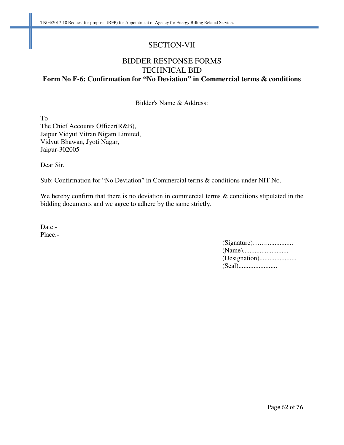#### SECTION-VII

## BIDDER RESPONSE FORMS TECHNICAL BID **Form No F-6: Confirmation for "No Deviation" in Commercial terms & conditions**

Bidder's Name & Address:

To The Chief Accounts Officer(R&B), Jaipur Vidyut Vitran Nigam Limited, Vidyut Bhawan, Jyoti Nagar, Jaipur-302005

Dear Sir,

Sub: Confirmation for "No Deviation" in Commercial terms & conditions under NIT No.

We hereby confirm that there is no deviation in commercial terms & conditions stipulated in the bidding documents and we agree to adhere by the same strictly.

Date:-Place:-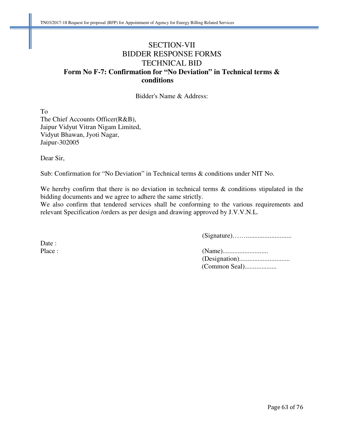### SECTION-VII BIDDER RESPONSE FORMS TECHNICAL BID **Form No F-7: Confirmation for "No Deviation" in Technical terms &**  conditions

Bidder's Name & Address:

To The Chief Accounts Officer(R&B), Jaipur Vidyut Vitran Nigam Limited, Vidyut Bhawan, Jyoti Nagar, Jaipur-302005

Dear Sir,

Sub: Confirmation for "No Deviation" in Technical terms & conditions under NIT No.

We hereby confirm that there is no deviation in technical terms  $\&$  conditions stipulated in the bidding documents and we agree to adhere the same strictly.

We also confirm that tendered services shall be conforming to the various requirements and relevant Specification /orders as per design and drawing approved by J.V.V.N.L.

(Signature)……...........................

Place : (Name)........................... (Designation).............................. (Common Seal)...................

Date :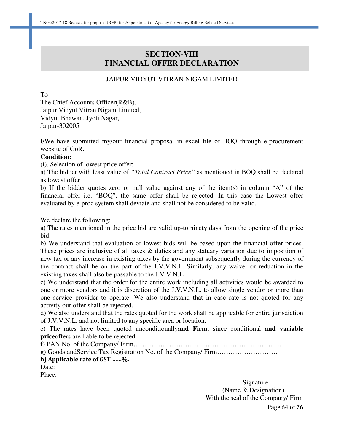### **SECTION-VIII FINANCIAL OFFER DECLARATION**

#### JAIPUR VIDYUT VITRAN NIGAM LIMITED

To

The Chief Accounts Officer(R&B), Jaipur Vidyut Vitran Nigam Limited, Vidyut Bhawan, Jyoti Nagar, Jaipur-302005

I/We have submitted my/our financial proposal in excel file of BOQ through e-procurement website of GoR.

#### **Condition:**

(i). Selection of lowest price offer:

a) The bidder with least value of *"Total Contract Price"* as mentioned in BOQ shall be declared as lowest offer.

b) If the bidder quotes zero or null value against any of the item(s) in column "A" of the financial offer i.e. "BOQ", the same offer shall be rejected. In this case the Lowest offer evaluated by e-proc system shall deviate and shall not be considered to be valid.

We declare the following:

a) The rates mentioned in the price bid are valid up-to ninety days from the opening of the price bid.

b) We understand that evaluation of lowest bids will be based upon the financial offer prices. These prices are inclusive of all taxes & duties and any statuary variation due to imposition of new tax or any increase in existing taxes by the government subsequently during the currency of the contract shall be on the part of the J.V.V.N.L. Similarly, any waiver or reduction in the existing taxes shall also be passable to the J.V.V.N.L.

c) We understand that the order for the entire work including all activities would be awarded to one or more vendors and it is discretion of the J.V.V.N.L. to allow single vendor or more than one service provider to operate. We also understand that in case rate is not quoted for any activity our offer shall be rejected.

d) We also understand that the rates quoted for the work shall be applicable for entire jurisdiction of J.V.V.N.L. and not limited to any specific area or location.

e) The rates have been quoted unconditionally**and Firm**, since conditional **and variable price**offers are liable to be rejected.

f) PAN No. of the Company/ Firm…………………………………………………………

g) Goods andService Tax Registration No. of the Company/ Firm………………………

#### h) Applicable rate of GST ……%.

Date:

Place:

Page 64 of 76 Signature Signature (Name & Designation) With the seal of the Company/ Firm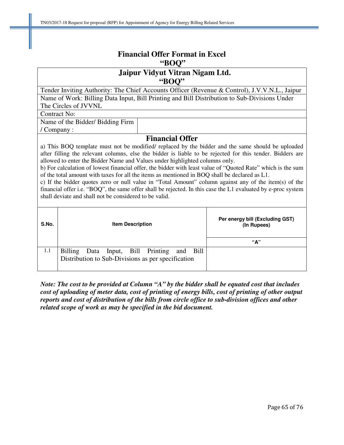| <b>Financial Offer Format in Excel</b><br>"BOO"                                                                                                                                                                                                                                                                                                                                                                                                                                                                                                                                                                                                                                                                                                                                                                            |                                                                                                |                                                       |                                                                                               |  |  |  |  |  |
|----------------------------------------------------------------------------------------------------------------------------------------------------------------------------------------------------------------------------------------------------------------------------------------------------------------------------------------------------------------------------------------------------------------------------------------------------------------------------------------------------------------------------------------------------------------------------------------------------------------------------------------------------------------------------------------------------------------------------------------------------------------------------------------------------------------------------|------------------------------------------------------------------------------------------------|-------------------------------------------------------|-----------------------------------------------------------------------------------------------|--|--|--|--|--|
|                                                                                                                                                                                                                                                                                                                                                                                                                                                                                                                                                                                                                                                                                                                                                                                                                            | Jaipur Vidyut Vitran Nigam Ltd.<br>"BOO"                                                       |                                                       |                                                                                               |  |  |  |  |  |
|                                                                                                                                                                                                                                                                                                                                                                                                                                                                                                                                                                                                                                                                                                                                                                                                                            |                                                                                                |                                                       | Tender Inviting Authority: The Chief Accounts Officer (Revenue & Control), J.V.V.N.L., Jaipur |  |  |  |  |  |
|                                                                                                                                                                                                                                                                                                                                                                                                                                                                                                                                                                                                                                                                                                                                                                                                                            |                                                                                                |                                                       | Name of Work: Billing Data Input, Bill Printing and Bill Distribution to Sub-Divisions Under  |  |  |  |  |  |
|                                                                                                                                                                                                                                                                                                                                                                                                                                                                                                                                                                                                                                                                                                                                                                                                                            | The Circles of JVVNL                                                                           |                                                       |                                                                                               |  |  |  |  |  |
| <b>Contract No:</b>                                                                                                                                                                                                                                                                                                                                                                                                                                                                                                                                                                                                                                                                                                                                                                                                        |                                                                                                |                                                       |                                                                                               |  |  |  |  |  |
|                                                                                                                                                                                                                                                                                                                                                                                                                                                                                                                                                                                                                                                                                                                                                                                                                            | Name of the Bidder/ Bidding Firm                                                               |                                                       |                                                                                               |  |  |  |  |  |
| / Company:                                                                                                                                                                                                                                                                                                                                                                                                                                                                                                                                                                                                                                                                                                                                                                                                                 |                                                                                                |                                                       |                                                                                               |  |  |  |  |  |
| <b>Financial Offer</b><br>a) This BOQ template must not be modified/ replaced by the bidder and the same should be uploaded<br>after filling the relevant columns, else the bidder is liable to be rejected for this tender. Bidders are<br>allowed to enter the Bidder Name and Values under highlighted columns only.<br>b) For calculation of lowest financial offer, the bidder with least value of "Quoted Rate" which is the sum<br>of the total amount with taxes for all the items as mentioned in BOQ shall be declared as L1.<br>c) If the bidder quotes zero or null value in "Total Amount" column against any of the item(s) of the<br>financial offer i.e. "BOQ", the same offer shall be rejected. In this case the L1 evaluated by e-proc system<br>shall deviate and shall not be considered to be valid. |                                                                                                |                                                       |                                                                                               |  |  |  |  |  |
| S.No.                                                                                                                                                                                                                                                                                                                                                                                                                                                                                                                                                                                                                                                                                                                                                                                                                      | <b>Item Description</b>                                                                        | Per energy bill (Excluding GST)<br>(In Rupees)<br>"А" |                                                                                               |  |  |  |  |  |
| 1.1                                                                                                                                                                                                                                                                                                                                                                                                                                                                                                                                                                                                                                                                                                                                                                                                                        | <b>Billing</b><br>Bill<br>Data<br>Input,<br>Distribution to Sub-Divisions as per specification | <b>Bill</b><br>Printing<br>and                        |                                                                                               |  |  |  |  |  |

*Note: The cost to be provided at Column "A" by the bidder shall be equated cost that includes cost of uploading of meter data, cost of printing of energy bills, cost of printing of other output reports and cost of distribution of the bills from circle office to sub-division offices and other related scope of work as may be specified in the bid document.*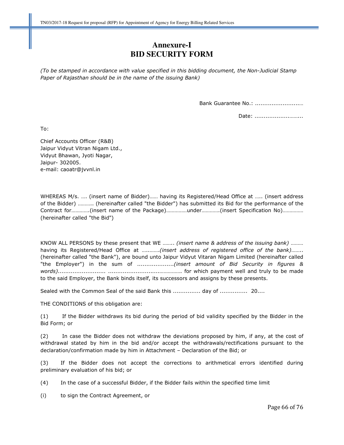### **Annexure-I BID SECURITY FORM**

(To be stamped in accordance with value specified in this bidding document, the Non-Judicial Stamp Paper of Rajasthan should be in the name of the issuing Bank)

Bank Guarantee No.: ........................…

Date: ............................

To:

Chief Accounts Officer (R&B) Jaipur Vidyut Vitran Nigam Ltd., Vidyut Bhawan, Jyoti Nagar, Jaipur- 302005. e-mail: caoatr@jvvnl.in

WHEREAS M/s. …. (insert name of Bidder)…… having its Registered/Head Office at ….. (insert address of the Bidder) ……….. (hereinafter called "the Bidder") has submitted its Bid for the performance of the Contract for………….(insert name of the Package)……………under………….(insert Specification No)…………… (hereinafter called "the Bid")

KNOW ALL PERSONS by these present that WE ........ (insert name & address of the issuing bank) ......... having its Registered/Head Office at ............(insert address of registered office of the bank)........ (hereinafter called "the Bank"), are bound unto Jaipur Vidyut Vitaran Nigam Limited (hereinafter called "the Employer") in the sum of ......................(insert amount of Bid Security in figures & words).......................... ............................……………. for which payment well and truly to be made to the said Employer, the Bank binds itself, its successors and assigns by these presents.

Sealed with the Common Seal of the said Bank this ................ day of ................ 20....

THE CONDITIONS of this obligation are:

(1) If the Bidder withdraws its bid during the period of bid validity specified by the Bidder in the Bid Form; or

(2) In case the Bidder does not withdraw the deviations proposed by him, if any, at the cost of withdrawal stated by him in the bid and/or accept the withdrawals/rectifications pursuant to the declaration/confirmation made by him in Attachment – Declaration of the Bid; or

(3) If the Bidder does not accept the corrections to arithmetical errors identified during preliminary evaluation of his bid; or

(4) In the case of a successful Bidder, if the Bidder fails within the specified time limit

(i) to sign the Contract Agreement, or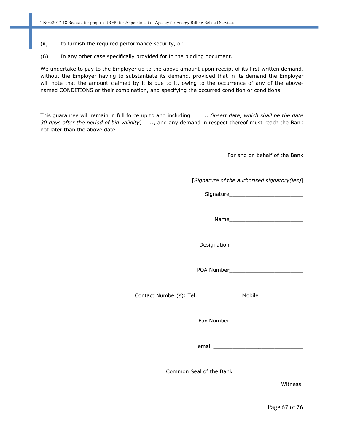- (ii) to furnish the required performance security, or
- (6) In any other case specifically provided for in the bidding document.

We undertake to pay to the Employer up to the above amount upon receipt of its first written demand, without the Employer having to substantiate its demand, provided that in its demand the Employer will note that the amount claimed by it is due to it, owing to the occurrence of any of the abovenamed CONDITIONS or their combination, and specifying the occurred condition or conditions.

This guarantee will remain in full force up to and including ........... (insert date, which shall be the date 30 days after the period of bid validity)........, and any demand in respect thereof must reach the Bank not later than the above date.

For and on behalf of the Bank

[Signature of the authorised signatory(ies)]

Signature

Name was a set of the set of the set of the set of the set of the set of the set of the set of the set of the set of the set of the set of the set of the set of the set of the set of the set of the set of the set of the se

Designation\_\_\_\_\_\_\_\_\_\_\_\_\_\_\_\_\_\_\_\_\_\_\_

POA Number\_\_\_\_\_\_\_\_\_\_\_\_\_\_\_\_\_\_\_\_\_\_\_

Contact Number(s): Tel.\_\_\_\_\_\_\_\_\_\_\_\_\_\_Mobile\_\_\_\_\_\_\_\_\_\_\_\_\_\_

Fax Number\_\_\_\_\_\_\_\_\_\_\_\_\_\_\_\_\_\_\_\_\_\_\_

email \_\_\_\_\_\_\_\_\_\_\_\_\_\_\_\_\_\_\_\_\_\_\_\_\_\_\_\_

Common Seal of the Bank\_\_\_\_\_\_\_\_\_\_\_\_\_\_\_\_\_\_\_\_\_\_

Witness:

Page 67 of 76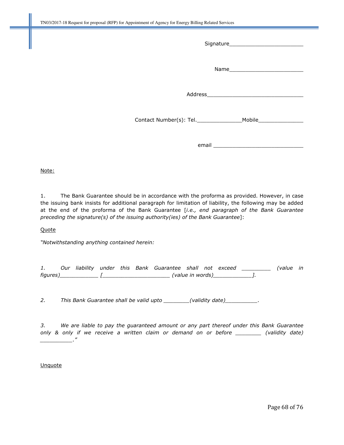| email |
|-------|

Note:

1. The Bank Guarantee should be in accordance with the proforma as provided. However, in case the issuing bank insists for additional paragraph for limitation of liability, the following may be added at the end of the proforma of the Bank Guarantee [i.e., end paragraph of the Bank Guarantee preceding the signature(s) of the issuing authority(ies) of the Bank Guarantee]:

#### **Quote**

"Notwithstanding anything contained herein:

|          |  |  | Our liability under this Bank Guarantee shall not exceed |                  |  | (value in |  |
|----------|--|--|----------------------------------------------------------|------------------|--|-----------|--|
| figures) |  |  |                                                          | (value in words) |  |           |  |

2. This Bank Guarantee shall be valid upto \_\_\_\_\_\_\_(validity date)\_\_\_\_\_\_\_\_\_\_.

3. We are liable to pay the guaranteed amount or any part thereof under this Bank Guarantee only & only if we receive a written claim or demand on or before \_\_\_\_\_\_\_\_\_ (validity date) \_\_\_\_\_\_\_\_\_\_."

#### Unquote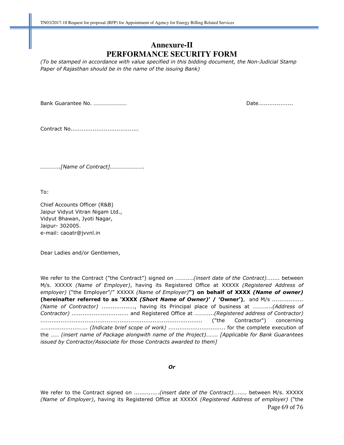#### **Annexure-II PERFORMANCE SECURITY FORM**

(To be stamped in accordance with value specified in this bidding document, the Non-Judicial Stamp Paper of Rajasthan should be in the name of the issuing Bank)

Bank Guarantee No. …………………… Date...................

Contract No.....................................

…………..[Name of Contract]…………………….

To:

Chief Accounts Officer (R&B) Jaipur Vidyut Vitran Nigam Ltd., Vidyut Bhawan, Jyoti Nagar, Jaipur- 302005. e-mail: caoatr@jvvnl.in

Dear Ladies and/or Gentlemen,

We refer to the Contract ("the Contract") signed on .............(insert date of the Contract)........ between M/s. XXXXX (Name of Employer), having its Registered Office at XXXXX (Registered Address of employer) ("the Employer"/" XXXXX (Name of Employer)") on behalf of XXXX (Name of owner) (hereinafter referred to as 'XXXX (Short Name of Owner)' / 'Owner'), and M/s ................. (Name of Contractor) .................., having its Principal place of business at ………....(Address of Contractor) ............................... and Registered Office at ………....(Registered address of Contractor) ........................................................................................ ("the Contractor") concerning …….................….. (Indicate brief scope of work) ............................... for the complete execution of the …… (insert name of Package alongwith name of the Project)…….. [Applicable for Bank Guarantees issued by Contractor/Associate for those Contracts awarded to them]

Or

Page 69 of 76 We refer to the Contract signed on ................(insert date of the Contract)…..... between M/s. XXXXX (Name of Employer), having its Registered Office at XXXXX (Registered Address of employer) ("the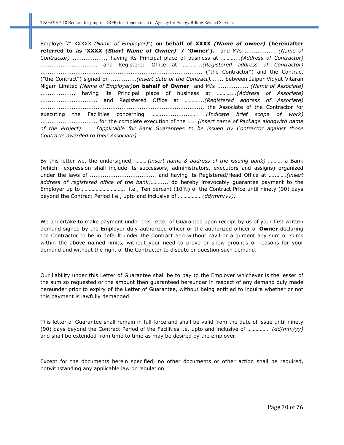Employer"/" XXXXX (Name of Employer)") on behalf of XXXX (Name of owner) (hereinafter referred to as 'XXXX (Short Name of Owner)' / 'Owner'), and M/s ................. (Name of Contractor) .................., having its Principal place of business at ………....(Address of Contractor) ............................... and Registered Office at ………....(Registered address of Contractor) ........................................................................................ ("the Contractor") and the Contract ("the Contract") signed on ...............(insert date of the Contract)........ between Jaipur Vidyut Vitaran Nigam Limited (Name of Employer) on behalf of Owner and M/s ................. (Name of Associate) ................., having its Principal place of business at .............(Address of Associate) ............................... and Registered Office at ………....(Registered address of Associate) ........................................................................................, the Associate of the Contractor for executing the Facilities concerning …….................….. (Indicate brief scope of work) ............................... for the complete execution of the …… (insert name of Package alongwith name of the Project)…….. [Applicable for Bank Guarantees to be issued by Contractor against those Contracts awarded to their Associate]

By this letter we, the undersigned, ………(insert name & address of the issuing bank) ………, a Bank (which expression shall include its successors, administrators, executors and assigns) organized under the laws of .................................... and having its Registered/Head Office at …..…….(insert address of registered office of the bank)........... do hereby irrevocably guarantee payment to the Employer up to ………………………….. i.e., Ten percent (10%) of the Contract Price until ninety (90) days beyond the Contract Period i.e., upto and inclusive of ……………. (dd/mm/yy).

We undertake to make payment under this Letter of Guarantee upon receipt by us of your first written demand signed by the Employer duly authorized officer or the authorized officer of Owner declaring the Contractor to be in default under the Contract and without cavil or argument any sum or sums within the above named limits, without your need to prove or show grounds or reasons for your demand and without the right of the Contractor to dispute or question such demand.

Our liability under this Letter of Guarantee shall be to pay to the Employer whichever is the lesser of the sum so requested or the amount then guaranteed hereunder in respect of any demand duly made hereunder prior to expiry of the Letter of Guarantee, without being entitled to inquire whether or not this payment is lawfully demanded.

This letter of Guarantee shall remain in full force and shall be valid from the date of issue until ninety (90) days beyond the Contract Period of the Facilities i.e. upto and inclusive of ................ ( $dd/mm/yy$ ) and shall be extended from time to time as may be desired by the employer.

Except for the documents herein specified, no other documents or other action shall be required, notwithstanding any applicable law or regulation.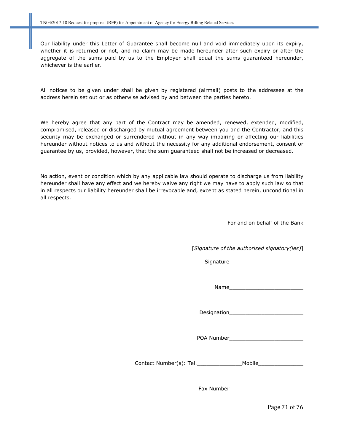Our liability under this Letter of Guarantee shall become null and void immediately upon its expiry, whether it is returned or not, and no claim may be made hereunder after such expiry or after the aggregate of the sums paid by us to the Employer shall equal the sums guaranteed hereunder, whichever is the earlier.

All notices to be given under shall be given by registered (airmail) posts to the addressee at the address herein set out or as otherwise advised by and between the parties hereto.

We hereby agree that any part of the Contract may be amended, renewed, extended, modified, compromised, released or discharged by mutual agreement between you and the Contractor, and this security may be exchanged or surrendered without in any way impairing or affecting our liabilities hereunder without notices to us and without the necessity for any additional endorsement, consent or guarantee by us, provided, however, that the sum guaranteed shall not be increased or decreased.

No action, event or condition which by any applicable law should operate to discharge us from liability hereunder shall have any effect and we hereby waive any right we may have to apply such law so that in all respects our liability hereunder shall be irrevocable and, except as stated herein, unconditional in all respects.

For and on behalf of the Bank

[Signature of the authorised signatory(ies)]

Signature\_\_\_\_\_\_\_\_\_\_\_\_\_\_\_\_\_\_\_\_\_\_\_

Name\_\_\_\_\_\_\_\_\_\_\_\_\_\_\_\_\_\_\_\_\_\_\_

Designation\_\_\_\_\_\_\_\_\_\_\_\_\_\_\_\_\_\_\_\_\_\_\_

POA Number\_\_\_\_\_\_\_\_\_\_\_\_\_\_\_\_\_\_\_\_\_\_\_

Contact Number(s): Tel. The Mobile

Fax Number\_\_\_\_\_\_\_\_\_\_\_\_\_\_\_\_\_\_\_\_\_\_\_

Page 71 of 76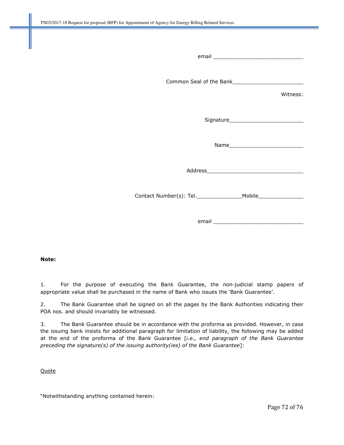| Witness: |
|----------|
|          |
|          |
|          |
|          |
|          |

#### Note:

1. For the purpose of executing the Bank Guarantee, the non-judicial stamp papers of appropriate value shall be purchased in the name of Bank who issues the 'Bank Guarantee'.

2. The Bank Guarantee shall be signed on all the pages by the Bank Authorities indicating their POA nos. and should invariably be witnessed.

3. The Bank Guarantee should be in accordance with the proforma as provided. However, in case the issuing bank insists for additional paragraph for limitation of liability, the following may be added at the end of the proforma of the Bank Guarantee [i.e., end paragraph of the Bank Guarantee preceding the signature(s) of the issuing authority(ies) of the Bank Guarantee]:

**Quote** 

"Notwithstanding anything contained herein: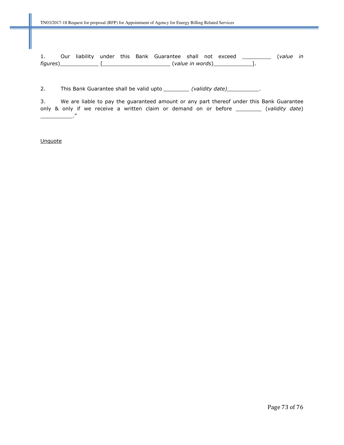1. Our liability under this Bank Guarantee shall not exceed \_\_\_\_\_\_\_\_\_\_ (value in figures)\_\_\_\_\_\_\_\_\_\_\_\_ [\_\_\_\_\_\_\_\_\_\_\_\_\_\_\_\_\_\_\_\_\_ (value in words)\_\_\_\_\_\_\_\_\_\_\_\_].

2. This Bank Guarantee shall be valid upto \_\_\_\_\_\_\_\_ (validity date) \_\_\_\_\_\_\_\_\_.

3. We are liable to pay the guaranteed amount or any part thereof under this Bank Guarantee only & only if we receive a written claim or demand on or before \_\_\_\_\_\_\_\_\_ (validity date) \_\_\_\_\_\_\_\_\_\_."

**Unquote**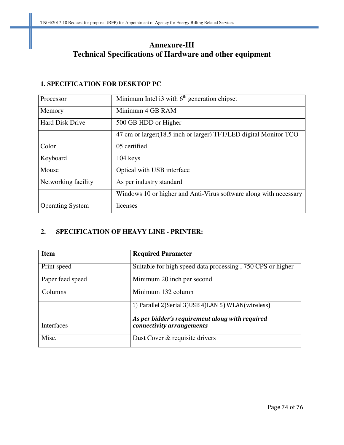## **Annexure-III Technical Specifications of Hardware and other equipment**

#### **1. SPECIFICATION FOR DESKTOP PC**

| Processor               | Minimum Intel $i3$ with $6th$ generation chipset                   |  |  |  |  |
|-------------------------|--------------------------------------------------------------------|--|--|--|--|
| Memory                  | Minimum 4 GB RAM                                                   |  |  |  |  |
| <b>Hard Disk Drive</b>  | 500 GB HDD or Higher                                               |  |  |  |  |
|                         | 47 cm or larger (18.5 inch or larger) TFT/LED digital Monitor TCO- |  |  |  |  |
| Color                   | 05 certified                                                       |  |  |  |  |
| Keyboard                | $104 \text{ keys}$                                                 |  |  |  |  |
| Mouse                   | Optical with USB interface                                         |  |  |  |  |
| Networking facility     | As per industry standard                                           |  |  |  |  |
|                         | Windows 10 or higher and Anti-Virus software along with necessary  |  |  |  |  |
| <b>Operating System</b> | licenses                                                           |  |  |  |  |

### **2. SPECIFICATION OF HEAVY LINE - PRINTER:**

| <b>Item</b>      | <b>Required Parameter</b>                                                    |
|------------------|------------------------------------------------------------------------------|
| Print speed      | Suitable for high speed data processing, 750 CPS or higher                   |
| Paper feed speed | Minimum 20 inch per second                                                   |
| Columns          | Minimum 132 column                                                           |
|                  | 1) Parallel 2) Serial 3) USB 4) LAN 5) WLAN (wireless)                       |
| Interfaces       | As per bidder's requirement along with required<br>connectivity arrangements |
| Misc.            | Dust Cover & requisite drivers                                               |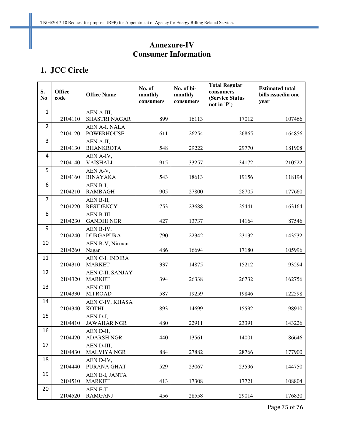# **Annexure-IV Consumer Information**

### **1. JCC Circle**

| S.<br>N <sub>0</sub> | <b>Office</b><br>code | <b>Office Name</b>                 | No. of<br>monthly<br>consumers | No. of bi-<br>monthly<br>consumers | <b>Total Regular</b><br>consumers<br>(Service Status<br>not in 'P') | <b>Estimated total</b><br>bills issuedin one<br>year |
|----------------------|-----------------------|------------------------------------|--------------------------------|------------------------------------|---------------------------------------------------------------------|------------------------------------------------------|
| $\mathbf 1$          | 2104110               | AEN A-III,<br><b>SHASTRI NAGAR</b> | 899                            | 16113                              | 17012                                                               | 107466                                               |
| $\overline{2}$       | 2104120               | AEN A-I, NALA<br><b>POWERHOUSE</b> | 611                            | 26254                              | 26865                                                               | 164856                                               |
| 3                    | 2104130               | AEN A-II,<br><b>BHANKROTA</b>      | 548                            | 29222                              | 29770                                                               | 181908                                               |
| 4                    | 2104140               | AEN A-IV,<br><b>VAISHALI</b>       | 915                            | 33257                              | 34172                                                               | 210522                                               |
| 5                    | 2104160               | AEN A-V,<br><b>BINAYAKA</b>        | 543                            | 18613                              | 19156                                                               | 118194                                               |
| 6                    | 2104210               | AEN B-I,<br><b>RAMBAGH</b>         | 905                            | 27800                              | 28705                                                               | 177660                                               |
| $\overline{7}$       | 2104220               | AEN B-II,<br><b>RESIDENCY</b>      | 1753                           | 23688                              | 25441                                                               | 163164                                               |
| 8                    | 2104230               | AEN B-III,<br><b>GANDHI NGR</b>    | 427                            | 13737                              | 14164                                                               | 87546                                                |
| 9                    | 2104240               | AEN B-IV,<br><b>DURGAPURA</b>      | 790                            | 22342                              | 23132                                                               | 143532                                               |
| 10                   | 2104260               | AEN B-V, Nirman<br>Nagar           | 486                            | 16694                              | 17180                                                               | 105996                                               |
| 11                   | 2104310               | AEN C-I, INDIRA<br><b>MARKET</b>   | 337                            | 14875                              | 15212                                                               | 93294                                                |
| 12                   | 2104320               | AEN C-II, SANJAY<br><b>MARKET</b>  | 394                            | 26338                              | 26732                                                               | 162756                                               |
| 13                   | 2104330               | AEN C-III,<br>M.I.ROAD             | 587                            | 19259                              | 19846                                                               | 122598                                               |
| 14                   | 2104340               | AEN C-IV, KHASA<br><b>KOTHI</b>    | 893                            | 14699                              | 15592                                                               | 98910                                                |
| 15                   | 2104410               | AEN D-I,<br><b>JAWAHAR NGR</b>     | 480                            | 22911                              | 23391                                                               | 143226                                               |
| 16                   | 2104420               | AEN D-II,<br><b>ADARSH NGR</b>     | 440                            | 13561                              | 14001                                                               | 86646                                                |
| 17                   | 2104430               | AEN D-III,<br><b>MALVIYA NGR</b>   | 884                            | 27882                              | 28766                                                               | 177900                                               |
| 18                   | 2104440               | AEN D-IV,<br>PURANA GHAT           | 529                            | 23067                              | 23596                                                               | 144750                                               |
| 19                   | 2104510               | AEN E-I, JANTA<br><b>MARKET</b>    | 413                            | 17308                              | 17721                                                               | 108804                                               |
| 20                   | 2104520               | AEN E-II,<br><b>RAMGANJ</b>        | 456                            | 28558                              | 29014                                                               | 176820                                               |